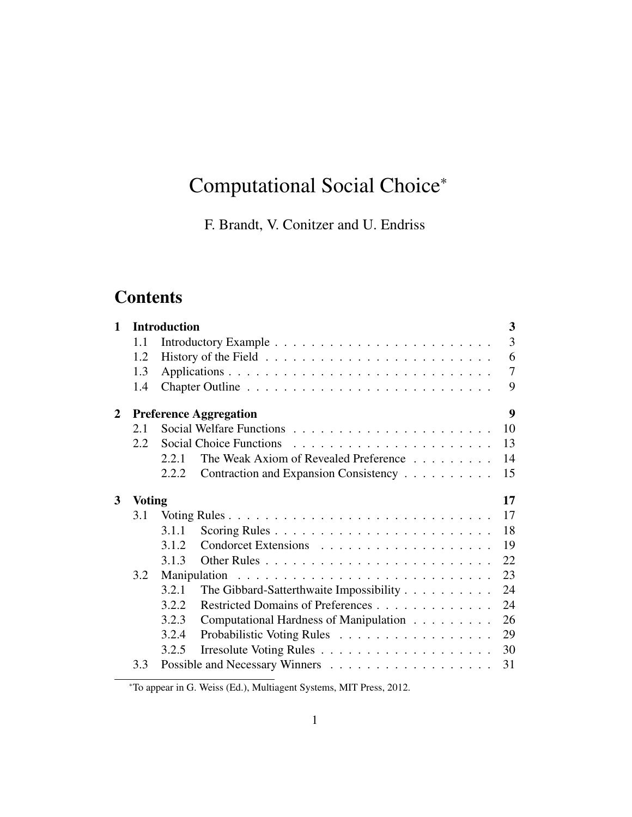# Computational Social Choice<sup>∗</sup>

F. Brandt, V. Conitzer and U. Endriss

## **Contents**

| $\mathbf{1}$   |               | 3<br><b>Introduction</b>                               |                |  |  |  |  |  |  |
|----------------|---------------|--------------------------------------------------------|----------------|--|--|--|--|--|--|
|                | 1.1           |                                                        | 3              |  |  |  |  |  |  |
|                | 1.2           |                                                        | 6              |  |  |  |  |  |  |
|                | 1.3           |                                                        | $\overline{7}$ |  |  |  |  |  |  |
|                | 1.4           |                                                        | 9              |  |  |  |  |  |  |
| $\overline{2}$ |               | <b>Preference Aggregation</b>                          | 9              |  |  |  |  |  |  |
|                | 2.1           | 10                                                     |                |  |  |  |  |  |  |
|                | 2.2           | 13                                                     |                |  |  |  |  |  |  |
|                |               | The Weak Axiom of Revealed Preference<br>14<br>2.2.1   |                |  |  |  |  |  |  |
|                |               | 15<br>Contraction and Expansion Consistency<br>2.2.2   |                |  |  |  |  |  |  |
| 3              | <b>Voting</b> | 17                                                     |                |  |  |  |  |  |  |
|                | 3.1           | 17                                                     |                |  |  |  |  |  |  |
|                |               | 18<br>3.1.1                                            |                |  |  |  |  |  |  |
|                |               | 19<br>3.1.2                                            |                |  |  |  |  |  |  |
|                |               | 22<br>3.1.3                                            |                |  |  |  |  |  |  |
|                | 3.2           | 23                                                     |                |  |  |  |  |  |  |
|                |               | 24<br>3.2.1<br>The Gibbard-Satterthwaite Impossibility |                |  |  |  |  |  |  |
|                |               | Restricted Domains of Preferences<br>24<br>3.2.2       |                |  |  |  |  |  |  |
|                |               | 26<br>3.2.3<br>Computational Hardness of Manipulation  |                |  |  |  |  |  |  |
|                |               | 29<br>3.2.4<br>Probabilistic Voting Rules              |                |  |  |  |  |  |  |
|                |               | 3.2.5<br>30                                            |                |  |  |  |  |  |  |
|                | 3.3           | 31                                                     |                |  |  |  |  |  |  |

<sup>∗</sup>To appear in G. Weiss (Ed.), Multiagent Systems, MIT Press, 2012.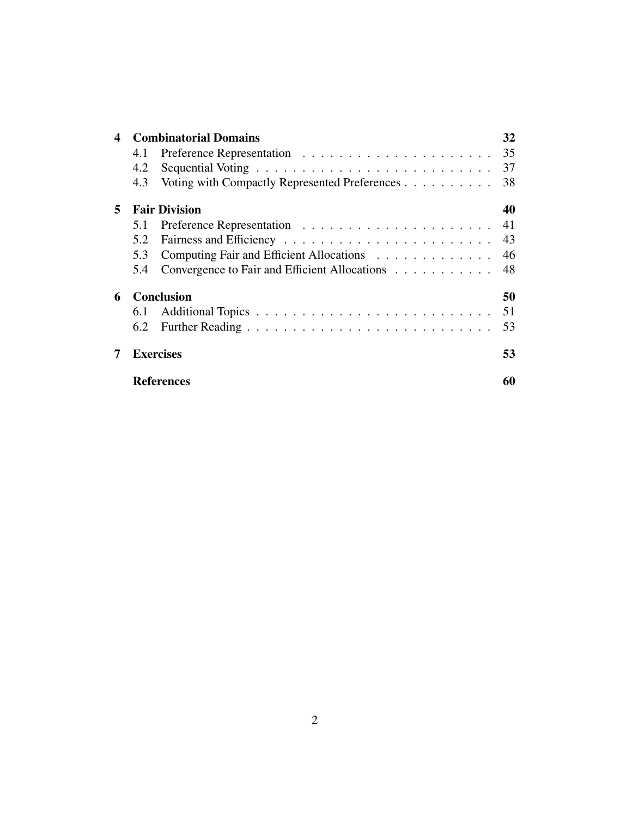|   | <b>Combinatorial Domains</b> |                                               |    |  |
|---|------------------------------|-----------------------------------------------|----|--|
|   | 4.1                          |                                               | 35 |  |
|   | 4.2                          |                                               | 37 |  |
|   | 4.3                          | Voting with Compactly Represented Preferences | 38 |  |
| 5 |                              | <b>Fair Division</b>                          | 40 |  |
|   | 5.1                          |                                               | 41 |  |
|   | 5.2                          |                                               | 43 |  |
|   | 5.3                          | Computing Fair and Efficient Allocations      | 46 |  |
|   | 5.4                          | Convergence to Fair and Efficient Allocations | 48 |  |
| 6 |                              | <b>Conclusion</b>                             | 50 |  |
|   | 6.1                          |                                               | 51 |  |
|   | 6.2                          |                                               | 53 |  |
|   | <b>Exercises</b>             |                                               |    |  |
|   | <b>References</b>            |                                               | 60 |  |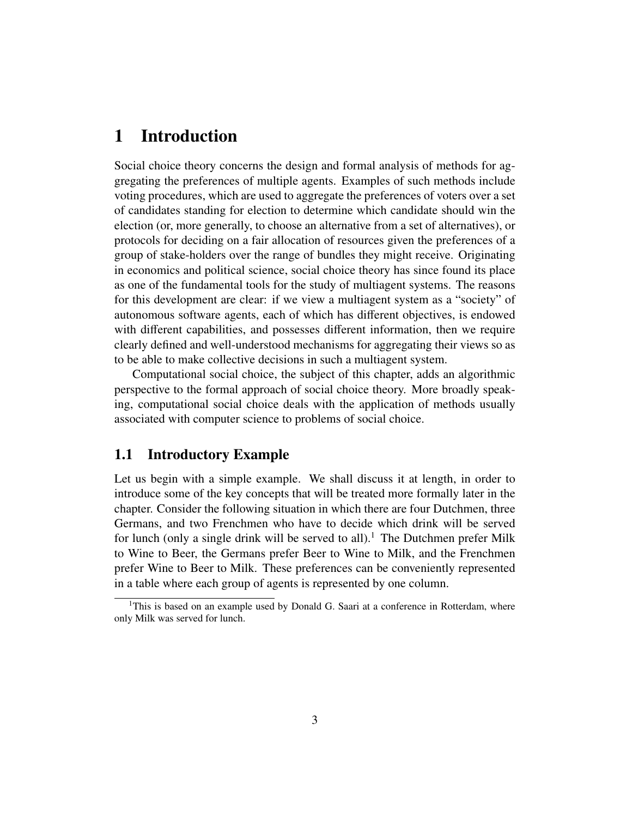## 1 Introduction

Social choice theory concerns the design and formal analysis of methods for aggregating the preferences of multiple agents. Examples of such methods include voting procedures, which are used to aggregate the preferences of voters over a set of candidates standing for election to determine which candidate should win the election (or, more generally, to choose an alternative from a set of alternatives), or protocols for deciding on a fair allocation of resources given the preferences of a group of stake-holders over the range of bundles they might receive. Originating in economics and political science, social choice theory has since found its place as one of the fundamental tools for the study of multiagent systems. The reasons for this development are clear: if we view a multiagent system as a "society" of autonomous software agents, each of which has different objectives, is endowed with different capabilities, and possesses different information, then we require clearly defined and well-understood mechanisms for aggregating their views so as to be able to make collective decisions in such a multiagent system.

Computational social choice, the subject of this chapter, adds an algorithmic perspective to the formal approach of social choice theory. More broadly speaking, computational social choice deals with the application of methods usually associated with computer science to problems of social choice.

#### 1.1 Introductory Example

Let us begin with a simple example. We shall discuss it at length, in order to introduce some of the key concepts that will be treated more formally later in the chapter. Consider the following situation in which there are four Dutchmen, three Germans, and two Frenchmen who have to decide which drink will be served for lunch (only a single drink will be served to all).<sup>1</sup> The Dutchmen prefer Milk to Wine to Beer, the Germans prefer Beer to Wine to Milk, and the Frenchmen prefer Wine to Beer to Milk. These preferences can be conveniently represented in a table where each group of agents is represented by one column.

<sup>&</sup>lt;sup>1</sup>This is based on an example used by Donald G. Saari at a conference in Rotterdam, where only Milk was served for lunch.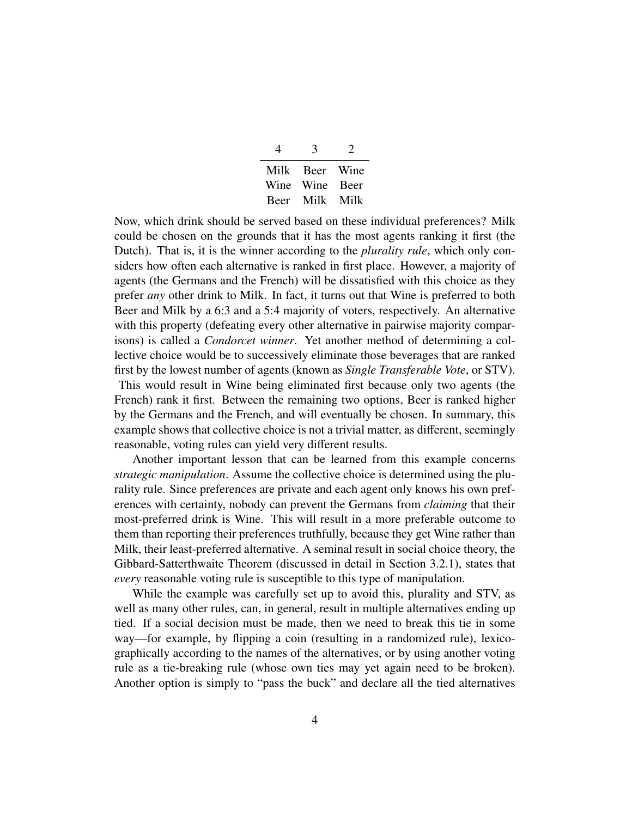|      | Milk Beer Wine |  |
|------|----------------|--|
|      | Wine Wine Beer |  |
| Beer | Milk Milk      |  |

Now, which drink should be served based on these individual preferences? Milk could be chosen on the grounds that it has the most agents ranking it first (the Dutch). That is, it is the winner according to the *plurality rule*, which only considers how often each alternative is ranked in first place. However, a majority of agents (the Germans and the French) will be dissatisfied with this choice as they prefer *any* other drink to Milk. In fact, it turns out that Wine is preferred to both Beer and Milk by a 6:3 and a 5:4 majority of voters, respectively. An alternative with this property (defeating every other alternative in pairwise majority comparisons) is called a *Condorcet winner*. Yet another method of determining a collective choice would be to successively eliminate those beverages that are ranked first by the lowest number of agents (known as *Single Transferable Vote*, or STV). This would result in Wine being eliminated first because only two agents (the

French) rank it first. Between the remaining two options, Beer is ranked higher by the Germans and the French, and will eventually be chosen. In summary, this example shows that collective choice is not a trivial matter, as different, seemingly reasonable, voting rules can yield very different results.

Another important lesson that can be learned from this example concerns *strategic manipulation*. Assume the collective choice is determined using the plurality rule. Since preferences are private and each agent only knows his own preferences with certainty, nobody can prevent the Germans from *claiming* that their most-preferred drink is Wine. This will result in a more preferable outcome to them than reporting their preferences truthfully, because they get Wine rather than Milk, their least-preferred alternative. A seminal result in social choice theory, the Gibbard-Satterthwaite Theorem (discussed in detail in Section 3.2.1), states that *every* reasonable voting rule is susceptible to this type of manipulation.

While the example was carefully set up to avoid this, plurality and STV, as well as many other rules, can, in general, result in multiple alternatives ending up tied. If a social decision must be made, then we need to break this tie in some way—for example, by flipping a coin (resulting in a randomized rule), lexicographically according to the names of the alternatives, or by using another voting rule as a tie-breaking rule (whose own ties may yet again need to be broken). Another option is simply to "pass the buck" and declare all the tied alternatives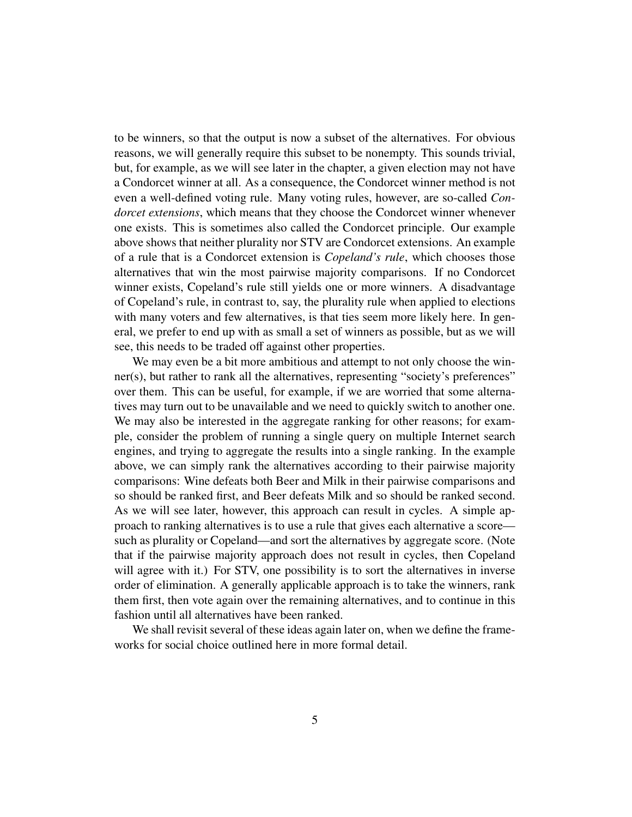to be winners, so that the output is now a subset of the alternatives. For obvious reasons, we will generally require this subset to be nonempty. This sounds trivial, but, for example, as we will see later in the chapter, a given election may not have a Condorcet winner at all. As a consequence, the Condorcet winner method is not even a well-defined voting rule. Many voting rules, however, are so-called *Condorcet extensions*, which means that they choose the Condorcet winner whenever one exists. This is sometimes also called the Condorcet principle. Our example above shows that neither plurality nor STV are Condorcet extensions. An example of a rule that is a Condorcet extension is *Copeland's rule*, which chooses those alternatives that win the most pairwise majority comparisons. If no Condorcet winner exists, Copeland's rule still yields one or more winners. A disadvantage of Copeland's rule, in contrast to, say, the plurality rule when applied to elections with many voters and few alternatives, is that ties seem more likely here. In general, we prefer to end up with as small a set of winners as possible, but as we will see, this needs to be traded off against other properties.

We may even be a bit more ambitious and attempt to not only choose the winner(s), but rather to rank all the alternatives, representing "society's preferences" over them. This can be useful, for example, if we are worried that some alternatives may turn out to be unavailable and we need to quickly switch to another one. We may also be interested in the aggregate ranking for other reasons; for example, consider the problem of running a single query on multiple Internet search engines, and trying to aggregate the results into a single ranking. In the example above, we can simply rank the alternatives according to their pairwise majority comparisons: Wine defeats both Beer and Milk in their pairwise comparisons and so should be ranked first, and Beer defeats Milk and so should be ranked second. As we will see later, however, this approach can result in cycles. A simple approach to ranking alternatives is to use a rule that gives each alternative a score such as plurality or Copeland—and sort the alternatives by aggregate score. (Note that if the pairwise majority approach does not result in cycles, then Copeland will agree with it.) For STV, one possibility is to sort the alternatives in inverse order of elimination. A generally applicable approach is to take the winners, rank them first, then vote again over the remaining alternatives, and to continue in this fashion until all alternatives have been ranked.

We shall revisit several of these ideas again later on, when we define the frameworks for social choice outlined here in more formal detail.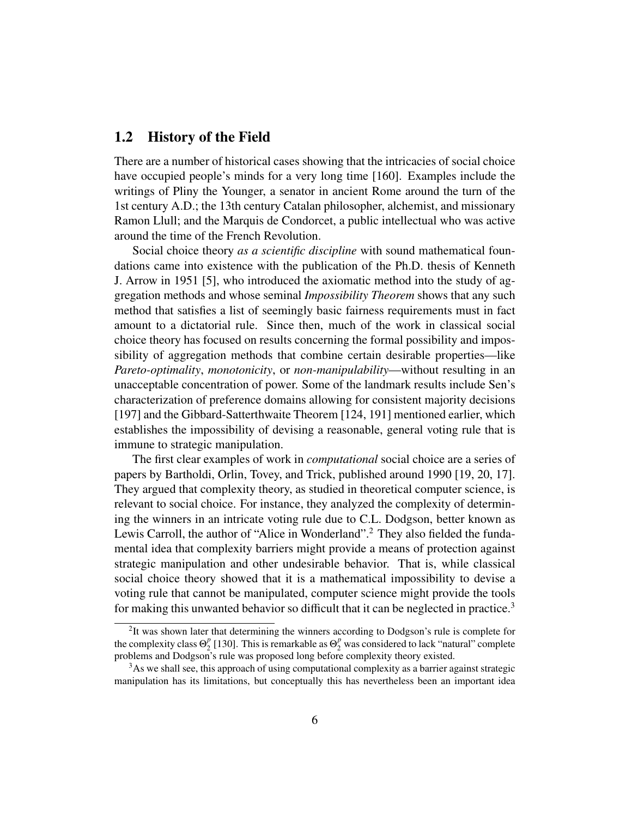#### 1.2 History of the Field

There are a number of historical cases showing that the intricacies of social choice have occupied people's minds for a very long time [160]. Examples include the writings of Pliny the Younger, a senator in ancient Rome around the turn of the 1st century A.D.; the 13th century Catalan philosopher, alchemist, and missionary Ramon Llull; and the Marquis de Condorcet, a public intellectual who was active around the time of the French Revolution.

Social choice theory *as a scientific discipline* with sound mathematical foundations came into existence with the publication of the Ph.D. thesis of Kenneth J. Arrow in 1951 [5], who introduced the axiomatic method into the study of aggregation methods and whose seminal *Impossibility Theorem* shows that any such method that satisfies a list of seemingly basic fairness requirements must in fact amount to a dictatorial rule. Since then, much of the work in classical social choice theory has focused on results concerning the formal possibility and impossibility of aggregation methods that combine certain desirable properties—like *Pareto-optimality*, *monotonicity*, or *non-manipulability*—without resulting in an unacceptable concentration of power. Some of the landmark results include Sen's characterization of preference domains allowing for consistent majority decisions [197] and the Gibbard-Satterthwaite Theorem [124, 191] mentioned earlier, which establishes the impossibility of devising a reasonable, general voting rule that is immune to strategic manipulation.

The first clear examples of work in *computational* social choice are a series of papers by Bartholdi, Orlin, Tovey, and Trick, published around 1990 [19, 20, 17]. They argued that complexity theory, as studied in theoretical computer science, is relevant to social choice. For instance, they analyzed the complexity of determining the winners in an intricate voting rule due to C.L. Dodgson, better known as Lewis Carroll, the author of "Alice in Wonderland".<sup>2</sup> They also fielded the fundamental idea that complexity barriers might provide a means of protection against strategic manipulation and other undesirable behavior. That is, while classical social choice theory showed that it is a mathematical impossibility to devise a voting rule that cannot be manipulated, computer science might provide the tools for making this unwanted behavior so difficult that it can be neglected in practice.<sup>3</sup>

<sup>&</sup>lt;sup>2</sup>It was shown later that determining the winners according to Dodgson's rule is complete for the complexity class  $\Theta_2^p$  $\frac{p}{2}$  [130]. This is remarkable as  $\Theta_2^p$  was considered to lack "natural" complete problems and Dodgson's rule was proposed long before complexity theory existed.

<sup>&</sup>lt;sup>3</sup>As we shall see, this approach of using computational complexity as a barrier against strategic manipulation has its limitations, but conceptually this has nevertheless been an important idea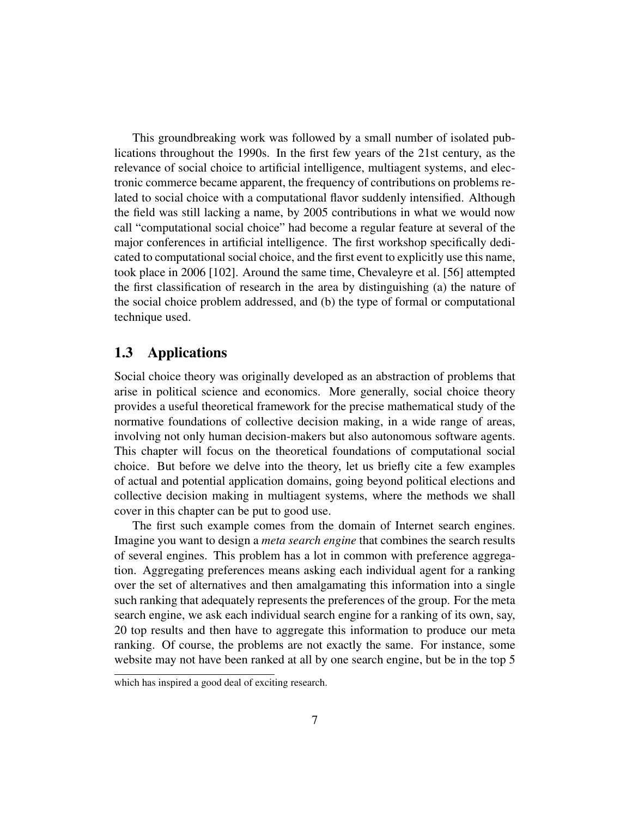This groundbreaking work was followed by a small number of isolated publications throughout the 1990s. In the first few years of the 21st century, as the relevance of social choice to artificial intelligence, multiagent systems, and electronic commerce became apparent, the frequency of contributions on problems related to social choice with a computational flavor suddenly intensified. Although the field was still lacking a name, by 2005 contributions in what we would now call "computational social choice" had become a regular feature at several of the major conferences in artificial intelligence. The first workshop specifically dedicated to computational social choice, and the first event to explicitly use this name, took place in 2006 [102]. Around the same time, Chevaleyre et al. [56] attempted the first classification of research in the area by distinguishing (a) the nature of the social choice problem addressed, and (b) the type of formal or computational technique used.

#### 1.3 Applications

Social choice theory was originally developed as an abstraction of problems that arise in political science and economics. More generally, social choice theory provides a useful theoretical framework for the precise mathematical study of the normative foundations of collective decision making, in a wide range of areas, involving not only human decision-makers but also autonomous software agents. This chapter will focus on the theoretical foundations of computational social choice. But before we delve into the theory, let us briefly cite a few examples of actual and potential application domains, going beyond political elections and collective decision making in multiagent systems, where the methods we shall cover in this chapter can be put to good use.

The first such example comes from the domain of Internet search engines. Imagine you want to design a *meta search engine* that combines the search results of several engines. This problem has a lot in common with preference aggregation. Aggregating preferences means asking each individual agent for a ranking over the set of alternatives and then amalgamating this information into a single such ranking that adequately represents the preferences of the group. For the meta search engine, we ask each individual search engine for a ranking of its own, say, 20 top results and then have to aggregate this information to produce our meta ranking. Of course, the problems are not exactly the same. For instance, some website may not have been ranked at all by one search engine, but be in the top 5

which has inspired a good deal of exciting research.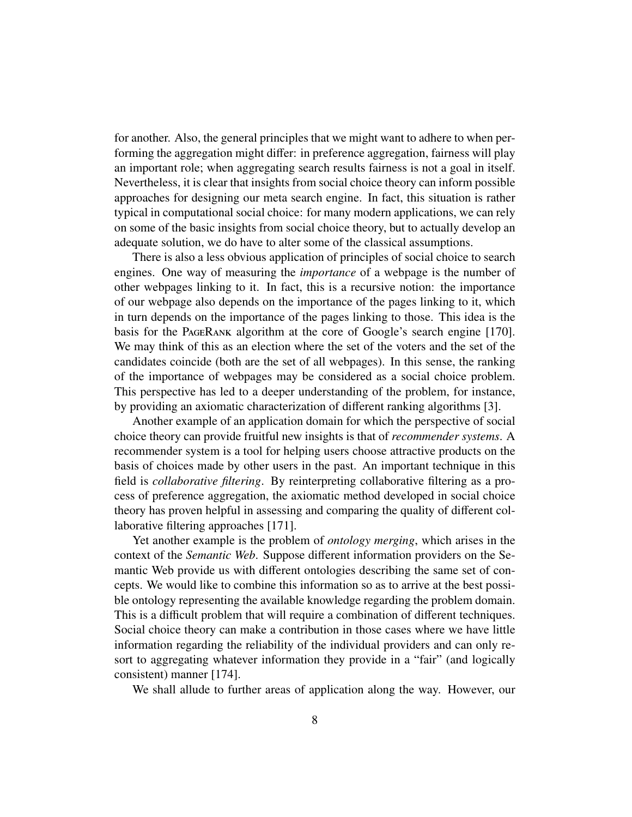for another. Also, the general principles that we might want to adhere to when performing the aggregation might differ: in preference aggregation, fairness will play an important role; when aggregating search results fairness is not a goal in itself. Nevertheless, it is clear that insights from social choice theory can inform possible approaches for designing our meta search engine. In fact, this situation is rather typical in computational social choice: for many modern applications, we can rely on some of the basic insights from social choice theory, but to actually develop an adequate solution, we do have to alter some of the classical assumptions.

There is also a less obvious application of principles of social choice to search engines. One way of measuring the *importance* of a webpage is the number of other webpages linking to it. In fact, this is a recursive notion: the importance of our webpage also depends on the importance of the pages linking to it, which in turn depends on the importance of the pages linking to those. This idea is the basis for the PageRank algorithm at the core of Google's search engine [170]. We may think of this as an election where the set of the voters and the set of the candidates coincide (both are the set of all webpages). In this sense, the ranking of the importance of webpages may be considered as a social choice problem. This perspective has led to a deeper understanding of the problem, for instance, by providing an axiomatic characterization of different ranking algorithms [3].

Another example of an application domain for which the perspective of social choice theory can provide fruitful new insights is that of *recommender systems*. A recommender system is a tool for helping users choose attractive products on the basis of choices made by other users in the past. An important technique in this field is *collaborative filtering*. By reinterpreting collaborative filtering as a process of preference aggregation, the axiomatic method developed in social choice theory has proven helpful in assessing and comparing the quality of different collaborative filtering approaches [171].

Yet another example is the problem of *ontology merging*, which arises in the context of the *Semantic Web*. Suppose different information providers on the Semantic Web provide us with different ontologies describing the same set of concepts. We would like to combine this information so as to arrive at the best possible ontology representing the available knowledge regarding the problem domain. This is a difficult problem that will require a combination of different techniques. Social choice theory can make a contribution in those cases where we have little information regarding the reliability of the individual providers and can only resort to aggregating whatever information they provide in a "fair" (and logically consistent) manner [174].

We shall allude to further areas of application along the way. However, our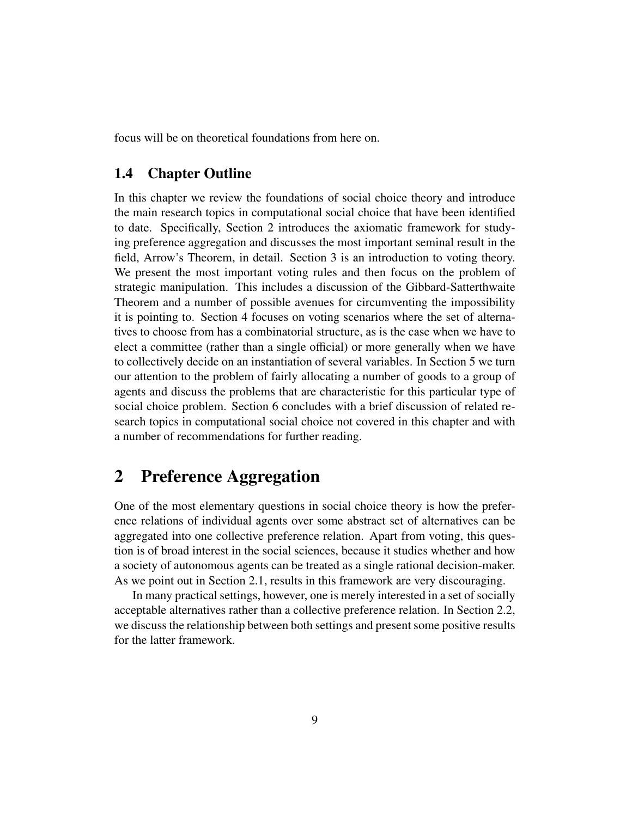focus will be on theoretical foundations from here on.

#### 1.4 Chapter Outline

In this chapter we review the foundations of social choice theory and introduce the main research topics in computational social choice that have been identified to date. Specifically, Section 2 introduces the axiomatic framework for studying preference aggregation and discusses the most important seminal result in the field, Arrow's Theorem, in detail. Section 3 is an introduction to voting theory. We present the most important voting rules and then focus on the problem of strategic manipulation. This includes a discussion of the Gibbard-Satterthwaite Theorem and a number of possible avenues for circumventing the impossibility it is pointing to. Section 4 focuses on voting scenarios where the set of alternatives to choose from has a combinatorial structure, as is the case when we have to elect a committee (rather than a single official) or more generally when we have to collectively decide on an instantiation of several variables. In Section 5 we turn our attention to the problem of fairly allocating a number of goods to a group of agents and discuss the problems that are characteristic for this particular type of social choice problem. Section 6 concludes with a brief discussion of related research topics in computational social choice not covered in this chapter and with a number of recommendations for further reading.

## 2 Preference Aggregation

One of the most elementary questions in social choice theory is how the preference relations of individual agents over some abstract set of alternatives can be aggregated into one collective preference relation. Apart from voting, this question is of broad interest in the social sciences, because it studies whether and how a society of autonomous agents can be treated as a single rational decision-maker. As we point out in Section 2.1, results in this framework are very discouraging.

In many practical settings, however, one is merely interested in a set of socially acceptable alternatives rather than a collective preference relation. In Section 2.2, we discuss the relationship between both settings and present some positive results for the latter framework.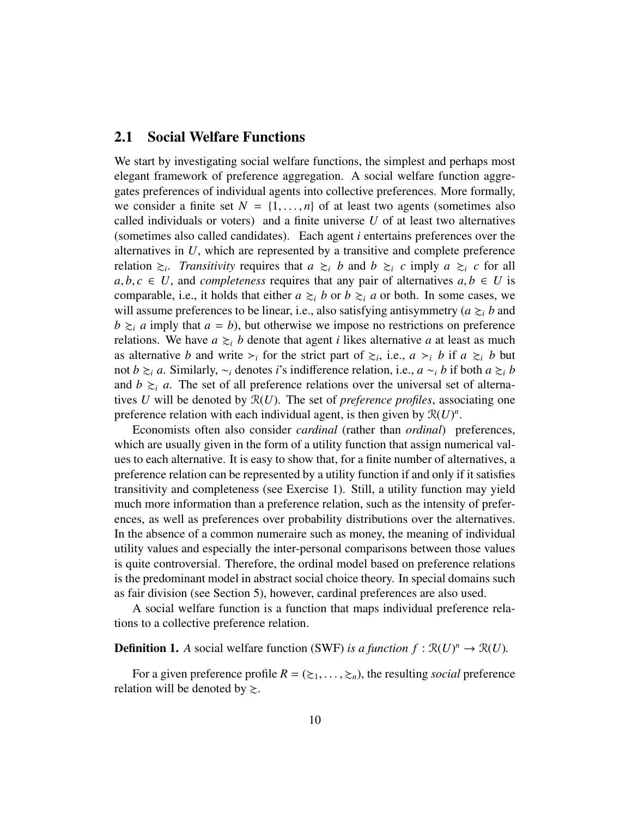#### 2.1 Social Welfare Functions

We start by investigating social welfare functions, the simplest and perhaps most elegant framework of preference aggregation. A social welfare function aggregates preferences of individual agents into collective preferences. More formally, we consider a finite set  $N = \{1, \ldots, n\}$  of at least two agents (sometimes also called individuals or voters) and a finite universe *U* of at least two alternatives (sometimes also called candidates). Each agent *i* entertains preferences over the alternatives in *U*, which are represented by a transitive and complete preference relation  $\gtrsim$  *i*. *Transitivity* requires that  $a \gtrsim$  *b* and  $b \gtrsim$  *c* imply  $a \gtrsim$  *c* for all  $a, b, c \in U$ , and *completeness* requires that any pair of alternatives  $a, b \in U$  is comparable, i.e., it holds that either  $a \geq i$  *b* or  $b \geq i$  *a* or both. In some cases, we will assume preferences to be linear, i.e., also satisfying antisymmetry ( $a \geq b$  and  $b \ge a$  *a* imply that  $a = b$ , but otherwise we impose no restrictions on preference relations. We have  $a \geq i$  *b* denote that agent *i* likes alternative *a* at least as much as alternative *b* and write  $\gt_i$  for the strict part of  $\gt_{i}$ , i.e.,  $a \gt_i b$  if  $a \gt_{i} b$  but not *b*  $\geq$ *i a*. Similarly,  $\sim$ *i* denotes *i*'s indifference relation, i.e., *a*  $\sim$ *i b* if both *a*  $\geq$ *i b* and  $b \geq a$ . The set of all preference relations over the universal set of alternatives *U* will be denoted by R(*U*). The set of *preference profiles*, associating one preference relation with each individual agent, is then given by  $\mathcal{R}(U)^n$ .

Economists often also consider *cardinal* (rather than *ordinal*) preferences, which are usually given in the form of a utility function that assign numerical values to each alternative. It is easy to show that, for a finite number of alternatives, a preference relation can be represented by a utility function if and only if it satisfies transitivity and completeness (see Exercise 1). Still, a utility function may yield much more information than a preference relation, such as the intensity of preferences, as well as preferences over probability distributions over the alternatives. In the absence of a common numeraire such as money, the meaning of individual utility values and especially the inter-personal comparisons between those values is quite controversial. Therefore, the ordinal model based on preference relations is the predominant model in abstract social choice theory. In special domains such as fair division (see Section 5), however, cardinal preferences are also used.

A social welfare function is a function that maps individual preference relations to a collective preference relation.

**Definition 1.** A social welfare function (SWF) *is a function*  $f : \mathcal{R}(U)^n \to \mathcal{R}(U)$ .

For a given preference profile  $R = (\geq_1, \ldots, \geq_n)$ , the resulting *social* preference relation will be denoted by  $\geq$ .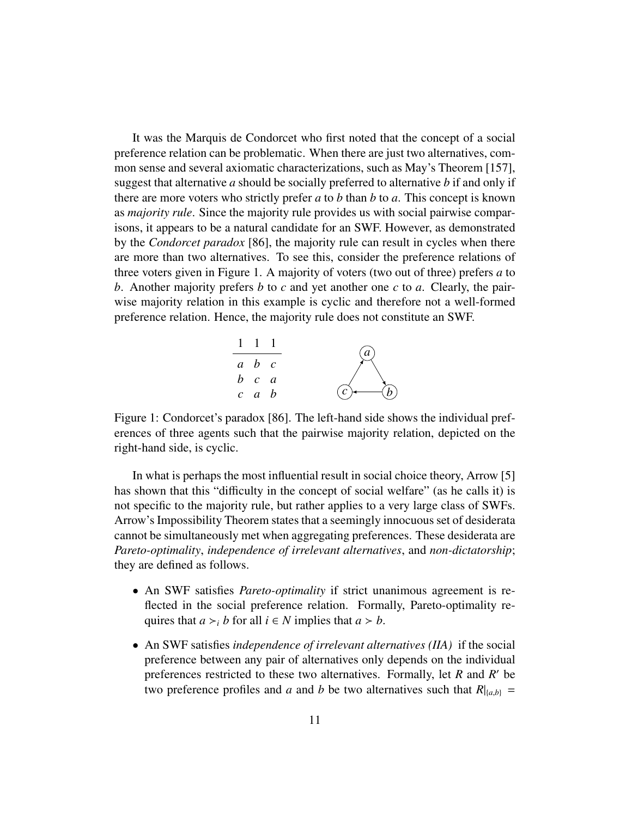It was the Marquis de Condorcet who first noted that the concept of a social preference relation can be problematic. When there are just two alternatives, common sense and several axiomatic characterizations, such as May's Theorem [157], suggest that alternative *a* should be socially preferred to alternative *b* if and only if there are more voters who strictly prefer *a* to *b* than *b* to *a*. This concept is known as *majority rule*. Since the majority rule provides us with social pairwise comparisons, it appears to be a natural candidate for an SWF. However, as demonstrated by the *Condorcet paradox* [86], the majority rule can result in cycles when there are more than two alternatives. To see this, consider the preference relations of three voters given in Figure 1. A majority of voters (two out of three) prefers *a* to *b*. Another majority prefers *b* to *c* and yet another one *c* to *a*. Clearly, the pairwise majority relation in this example is cyclic and therefore not a well-formed preference relation. Hence, the majority rule does not constitute an SWF.



Figure 1: Condorcet's paradox [86]. The left-hand side shows the individual preferences of three agents such that the pairwise majority relation, depicted on the right-hand side, is cyclic.

In what is perhaps the most influential result in social choice theory, Arrow [5] has shown that this "difficulty in the concept of social welfare" (as he calls it) is not specific to the majority rule, but rather applies to a very large class of SWFs. Arrow's Impossibility Theorem states that a seemingly innocuous set of desiderata cannot be simultaneously met when aggregating preferences. These desiderata are *Pareto-optimality*, *independence of irrelevant alternatives*, and *non-dictatorship*; they are defined as follows.

- An SWF satisfies *Pareto-optimality* if strict unanimous agreement is reflected in the social preference relation. Formally, Pareto-optimality requires that  $a > i$  *b* for all  $i \in N$  implies that  $a > b$ .
- An SWF satisfies *independence of irrelevant alternatives (IIA)* if the social preference between any pair of alternatives only depends on the individual preferences restricted to these two alternatives. Formally, let  $R$  and  $R'$  be two preference profiles and *a* and *b* be two alternatives such that  $R|_{\{a,b\}} =$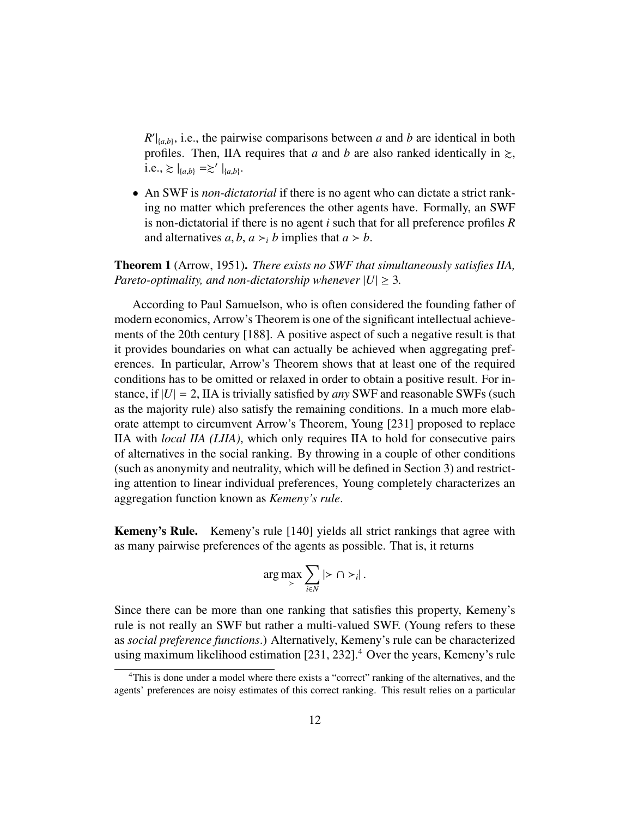$R'_{a,b}$ , i.e., the pairwise comparisons between *a* and *b* are identical in both  $R''_{a,b}$ . Then HA requires that a and *b* are also replaced identically in  $\sum_{i=1}^{n}$ profiles. Then, IIA requires that *a* and *b* are also ranked identically in  $\geq$ , i.e.,  $\gtrsim |_{\{a,b\}} = \gtrsim' |_{\{a,b\}}$ .

• An SWF is *non-dictatorial* if there is no agent who can dictate a strict ranking no matter which preferences the other agents have. Formally, an SWF is non-dictatorial if there is no agent *i* such that for all preference profiles *R* and alternatives  $a, b, a \succ_i b$  implies that  $a \succ b$ .

Theorem 1 (Arrow, 1951). *There exists no SWF that simultaneously satisfies IIA, Pareto-optimality, and non-dictatorship whenever*  $|U| \geq 3$ .

According to Paul Samuelson, who is often considered the founding father of modern economics, Arrow's Theorem is one of the significant intellectual achievements of the 20th century [188]. A positive aspect of such a negative result is that it provides boundaries on what can actually be achieved when aggregating preferences. In particular, Arrow's Theorem shows that at least one of the required conditions has to be omitted or relaxed in order to obtain a positive result. For instance, if  $|U| = 2$ , IIA is trivially satisfied by *any* SWF and reasonable SWFs (such as the majority rule) also satisfy the remaining conditions. In a much more elaborate attempt to circumvent Arrow's Theorem, Young [231] proposed to replace IIA with *local IIA (LIIA)*, which only requires IIA to hold for consecutive pairs of alternatives in the social ranking. By throwing in a couple of other conditions (such as anonymity and neutrality, which will be defined in Section 3) and restricting attention to linear individual preferences, Young completely characterizes an aggregation function known as *Kemeny's rule*.

Kemeny's Rule. Kemeny's rule [140] yields all strict rankings that agree with as many pairwise preferences of the agents as possible. That is, it returns

$$
\arg\max_{>}\sum_{i\in N}|> \cap >_i|.
$$

Since there can be more than one ranking that satisfies this property, Kemeny's rule is not really an SWF but rather a multi-valued SWF. (Young refers to these as *social preference functions*.) Alternatively, Kemeny's rule can be characterized using maximum likelihood estimation  $[231, 232]$ .<sup>4</sup> Over the years, Kemeny's rule

<sup>4</sup>This is done under a model where there exists a "correct" ranking of the alternatives, and the agents' preferences are noisy estimates of this correct ranking. This result relies on a particular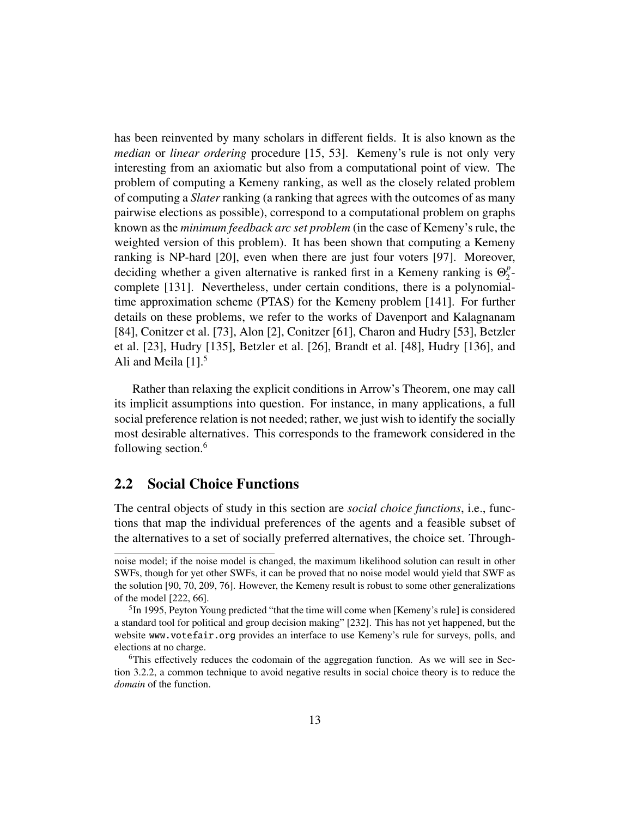has been reinvented by many scholars in different fields. It is also known as the *median* or *linear ordering* procedure [15, 53]. Kemeny's rule is not only very interesting from an axiomatic but also from a computational point of view. The problem of computing a Kemeny ranking, as well as the closely related problem of computing a *Slater* ranking (a ranking that agrees with the outcomes of as many pairwise elections as possible), correspond to a computational problem on graphs known as the *minimum feedback arc set problem* (in the case of Kemeny's rule, the weighted version of this problem). It has been shown that computing a Kemeny ranking is NP-hard [20], even when there are just four voters [97]. Moreover, deciding whether a given alternative is ranked first in a Kemeny ranking is Θ *p*  $\frac{p}{2}$ complete [131]. Nevertheless, under certain conditions, there is a polynomialtime approximation scheme (PTAS) for the Kemeny problem [141]. For further details on these problems, we refer to the works of Davenport and Kalagnanam [84], Conitzer et al. [73], Alon [2], Conitzer [61], Charon and Hudry [53], Betzler et al. [23], Hudry [135], Betzler et al. [26], Brandt et al. [48], Hudry [136], and Ali and Meila [1].<sup>5</sup>

Rather than relaxing the explicit conditions in Arrow's Theorem, one may call its implicit assumptions into question. For instance, in many applications, a full social preference relation is not needed; rather, we just wish to identify the socially most desirable alternatives. This corresponds to the framework considered in the following section.<sup>6</sup>

#### 2.2 Social Choice Functions

The central objects of study in this section are *social choice functions*, i.e., functions that map the individual preferences of the agents and a feasible subset of the alternatives to a set of socially preferred alternatives, the choice set. Through-

noise model; if the noise model is changed, the maximum likelihood solution can result in other SWFs, though for yet other SWFs, it can be proved that no noise model would yield that SWF as the solution [90, 70, 209, 76]. However, the Kemeny result is robust to some other generalizations of the model [222, 66].

<sup>&</sup>lt;sup>5</sup>In 1995, Peyton Young predicted "that the time will come when [Kemeny's rule] is considered a standard tool for political and group decision making" [232]. This has not yet happened, but the website www.votefair.org provides an interface to use Kemeny's rule for surveys, polls, and elections at no charge.

 $6$ This effectively reduces the codomain of the aggregation function. As we will see in Section 3.2.2, a common technique to avoid negative results in social choice theory is to reduce the *domain* of the function.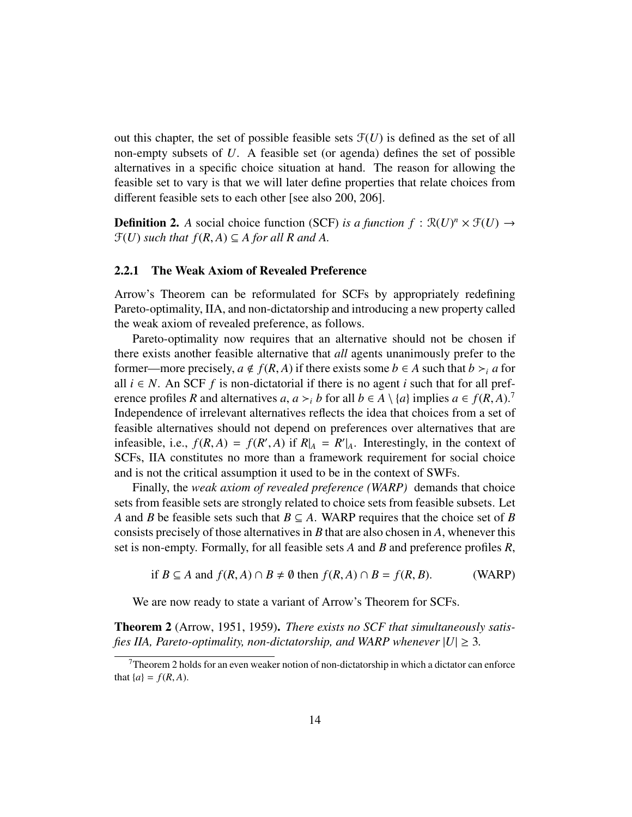out this chapter, the set of possible feasible sets  $\mathcal{F}(U)$  is defined as the set of all non-empty subsets of *U*. A feasible set (or agenda) defines the set of possible alternatives in a specific choice situation at hand. The reason for allowing the feasible set to vary is that we will later define properties that relate choices from different feasible sets to each other [see also 200, 206].

**Definition 2.** A social choice function (SCF) *is a function*  $f : \mathcal{R}(U)^n \times \mathcal{F}(U) \rightarrow$  $\mathcal{F}(U)$  *such that*  $f(R, A) \subseteq A$  *for all R and A.* 

#### 2.2.1 The Weak Axiom of Revealed Preference

Arrow's Theorem can be reformulated for SCFs by appropriately redefining Pareto-optimality, IIA, and non-dictatorship and introducing a new property called the weak axiom of revealed preference, as follows.

Pareto-optimality now requires that an alternative should not be chosen if there exists another feasible alternative that *all* agents unanimously prefer to the former—more precisely,  $a \notin f(R, A)$  if there exists some  $b \in A$  such that  $b \succ_i a$  for all  $i \in N$ . An SCF f is non-dictatorial if there is no agent i such that for all preference profiles *R* and alternatives  $a, a > b$  for all  $b \in A \setminus \{a\}$  implies  $a \in f(R, A)$ .<sup>7</sup> Independence of irrelevant alternatives reflects the idea that choices from a set of feasible alternatives should not depend on preferences over alternatives that are infeasible, i.e.,  $f(R, A) = f(R', A)$  if  $R|_A = R'|_A$ . Interestingly, in the context of SCEs. IIA constitutes no more than a framework requirement for social choice SCFs, IIA constitutes no more than a framework requirement for social choice and is not the critical assumption it used to be in the context of SWFs.

Finally, the *weak axiom of revealed preference (WARP)* demands that choice sets from feasible sets are strongly related to choice sets from feasible subsets. Let *A* and *B* be feasible sets such that  $B \subseteq A$ . WARP requires that the choice set of *B* consists precisely of those alternatives in *B* that are also chosen in *A*, whenever this set is non-empty. Formally, for all feasible sets *A* and *B* and preference profiles *R*,

if 
$$
B \subseteq A
$$
 and  $f(R, A) \cap B \neq \emptyset$  then  $f(R, A) \cap B = f(R, B)$ . (WARP)

We are now ready to state a variant of Arrow's Theorem for SCFs.

Theorem 2 (Arrow, 1951, 1959). *There exists no SCF that simultaneously satisfies IIA, Pareto-optimality, non-dictatorship, and WARP whenever*  $|U| \geq 3$ .

 $7$ Theorem 2 holds for an even weaker notion of non-dictatorship in which a dictator can enforce that  ${a} = f(R, A)$ .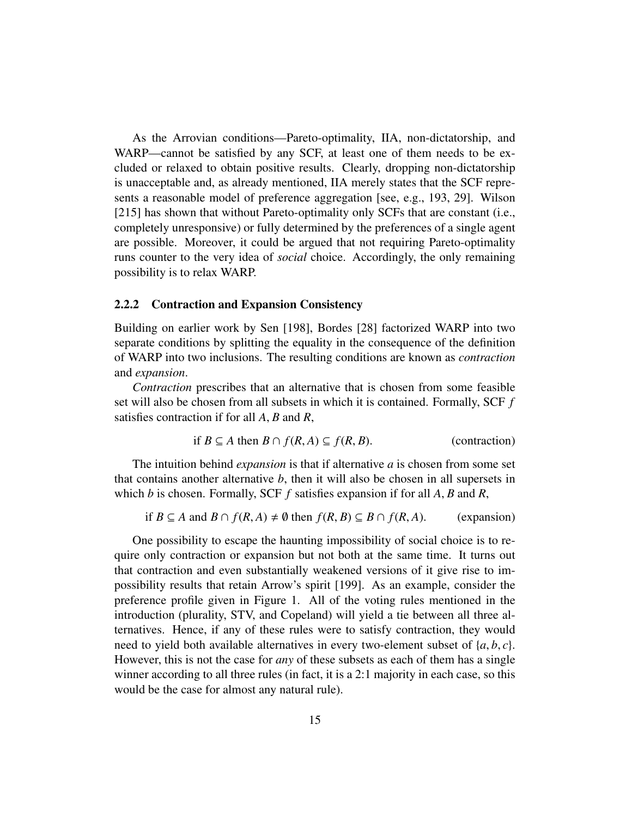As the Arrovian conditions—Pareto-optimality, IIA, non-dictatorship, and WARP—cannot be satisfied by any SCF, at least one of them needs to be excluded or relaxed to obtain positive results. Clearly, dropping non-dictatorship is unacceptable and, as already mentioned, IIA merely states that the SCF represents a reasonable model of preference aggregation [see, e.g., 193, 29]. Wilson [215] has shown that without Pareto-optimality only SCFs that are constant (i.e., completely unresponsive) or fully determined by the preferences of a single agent are possible. Moreover, it could be argued that not requiring Pareto-optimality runs counter to the very idea of *social* choice. Accordingly, the only remaining possibility is to relax WARP.

#### 2.2.2 Contraction and Expansion Consistency

Building on earlier work by Sen [198], Bordes [28] factorized WARP into two separate conditions by splitting the equality in the consequence of the definition of WARP into two inclusions. The resulting conditions are known as *contraction* and *expansion*.

*Contraction* prescribes that an alternative that is chosen from some feasible set will also be chosen from all subsets in which it is contained. Formally, SCF *f* satisfies contraction if for all *<sup>A</sup>*, *<sup>B</sup>* and *<sup>R</sup>*,

if 
$$
B \subseteq A
$$
 then  $B \cap f(R, A) \subseteq f(R, B)$ . (contraction)

The intuition behind *expansion* is that if alternative *a* is chosen from some set that contains another alternative *b*, then it will also be chosen in all supersets in which *<sup>b</sup>* is chosen. Formally, SCF *<sup>f</sup>* satisfies expansion if for all *<sup>A</sup>*, *<sup>B</sup>* and *<sup>R</sup>*,

if 
$$
B \subseteq A
$$
 and  $B \cap f(R, A) \neq \emptyset$  then  $f(R, B) \subseteq B \cap f(R, A)$ . (expansion)

One possibility to escape the haunting impossibility of social choice is to require only contraction or expansion but not both at the same time. It turns out that contraction and even substantially weakened versions of it give rise to impossibility results that retain Arrow's spirit [199]. As an example, consider the preference profile given in Figure 1. All of the voting rules mentioned in the introduction (plurality, STV, and Copeland) will yield a tie between all three alternatives. Hence, if any of these rules were to satisfy contraction, they would need to yield both available alternatives in every two-element subset of  $\{a, b, c\}$ . However, this is not the case for *any* of these subsets as each of them has a single winner according to all three rules (in fact, it is a 2:1 majority in each case, so this would be the case for almost any natural rule).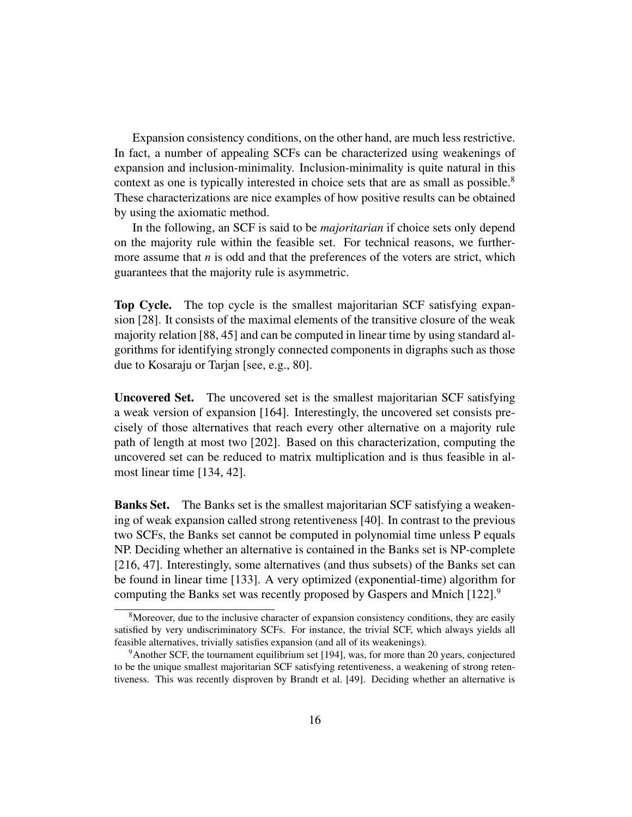Expansion consistency conditions, on the other hand, are much less restrictive. In fact, a number of appealing SCFs can be characterized using weakenings of expansion and inclusion-minimality. Inclusion-minimality is quite natural in this context as one is typically interested in choice sets that are as small as possible.<sup>8</sup> These characterizations are nice examples of how positive results can be obtained by using the axiomatic method.

In the following, an SCF is said to be *majoritarian* if choice sets only depend on the majority rule within the feasible set. For technical reasons, we furthermore assume that *n* is odd and that the preferences of the voters are strict, which guarantees that the majority rule is asymmetric.

Top Cycle. The top cycle is the smallest majoritarian SCF satisfying expansion [28]. It consists of the maximal elements of the transitive closure of the weak majority relation [88, 45] and can be computed in linear time by using standard algorithms for identifying strongly connected components in digraphs such as those due to Kosaraju or Tarjan [see, e.g., 80].

Uncovered Set. The uncovered set is the smallest majoritarian SCF satisfying a weak version of expansion [164]. Interestingly, the uncovered set consists precisely of those alternatives that reach every other alternative on a majority rule path of length at most two [202]. Based on this characterization, computing the uncovered set can be reduced to matrix multiplication and is thus feasible in almost linear time [134, 42].

Banks Set. The Banks set is the smallest majoritarian SCF satisfying a weakening of weak expansion called strong retentiveness [40]. In contrast to the previous two SCFs, the Banks set cannot be computed in polynomial time unless P equals NP. Deciding whether an alternative is contained in the Banks set is NP-complete [216, 47]. Interestingly, some alternatives (and thus subsets) of the Banks set can be found in linear time [133]. A very optimized (exponential-time) algorithm for computing the Banks set was recently proposed by Gaspers and Mnich [122].<sup>9</sup>

<sup>&</sup>lt;sup>8</sup>Moreover, due to the inclusive character of expansion consistency conditions, they are easily satisfied by very undiscriminatory SCFs. For instance, the trivial SCF, which always yields all feasible alternatives, trivially satisfies expansion (and all of its weakenings).

 $9$ Another SCF, the tournament equilibrium set [194], was, for more than 20 years, conjectured to be the unique smallest majoritarian SCF satisfying retentiveness, a weakening of strong retentiveness. This was recently disproven by Brandt et al. [49]. Deciding whether an alternative is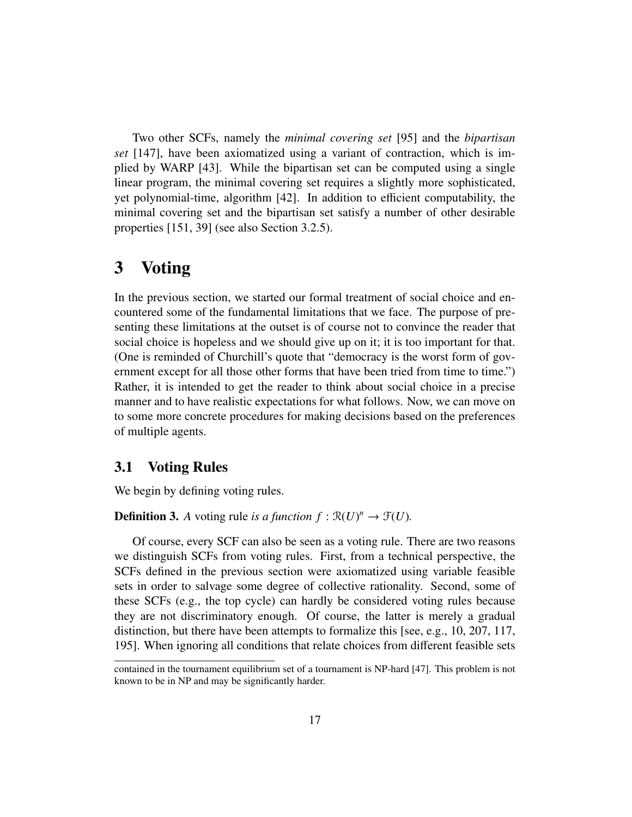Two other SCFs, namely the *minimal covering set* [95] and the *bipartisan set* [147], have been axiomatized using a variant of contraction, which is implied by WARP [43]. While the bipartisan set can be computed using a single linear program, the minimal covering set requires a slightly more sophisticated, yet polynomial-time, algorithm [42]. In addition to efficient computability, the minimal covering set and the bipartisan set satisfy a number of other desirable properties [151, 39] (see also Section 3.2.5).

## 3 Voting

In the previous section, we started our formal treatment of social choice and encountered some of the fundamental limitations that we face. The purpose of presenting these limitations at the outset is of course not to convince the reader that social choice is hopeless and we should give up on it; it is too important for that. (One is reminded of Churchill's quote that "democracy is the worst form of government except for all those other forms that have been tried from time to time.") Rather, it is intended to get the reader to think about social choice in a precise manner and to have realistic expectations for what follows. Now, we can move on to some more concrete procedures for making decisions based on the preferences of multiple agents.

#### 3.1 Voting Rules

We begin by defining voting rules.

#### **Definition 3.** A voting rule *is a function*  $f : \mathcal{R}(U)^n \to \mathcal{F}(U)$ .

Of course, every SCF can also be seen as a voting rule. There are two reasons we distinguish SCFs from voting rules. First, from a technical perspective, the SCFs defined in the previous section were axiomatized using variable feasible sets in order to salvage some degree of collective rationality. Second, some of these SCFs (e.g., the top cycle) can hardly be considered voting rules because they are not discriminatory enough. Of course, the latter is merely a gradual distinction, but there have been attempts to formalize this [see, e.g., 10, 207, 117, 195]. When ignoring all conditions that relate choices from different feasible sets

contained in the tournament equilibrium set of a tournament is NP-hard [47]. This problem is not known to be in NP and may be significantly harder.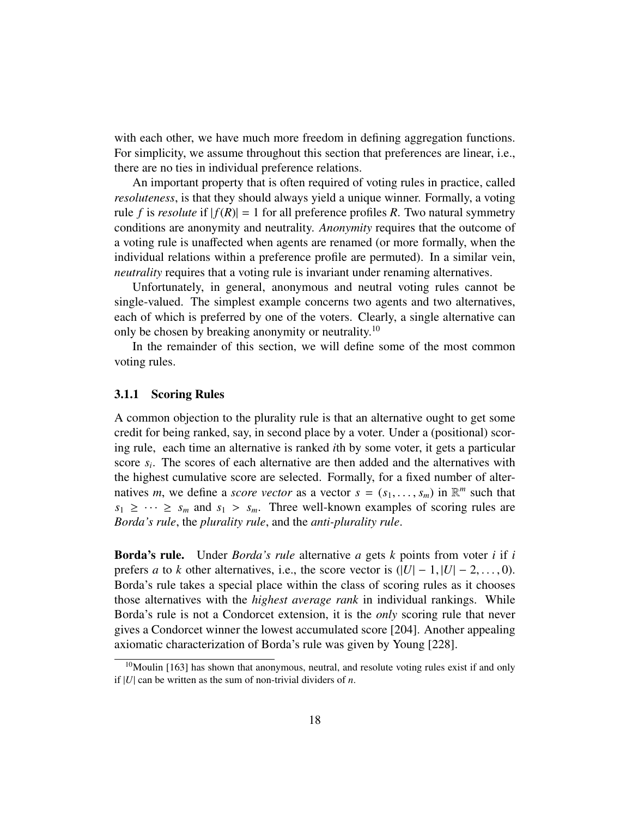with each other, we have much more freedom in defining aggregation functions. For simplicity, we assume throughout this section that preferences are linear, i.e., there are no ties in individual preference relations.

An important property that is often required of voting rules in practice, called *resoluteness*, is that they should always yield a unique winner. Formally, a voting rule *f* is *resolute* if  $|f(R)| = 1$  for all preference profiles *R*. Two natural symmetry conditions are anonymity and neutrality. *Anonymity* requires that the outcome of a voting rule is unaffected when agents are renamed (or more formally, when the individual relations within a preference profile are permuted). In a similar vein, *neutrality* requires that a voting rule is invariant under renaming alternatives.

Unfortunately, in general, anonymous and neutral voting rules cannot be single-valued. The simplest example concerns two agents and two alternatives, each of which is preferred by one of the voters. Clearly, a single alternative can only be chosen by breaking anonymity or neutrality.<sup>10</sup>

In the remainder of this section, we will define some of the most common voting rules.

#### 3.1.1 Scoring Rules

A common objection to the plurality rule is that an alternative ought to get some credit for being ranked, say, in second place by a voter. Under a (positional) scoring rule, each time an alternative is ranked *i*th by some voter, it gets a particular score  $s_i$ . The scores of each alternative are then added and the alternatives with the highest cumulative score are selected. Formally, for a fixed number of alternatives *m*, we define a *score vector* as a vector  $s = (s_1, \ldots, s_m)$  in  $\mathbb{R}^m$  such that  $s_1 \geq s_2 \geq s_3$  and  $s_2 \geq s_1$ . Three well-known examples of scoring rules are  $s_1 \geq \cdots \geq s_m$  and  $s_1 > s_m$ . Three well-known examples of scoring rules are *Borda's rule*, the *plurality rule*, and the *anti-plurality rule*.

Borda's rule. Under *Borda's rule* alternative *a* gets *k* points from voter *i* if *i* prefers *a* to *k* other alternatives, i.e., the score vector is  $(|U| - 1, |U| - 2, \ldots, 0)$ . Borda's rule takes a special place within the class of scoring rules as it chooses those alternatives with the *highest average rank* in individual rankings. While Borda's rule is not a Condorcet extension, it is the *only* scoring rule that never gives a Condorcet winner the lowest accumulated score [204]. Another appealing axiomatic characterization of Borda's rule was given by Young [228].

 $10$ Moulin [163] has shown that anonymous, neutral, and resolute voting rules exist if and only if |*U*| can be written as the sum of non-trivial dividers of *n*.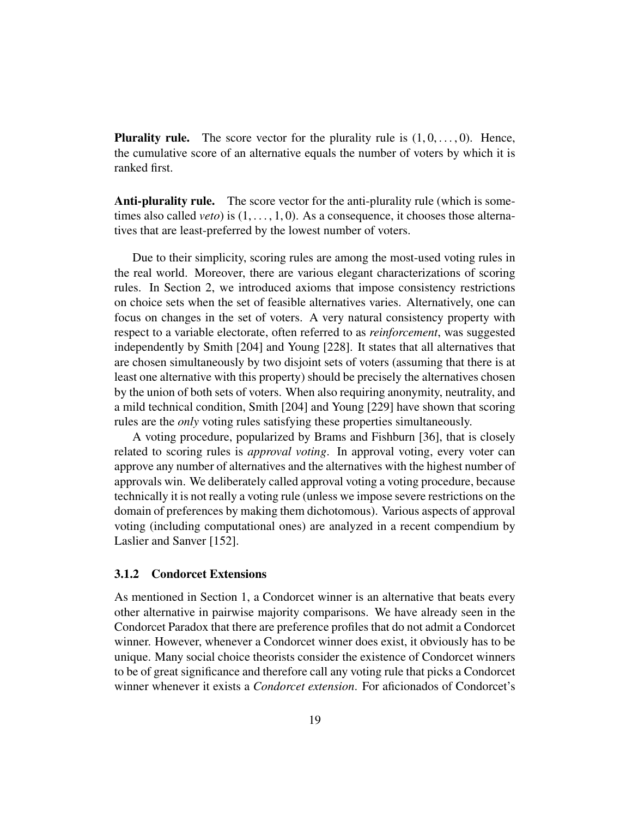**Plurality rule.** The score vector for the plurality rule is  $(1, 0, \ldots, 0)$ . Hence, the cumulative score of an alternative equals the number of voters by which it is ranked first.

Anti-plurality rule. The score vector for the anti-plurality rule (which is sometimes also called *veto*) is  $(1, \ldots, 1, 0)$ . As a consequence, it chooses those alternatives that are least-preferred by the lowest number of voters.

Due to their simplicity, scoring rules are among the most-used voting rules in the real world. Moreover, there are various elegant characterizations of scoring rules. In Section 2, we introduced axioms that impose consistency restrictions on choice sets when the set of feasible alternatives varies. Alternatively, one can focus on changes in the set of voters. A very natural consistency property with respect to a variable electorate, often referred to as *reinforcement*, was suggested independently by Smith [204] and Young [228]. It states that all alternatives that are chosen simultaneously by two disjoint sets of voters (assuming that there is at least one alternative with this property) should be precisely the alternatives chosen by the union of both sets of voters. When also requiring anonymity, neutrality, and a mild technical condition, Smith [204] and Young [229] have shown that scoring rules are the *only* voting rules satisfying these properties simultaneously.

A voting procedure, popularized by Brams and Fishburn [36], that is closely related to scoring rules is *approval voting*. In approval voting, every voter can approve any number of alternatives and the alternatives with the highest number of approvals win. We deliberately called approval voting a voting procedure, because technically it is not really a voting rule (unless we impose severe restrictions on the domain of preferences by making them dichotomous). Various aspects of approval voting (including computational ones) are analyzed in a recent compendium by Laslier and Sanver [152].

#### 3.1.2 Condorcet Extensions

As mentioned in Section 1, a Condorcet winner is an alternative that beats every other alternative in pairwise majority comparisons. We have already seen in the Condorcet Paradox that there are preference profiles that do not admit a Condorcet winner. However, whenever a Condorcet winner does exist, it obviously has to be unique. Many social choice theorists consider the existence of Condorcet winners to be of great significance and therefore call any voting rule that picks a Condorcet winner whenever it exists a *Condorcet extension*. For aficionados of Condorcet's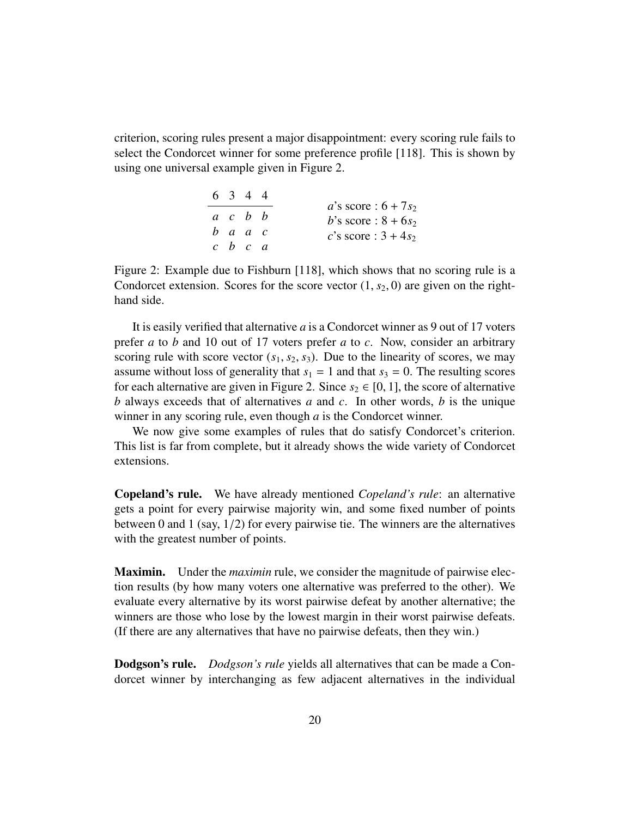criterion, scoring rules present a major disappointment: every scoring rule fails to select the Condorcet winner for some preference profile [118]. This is shown by using one universal example given in Figure 2.

| a c b b<br>$b$ a a c<br>$c$ b $c$ a |  | 6 3 4 4 |                                                         |
|-------------------------------------|--|---------|---------------------------------------------------------|
|                                     |  |         | <i>a</i> 's score: $6 + 7s_2$<br>b's score : $8 + 6s_2$ |
|                                     |  |         | c's score : $3 + 4s_2$                                  |

Figure 2: Example due to Fishburn [118], which shows that no scoring rule is a Condorcet extension. Scores for the score vector  $(1, s_2, 0)$  are given on the righthand side.

It is easily verified that alternative *a* is a Condorcet winner as 9 out of 17 voters prefer *a* to *b* and 10 out of 17 voters prefer *a* to *c*. Now, consider an arbitrary scoring rule with score vector  $(s_1, s_2, s_3)$ . Due to the linearity of scores, we may assume without loss of generality that  $s_1 = 1$  and that  $s_3 = 0$ . The resulting scores for each alternative are given in Figure 2. Since  $s_2 \in [0, 1]$ , the score of alternative *b* always exceeds that of alternatives *a* and *c*. In other words, *b* is the unique winner in any scoring rule, even though *a* is the Condorcet winner.

We now give some examples of rules that do satisfy Condorcet's criterion. This list is far from complete, but it already shows the wide variety of Condorcet extensions.

Copeland's rule. We have already mentioned *Copeland's rule*: an alternative gets a point for every pairwise majority win, and some fixed number of points between 0 and 1 (say, 1/2) for every pairwise tie. The winners are the alternatives with the greatest number of points.

Maximin. Under the *maximin* rule, we consider the magnitude of pairwise election results (by how many voters one alternative was preferred to the other). We evaluate every alternative by its worst pairwise defeat by another alternative; the winners are those who lose by the lowest margin in their worst pairwise defeats. (If there are any alternatives that have no pairwise defeats, then they win.)

Dodgson's rule. *Dodgson's rule* yields all alternatives that can be made a Condorcet winner by interchanging as few adjacent alternatives in the individual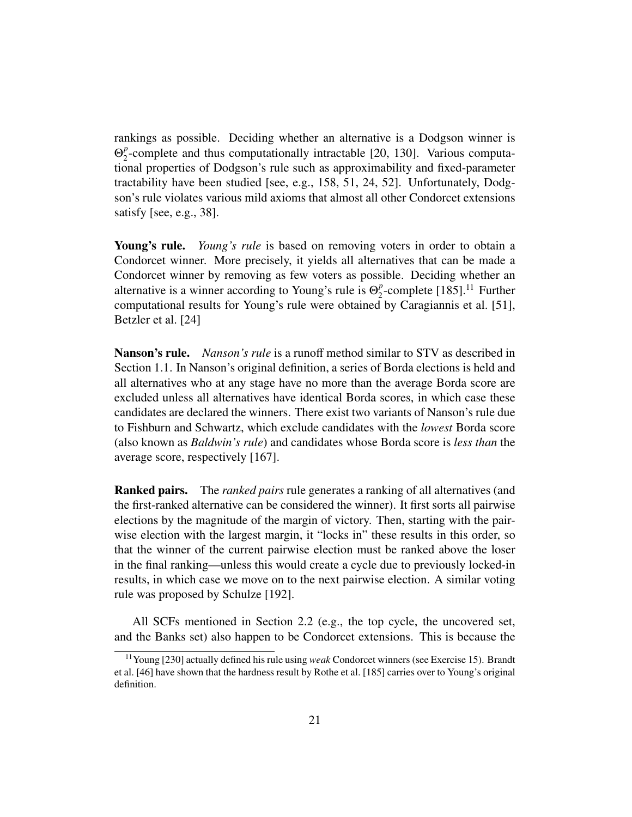rankings as possible. Deciding whether an alternative is a Dodgson winner is  $\Theta_2^p$  $\frac{p}{2}$ -complete and thus computationally intractable [20, 130]. Various computational properties of Dodgson's rule such as approximability and fixed-parameter tractability have been studied [see, e.g., 158, 51, 24, 52]. Unfortunately, Dodgson's rule violates various mild axioms that almost all other Condorcet extensions satisfy [see, e.g., 38].

Young's rule. *Young's rule* is based on removing voters in order to obtain a Condorcet winner. More precisely, it yields all alternatives that can be made a Condorcet winner by removing as few voters as possible. Deciding whether an alternative is a winner according to Young's rule is Θ *p*  $2^P$ -complete [185].<sup>11</sup> Further computational results for Young's rule were obtained by Caragiannis et al. [51], Betzler et al. [24]

Nanson's rule. *Nanson's rule* is a runoff method similar to STV as described in Section 1.1. In Nanson's original definition, a series of Borda elections is held and all alternatives who at any stage have no more than the average Borda score are excluded unless all alternatives have identical Borda scores, in which case these candidates are declared the winners. There exist two variants of Nanson's rule due to Fishburn and Schwartz, which exclude candidates with the *lowest* Borda score (also known as *Baldwin's rule*) and candidates whose Borda score is *less than* the average score, respectively [167].

Ranked pairs. The *ranked pairs* rule generates a ranking of all alternatives (and the first-ranked alternative can be considered the winner). It first sorts all pairwise elections by the magnitude of the margin of victory. Then, starting with the pairwise election with the largest margin, it "locks in" these results in this order, so that the winner of the current pairwise election must be ranked above the loser in the final ranking—unless this would create a cycle due to previously locked-in results, in which case we move on to the next pairwise election. A similar voting rule was proposed by Schulze [192].

All SCFs mentioned in Section 2.2 (e.g., the top cycle, the uncovered set, and the Banks set) also happen to be Condorcet extensions. This is because the

<sup>11</sup>Young [230] actually defined his rule using *weak* Condorcet winners (see Exercise 15). Brandt et al. [46] have shown that the hardness result by Rothe et al. [185] carries over to Young's original definition.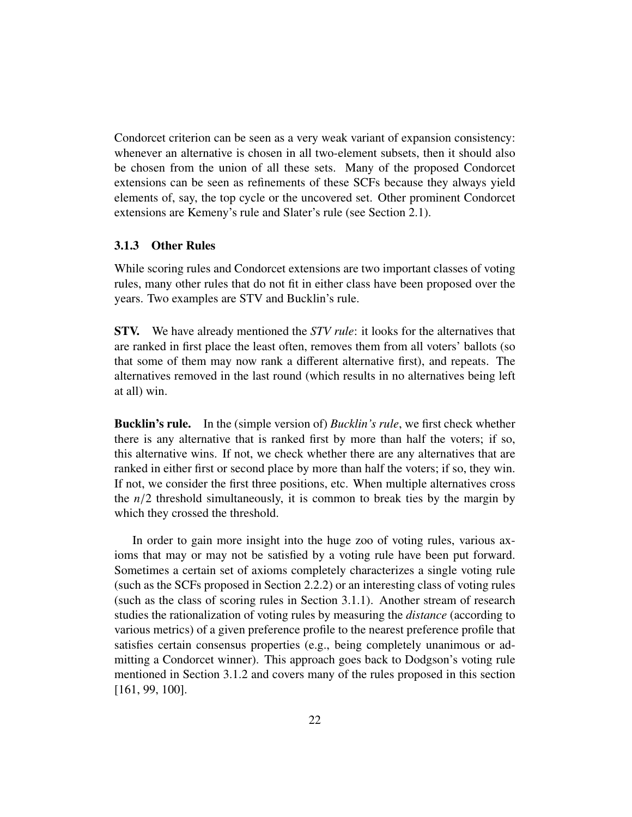Condorcet criterion can be seen as a very weak variant of expansion consistency: whenever an alternative is chosen in all two-element subsets, then it should also be chosen from the union of all these sets. Many of the proposed Condorcet extensions can be seen as refinements of these SCFs because they always yield elements of, say, the top cycle or the uncovered set. Other prominent Condorcet extensions are Kemeny's rule and Slater's rule (see Section 2.1).

#### 3.1.3 Other Rules

While scoring rules and Condorcet extensions are two important classes of voting rules, many other rules that do not fit in either class have been proposed over the years. Two examples are STV and Bucklin's rule.

STV. We have already mentioned the *STV rule*: it looks for the alternatives that are ranked in first place the least often, removes them from all voters' ballots (so that some of them may now rank a different alternative first), and repeats. The alternatives removed in the last round (which results in no alternatives being left at all) win.

Bucklin's rule. In the (simple version of) *Bucklin's rule*, we first check whether there is any alternative that is ranked first by more than half the voters; if so, this alternative wins. If not, we check whether there are any alternatives that are ranked in either first or second place by more than half the voters; if so, they win. If not, we consider the first three positions, etc. When multiple alternatives cross the  $n/2$  threshold simultaneously, it is common to break ties by the margin by which they crossed the threshold.

In order to gain more insight into the huge zoo of voting rules, various axioms that may or may not be satisfied by a voting rule have been put forward. Sometimes a certain set of axioms completely characterizes a single voting rule (such as the SCFs proposed in Section 2.2.2) or an interesting class of voting rules (such as the class of scoring rules in Section 3.1.1). Another stream of research studies the rationalization of voting rules by measuring the *distance* (according to various metrics) of a given preference profile to the nearest preference profile that satisfies certain consensus properties (e.g., being completely unanimous or admitting a Condorcet winner). This approach goes back to Dodgson's voting rule mentioned in Section 3.1.2 and covers many of the rules proposed in this section [161, 99, 100].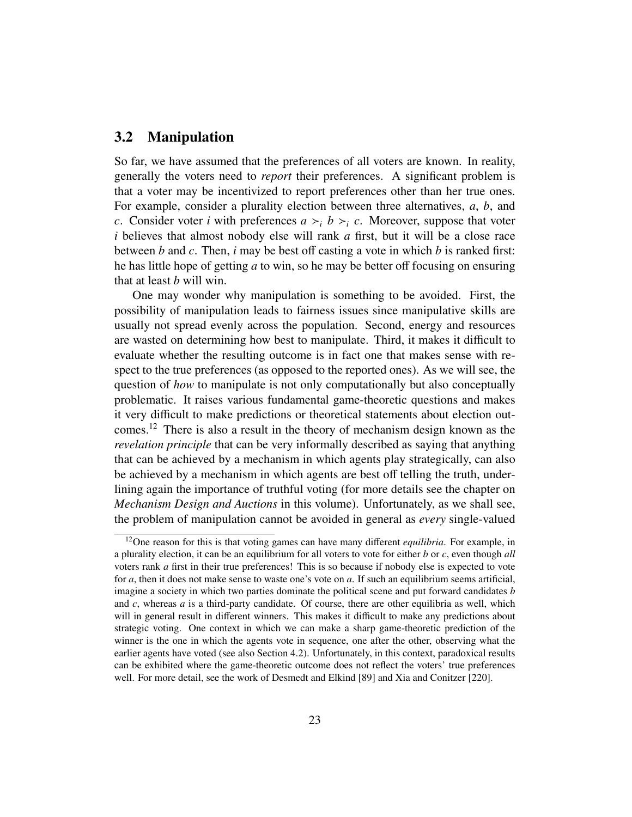#### 3.2 Manipulation

So far, we have assumed that the preferences of all voters are known. In reality, generally the voters need to *report* their preferences. A significant problem is that a voter may be incentivized to report preferences other than her true ones. For example, consider a plurality election between three alternatives, *a*, *b*, and *c*. Consider voter *i* with preferences  $a \succ_i b \succ_i c$ . Moreover, suppose that voter *i* believes that almost nobody else will rank *a* first, but it will be a close race between *b* and *c*. Then, *i* may be best off casting a vote in which *b* is ranked first: he has little hope of getting *a* to win, so he may be better off focusing on ensuring that at least *b* will win.

One may wonder why manipulation is something to be avoided. First, the possibility of manipulation leads to fairness issues since manipulative skills are usually not spread evenly across the population. Second, energy and resources are wasted on determining how best to manipulate. Third, it makes it difficult to evaluate whether the resulting outcome is in fact one that makes sense with respect to the true preferences (as opposed to the reported ones). As we will see, the question of *how* to manipulate is not only computationally but also conceptually problematic. It raises various fundamental game-theoretic questions and makes it very difficult to make predictions or theoretical statements about election outcomes.<sup>12</sup> There is also a result in the theory of mechanism design known as the *revelation principle* that can be very informally described as saying that anything that can be achieved by a mechanism in which agents play strategically, can also be achieved by a mechanism in which agents are best off telling the truth, underlining again the importance of truthful voting (for more details see the chapter on *Mechanism Design and Auctions* in this volume). Unfortunately, as we shall see, the problem of manipulation cannot be avoided in general as *every* single-valued

<sup>12</sup>One reason for this is that voting games can have many different *equilibria*. For example, in a plurality election, it can be an equilibrium for all voters to vote for either *b* or *c*, even though *all* voters rank *a* first in their true preferences! This is so because if nobody else is expected to vote for *a*, then it does not make sense to waste one's vote on *a*. If such an equilibrium seems artificial, imagine a society in which two parties dominate the political scene and put forward candidates *b* and *c*, whereas *a* is a third-party candidate. Of course, there are other equilibria as well, which will in general result in different winners. This makes it difficult to make any predictions about strategic voting. One context in which we can make a sharp game-theoretic prediction of the winner is the one in which the agents vote in sequence, one after the other, observing what the earlier agents have voted (see also Section 4.2). Unfortunately, in this context, paradoxical results can be exhibited where the game-theoretic outcome does not reflect the voters' true preferences well. For more detail, see the work of Desmedt and Elkind [89] and Xia and Conitzer [220].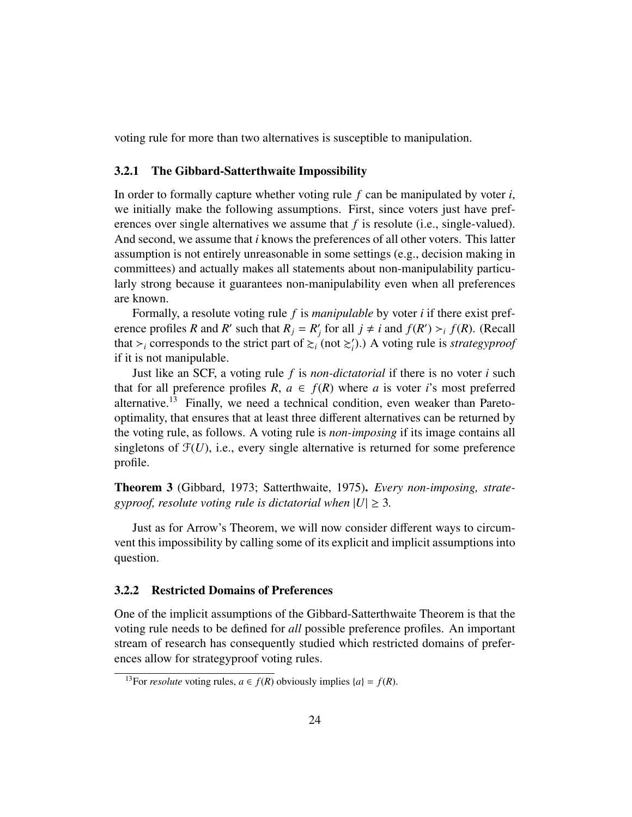voting rule for more than two alternatives is susceptible to manipulation.

#### 3.2.1 The Gibbard-Satterthwaite Impossibility

In order to formally capture whether voting rule *f* can be manipulated by voter *i*, we initially make the following assumptions. First, since voters just have preferences over single alternatives we assume that *f* is resolute (i.e., single-valued). And second, we assume that *i* knows the preferences of all other voters. This latter assumption is not entirely unreasonable in some settings (e.g., decision making in committees) and actually makes all statements about non-manipulability particularly strong because it guarantees non-manipulability even when all preferences are known.

Formally, a resolute voting rule *f* is *manipulable* by voter *i* if there exist preference profiles *R* and *R'* such that  $R_j = R'_j$ *f*<sub>i</sub> for all  $j \neq i$  and  $f(R') > i f(R)$ . (Recall that  $\succ_i$  corresponds to the strict part of  $\succ_i$  (not  $\succ_i$ ) *i* ).) A voting rule is *strategyproof* if it is not manipulable.

Just like an SCF, a voting rule *f* is *non-dictatorial* if there is no voter *i* such that for all preference profiles  $R$ ,  $a \in f(R)$  where *a* is voter *i*'s most preferred alternative.<sup>13</sup> Finally, we need a technical condition, even weaker than Paretooptimality, that ensures that at least three different alternatives can be returned by the voting rule, as follows. A voting rule is *non-imposing* if its image contains all singletons of  $\mathcal{F}(U)$ , i.e., every single alternative is returned for some preference profile.

Theorem 3 (Gibbard, 1973; Satterthwaite, 1975). *Every non-imposing, strategyproof, resolute voting rule is dictatorial when*  $|U| \geq 3$ .

Just as for Arrow's Theorem, we will now consider different ways to circumvent this impossibility by calling some of its explicit and implicit assumptions into question.

#### 3.2.2 Restricted Domains of Preferences

One of the implicit assumptions of the Gibbard-Satterthwaite Theorem is that the voting rule needs to be defined for *all* possible preference profiles. An important stream of research has consequently studied which restricted domains of preferences allow for strategyproof voting rules.

<sup>&</sup>lt;sup>13</sup>For *resolute* voting rules,  $a \in f(R)$  obviously implies  $\{a\} = f(R)$ .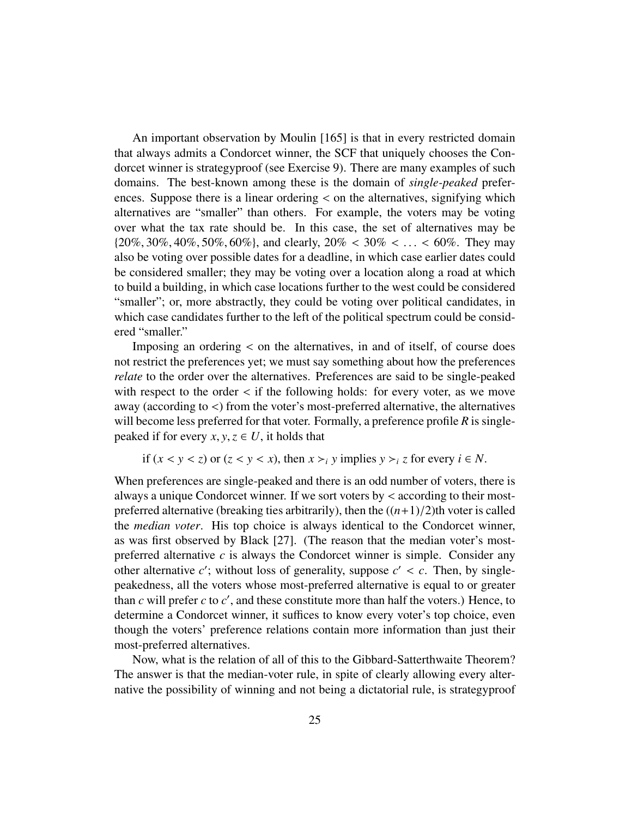An important observation by Moulin [165] is that in every restricted domain that always admits a Condorcet winner, the SCF that uniquely chooses the Condorcet winner is strategyproof (see Exercise 9). There are many examples of such domains. The best-known among these is the domain of *single-peaked* preferences. Suppose there is a linear ordering < on the alternatives, signifying which alternatives are "smaller" than others. For example, the voters may be voting over what the tax rate should be. In this case, the set of alternatives may be  $\{20\%, 30\%, 40\%, 50\%, 60\%\}$ , and clearly,  $20\% < 30\% < \ldots < 60\%$ . They may also be voting over possible dates for a deadline, in which case earlier dates could be considered smaller; they may be voting over a location along a road at which to build a building, in which case locations further to the west could be considered "smaller"; or, more abstractly, they could be voting over political candidates, in which case candidates further to the left of the political spectrum could be considered "smaller."

Imposing an ordering < on the alternatives, in and of itself, of course does not restrict the preferences yet; we must say something about how the preferences *relate* to the order over the alternatives. Preferences are said to be single-peaked with respect to the order  $\lt$  if the following holds: for every voter, as we move away (according to <) from the voter's most-preferred alternative, the alternatives will become less preferred for that voter. Formally, a preference profile *R* is singlepeaked if for every  $x, y, z \in U$ , it holds that

if 
$$
(x < y < z)
$$
 or  $(z < y < x)$ , then  $x \succ_i y$  implies  $y \succ_i z$  for every  $i \in N$ .

When preferences are single-peaked and there is an odd number of voters, there is always a unique Condorcet winner. If we sort voters by < according to their mostpreferred alternative (breaking ties arbitrarily), then the  $((n+1)/2)$ th voter is called the *median voter*. His top choice is always identical to the Condorcet winner, as was first observed by Black [27]. (The reason that the median voter's mostpreferred alternative *c* is always the Condorcet winner is simple. Consider any other alternative *c'*; without loss of generality, suppose  $c' < c$ . Then, by single-<br>peakedness, all the voters whose most-preferred alternative is equal to or greater peakedness, all the voters whose most-preferred alternative is equal to or greater than  $c$  will prefer  $c$  to  $c'$ , and these constitute more than half the voters.) Hence, to determine a Condorcet winner, it suffices to know every voter's top choice, even though the voters' preference relations contain more information than just their most-preferred alternatives.

Now, what is the relation of all of this to the Gibbard-Satterthwaite Theorem? The answer is that the median-voter rule, in spite of clearly allowing every alternative the possibility of winning and not being a dictatorial rule, is strategyproof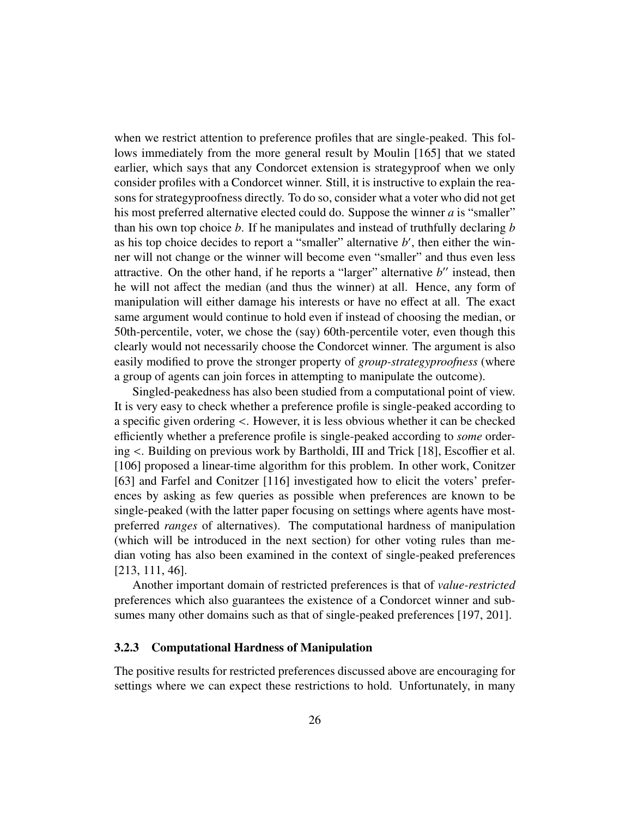when we restrict attention to preference profiles that are single-peaked. This follows immediately from the more general result by Moulin [165] that we stated earlier, which says that any Condorcet extension is strategyproof when we only consider profiles with a Condorcet winner. Still, it is instructive to explain the reasons for strategyproofness directly. To do so, consider what a voter who did not get his most preferred alternative elected could do. Suppose the winner *a* is "smaller" than his own top choice *b*. If he manipulates and instead of truthfully declaring *b* as his top choice decides to report a "smaller" alternative  $b'$ , then either the winner will not change or the winner will become even "smaller" and thus even less attractive. On the other hand, if he reports a "larger" alternative  $b$ <sup>"</sup> instead, then he will not affect the median (and thus the winner) at all. Hence, any form of manipulation will either damage his interests or have no effect at all. The exact same argument would continue to hold even if instead of choosing the median, or 50th-percentile, voter, we chose the (say) 60th-percentile voter, even though this clearly would not necessarily choose the Condorcet winner. The argument is also easily modified to prove the stronger property of *group-strategyproofness* (where a group of agents can join forces in attempting to manipulate the outcome).

Singled-peakedness has also been studied from a computational point of view. It is very easy to check whether a preference profile is single-peaked according to a specific given ordering <. However, it is less obvious whether it can be checked efficiently whether a preference profile is single-peaked according to *some* ordering <. Building on previous work by Bartholdi, III and Trick [18], Escoffier et al. [106] proposed a linear-time algorithm for this problem. In other work, Conitzer [63] and Farfel and Conitzer [116] investigated how to elicit the voters' preferences by asking as few queries as possible when preferences are known to be single-peaked (with the latter paper focusing on settings where agents have mostpreferred *ranges* of alternatives). The computational hardness of manipulation (which will be introduced in the next section) for other voting rules than median voting has also been examined in the context of single-peaked preferences [213, 111, 46].

Another important domain of restricted preferences is that of *value-restricted* preferences which also guarantees the existence of a Condorcet winner and subsumes many other domains such as that of single-peaked preferences [197, 201].

#### 3.2.3 Computational Hardness of Manipulation

The positive results for restricted preferences discussed above are encouraging for settings where we can expect these restrictions to hold. Unfortunately, in many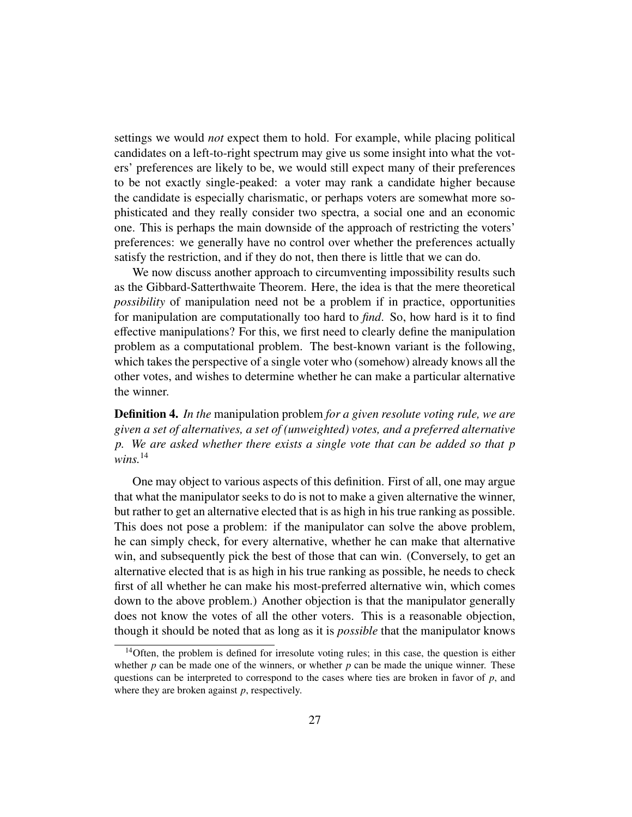settings we would *not* expect them to hold. For example, while placing political candidates on a left-to-right spectrum may give us some insight into what the voters' preferences are likely to be, we would still expect many of their preferences to be not exactly single-peaked: a voter may rank a candidate higher because the candidate is especially charismatic, or perhaps voters are somewhat more sophisticated and they really consider two spectra, a social one and an economic one. This is perhaps the main downside of the approach of restricting the voters' preferences: we generally have no control over whether the preferences actually satisfy the restriction, and if they do not, then there is little that we can do.

We now discuss another approach to circumventing impossibility results such as the Gibbard-Satterthwaite Theorem. Here, the idea is that the mere theoretical *possibility* of manipulation need not be a problem if in practice, opportunities for manipulation are computationally too hard to *find*. So, how hard is it to find effective manipulations? For this, we first need to clearly define the manipulation problem as a computational problem. The best-known variant is the following, which takes the perspective of a single voter who (somehow) already knows all the other votes, and wishes to determine whether he can make a particular alternative the winner.

Definition 4. *In the* manipulation problem *for a given resolute voting rule, we are given a set of alternatives, a set of (unweighted) votes, and a preferred alternative p. We are asked whether there exists a single vote that can be added so that p*  $\text{wins.}^{14}$ 

One may object to various aspects of this definition. First of all, one may argue that what the manipulator seeks to do is not to make a given alternative the winner, but rather to get an alternative elected that is as high in his true ranking as possible. This does not pose a problem: if the manipulator can solve the above problem, he can simply check, for every alternative, whether he can make that alternative win, and subsequently pick the best of those that can win. (Conversely, to get an alternative elected that is as high in his true ranking as possible, he needs to check first of all whether he can make his most-preferred alternative win, which comes down to the above problem.) Another objection is that the manipulator generally does not know the votes of all the other voters. This is a reasonable objection, though it should be noted that as long as it is *possible* that the manipulator knows

 $14$ Often, the problem is defined for irresolute voting rules; in this case, the question is either whether  $p$  can be made one of the winners, or whether  $p$  can be made the unique winner. These questions can be interpreted to correspond to the cases where ties are broken in favor of *p*, and where they are broken against *p*, respectively.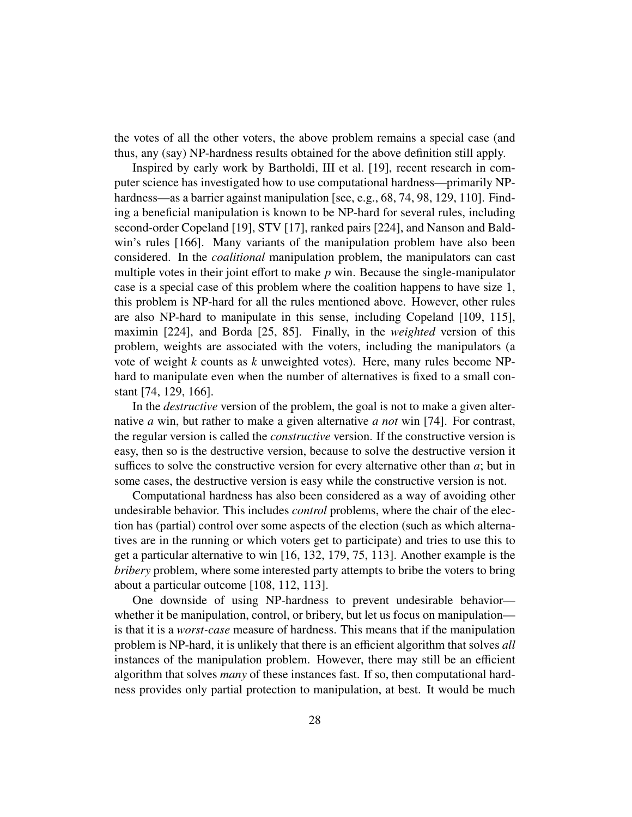the votes of all the other voters, the above problem remains a special case (and thus, any (say) NP-hardness results obtained for the above definition still apply.

Inspired by early work by Bartholdi, III et al. [19], recent research in computer science has investigated how to use computational hardness—primarily NPhardness—as a barrier against manipulation [see, e.g., 68, 74, 98, 129, 110]. Finding a beneficial manipulation is known to be NP-hard for several rules, including second-order Copeland [19], STV [17], ranked pairs [224], and Nanson and Baldwin's rules [166]. Many variants of the manipulation problem have also been considered. In the *coalitional* manipulation problem, the manipulators can cast multiple votes in their joint effort to make *p* win. Because the single-manipulator case is a special case of this problem where the coalition happens to have size 1, this problem is NP-hard for all the rules mentioned above. However, other rules are also NP-hard to manipulate in this sense, including Copeland [109, 115], maximin [224], and Borda [25, 85]. Finally, in the *weighted* version of this problem, weights are associated with the voters, including the manipulators (a vote of weight *k* counts as *k* unweighted votes). Here, many rules become NPhard to manipulate even when the number of alternatives is fixed to a small constant [74, 129, 166].

In the *destructive* version of the problem, the goal is not to make a given alternative *a* win, but rather to make a given alternative *a not* win [74]. For contrast, the regular version is called the *constructive* version. If the constructive version is easy, then so is the destructive version, because to solve the destructive version it suffices to solve the constructive version for every alternative other than *a*; but in some cases, the destructive version is easy while the constructive version is not.

Computational hardness has also been considered as a way of avoiding other undesirable behavior. This includes *control* problems, where the chair of the election has (partial) control over some aspects of the election (such as which alternatives are in the running or which voters get to participate) and tries to use this to get a particular alternative to win [16, 132, 179, 75, 113]. Another example is the *bribery* problem, where some interested party attempts to bribe the voters to bring about a particular outcome [108, 112, 113].

One downside of using NP-hardness to prevent undesirable behavior whether it be manipulation, control, or bribery, but let us focus on manipulation is that it is a *worst-case* measure of hardness. This means that if the manipulation problem is NP-hard, it is unlikely that there is an efficient algorithm that solves *all* instances of the manipulation problem. However, there may still be an efficient algorithm that solves *many* of these instances fast. If so, then computational hardness provides only partial protection to manipulation, at best. It would be much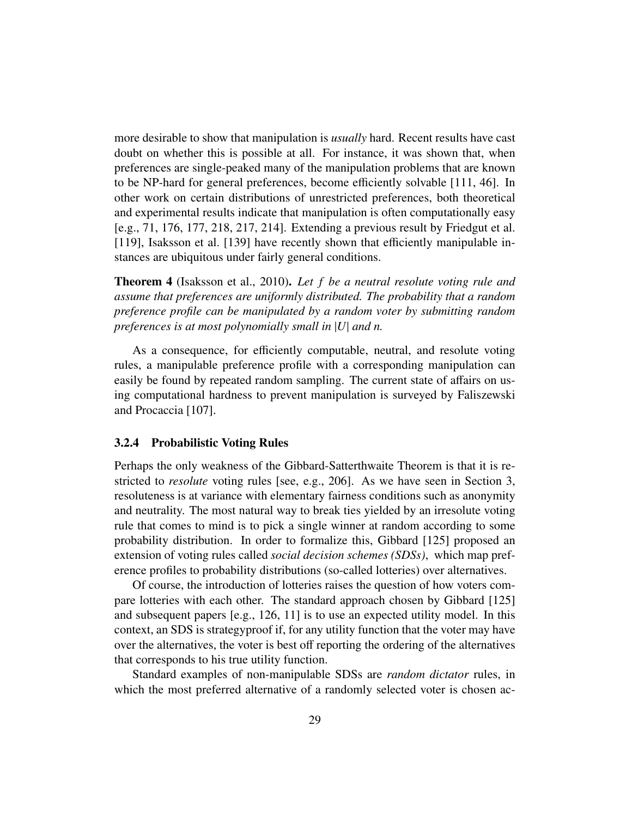more desirable to show that manipulation is *usually* hard. Recent results have cast doubt on whether this is possible at all. For instance, it was shown that, when preferences are single-peaked many of the manipulation problems that are known to be NP-hard for general preferences, become efficiently solvable [111, 46]. In other work on certain distributions of unrestricted preferences, both theoretical and experimental results indicate that manipulation is often computationally easy [e.g., 71, 176, 177, 218, 217, 214]. Extending a previous result by Friedgut et al. [119], Isaksson et al. [139] have recently shown that efficiently manipulable instances are ubiquitous under fairly general conditions.

Theorem 4 (Isaksson et al., 2010). *Let f be a neutral resolute voting rule and assume that preferences are uniformly distributed. The probability that a random preference profile can be manipulated by a random voter by submitting random preferences is at most polynomially small in* |*U*| *and n.*

As a consequence, for efficiently computable, neutral, and resolute voting rules, a manipulable preference profile with a corresponding manipulation can easily be found by repeated random sampling. The current state of affairs on using computational hardness to prevent manipulation is surveyed by Faliszewski and Procaccia [107].

#### 3.2.4 Probabilistic Voting Rules

Perhaps the only weakness of the Gibbard-Satterthwaite Theorem is that it is restricted to *resolute* voting rules [see, e.g., 206]. As we have seen in Section 3, resoluteness is at variance with elementary fairness conditions such as anonymity and neutrality. The most natural way to break ties yielded by an irresolute voting rule that comes to mind is to pick a single winner at random according to some probability distribution. In order to formalize this, Gibbard [125] proposed an extension of voting rules called *social decision schemes (SDSs)*, which map preference profiles to probability distributions (so-called lotteries) over alternatives.

Of course, the introduction of lotteries raises the question of how voters compare lotteries with each other. The standard approach chosen by Gibbard [125] and subsequent papers [e.g., 126, 11] is to use an expected utility model. In this context, an SDS is strategyproof if, for any utility function that the voter may have over the alternatives, the voter is best off reporting the ordering of the alternatives that corresponds to his true utility function.

Standard examples of non-manipulable SDSs are *random dictator* rules, in which the most preferred alternative of a randomly selected voter is chosen ac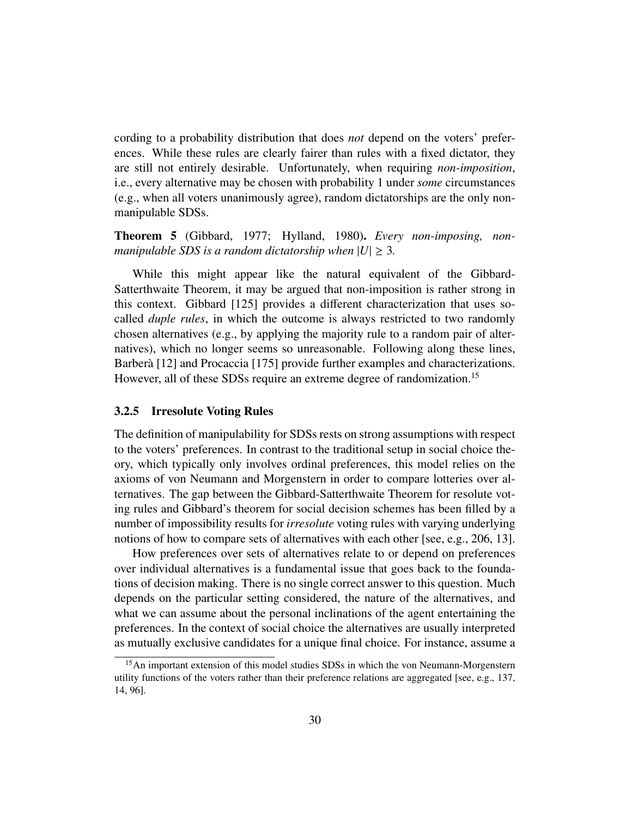cording to a probability distribution that does *not* depend on the voters' preferences. While these rules are clearly fairer than rules with a fixed dictator, they are still not entirely desirable. Unfortunately, when requiring *non-imposition*, i.e., every alternative may be chosen with probability 1 under *some* circumstances (e.g., when all voters unanimously agree), random dictatorships are the only nonmanipulable SDSs.

Theorem 5 (Gibbard, 1977; Hylland, 1980). *Every non-imposing, nonmanipulable SDS is a random dictatorship when*  $|U| \geq 3$ .

While this might appear like the natural equivalent of the Gibbard-Satterthwaite Theorem, it may be argued that non-imposition is rather strong in this context. Gibbard [125] provides a different characterization that uses socalled *duple rules*, in which the outcome is always restricted to two randomly chosen alternatives (e.g., by applying the majority rule to a random pair of alternatives), which no longer seems so unreasonable. Following along these lines, Barberà [12] and Procaccia [175] provide further examples and characterizations. However, all of these SDSs require an extreme degree of randomization.<sup>15</sup>

#### 3.2.5 Irresolute Voting Rules

The definition of manipulability for SDSs rests on strong assumptions with respect to the voters' preferences. In contrast to the traditional setup in social choice theory, which typically only involves ordinal preferences, this model relies on the axioms of von Neumann and Morgenstern in order to compare lotteries over alternatives. The gap between the Gibbard-Satterthwaite Theorem for resolute voting rules and Gibbard's theorem for social decision schemes has been filled by a number of impossibility results for *irresolute* voting rules with varying underlying notions of how to compare sets of alternatives with each other [see, e.g., 206, 13].

How preferences over sets of alternatives relate to or depend on preferences over individual alternatives is a fundamental issue that goes back to the foundations of decision making. There is no single correct answer to this question. Much depends on the particular setting considered, the nature of the alternatives, and what we can assume about the personal inclinations of the agent entertaining the preferences. In the context of social choice the alternatives are usually interpreted as mutually exclusive candidates for a unique final choice. For instance, assume a

<sup>&</sup>lt;sup>15</sup>An important extension of this model studies SDSs in which the von Neumann-Morgenstern utility functions of the voters rather than their preference relations are aggregated [see, e.g., 137, 14, 96].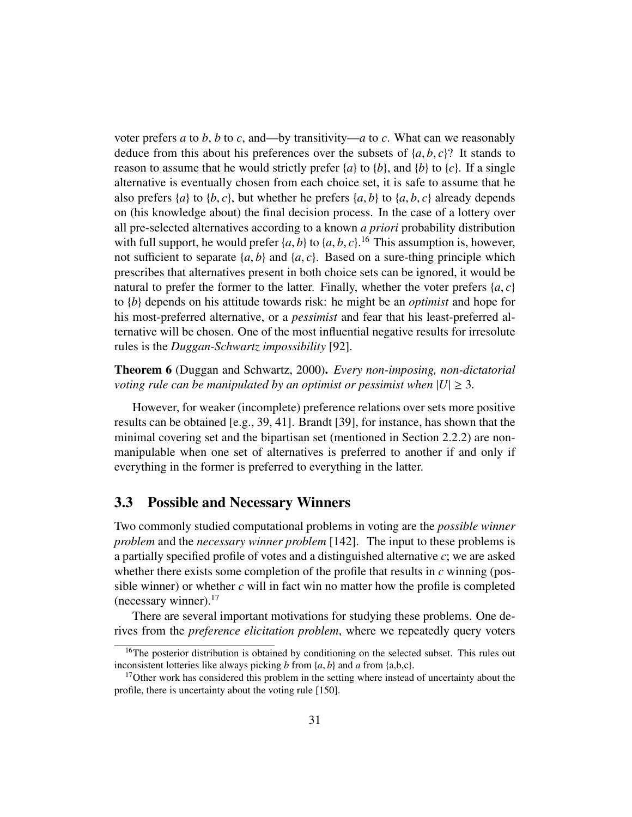voter prefers *a* to *b*, *b* to *c*, and—by transitivity—*a* to *c*. What can we reasonably deduce from this about his preferences over the subsets of  $\{a, b, c\}$ ? It stands to reason to assume that he would strictly prefer  $\{a\}$  to  $\{b\}$ , and  $\{b\}$  to  $\{c\}$ . If a single alternative is eventually chosen from each choice set, it is safe to assume that he also prefers  $\{a\}$  to  $\{b, c\}$ , but whether he prefers  $\{a, b\}$  to  $\{a, b, c\}$  already depends on (his knowledge about) the final decision process. In the case of a lottery over all pre-selected alternatives according to a known *a priori* probability distribution with full support, he would prefer  $\{a, b\}$  to  $\{a, b, c\}$ .<sup>16</sup> This assumption is, however, not sufficient to separate  $\{a, b\}$  and  $\{a, c\}$ . Based on a sure-thing principle which not sufficient to separate  $\{a, b\}$  and  $\{a, c\}$ . Based on a sure-thing principle which prescribes that alternatives present in both choice sets can be ignored, it would be natural to prefer the former to the latter. Finally, whether the voter prefers  $\{a, c\}$ to {*b*} depends on his attitude towards risk: he might be an *optimist* and hope for his most-preferred alternative, or a *pessimist* and fear that his least-preferred alternative will be chosen. One of the most influential negative results for irresolute rules is the *Duggan-Schwartz impossibility* [92].

Theorem 6 (Duggan and Schwartz, 2000). *Every non-imposing, non-dictatorial voting rule can be manipulated by an optimist or pessimist when*  $|U| \geq 3$ .

However, for weaker (incomplete) preference relations over sets more positive results can be obtained [e.g., 39, 41]. Brandt [39], for instance, has shown that the minimal covering set and the bipartisan set (mentioned in Section 2.2.2) are nonmanipulable when one set of alternatives is preferred to another if and only if everything in the former is preferred to everything in the latter.

#### 3.3 Possible and Necessary Winners

Two commonly studied computational problems in voting are the *possible winner problem* and the *necessary winner problem* [142]. The input to these problems is a partially specified profile of votes and a distinguished alternative *c*; we are asked whether there exists some completion of the profile that results in *c* winning (possible winner) or whether  $c$  will in fact win no matter how the profile is completed (necessary winner). $^{17}$ 

There are several important motivations for studying these problems. One derives from the *preference elicitation problem*, where we repeatedly query voters

 $16$ The posterior distribution is obtained by conditioning on the selected subset. This rules out inconsistent lotteries like always picking *b* from  $\{a, b\}$  and *a* from  $\{a, b, c\}$ .

<sup>&</sup>lt;sup>17</sup>Other work has considered this problem in the setting where instead of uncertainty about the profile, there is uncertainty about the voting rule [150].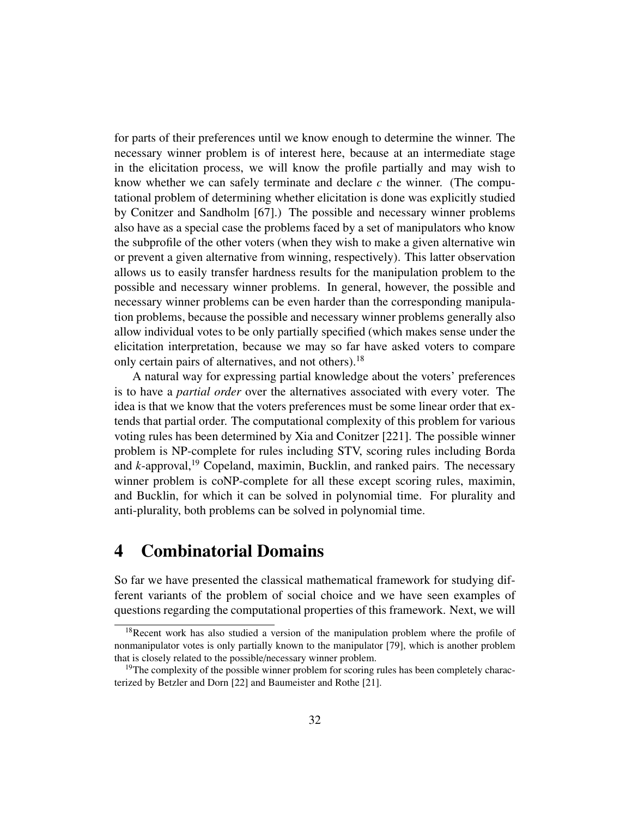for parts of their preferences until we know enough to determine the winner. The necessary winner problem is of interest here, because at an intermediate stage in the elicitation process, we will know the profile partially and may wish to know whether we can safely terminate and declare  $c$  the winner. (The computational problem of determining whether elicitation is done was explicitly studied by Conitzer and Sandholm [67].) The possible and necessary winner problems also have as a special case the problems faced by a set of manipulators who know the subprofile of the other voters (when they wish to make a given alternative win or prevent a given alternative from winning, respectively). This latter observation allows us to easily transfer hardness results for the manipulation problem to the possible and necessary winner problems. In general, however, the possible and necessary winner problems can be even harder than the corresponding manipulation problems, because the possible and necessary winner problems generally also allow individual votes to be only partially specified (which makes sense under the elicitation interpretation, because we may so far have asked voters to compare only certain pairs of alternatives, and not others).<sup>18</sup>

A natural way for expressing partial knowledge about the voters' preferences is to have a *partial order* over the alternatives associated with every voter. The idea is that we know that the voters preferences must be some linear order that extends that partial order. The computational complexity of this problem for various voting rules has been determined by Xia and Conitzer [221]. The possible winner problem is NP-complete for rules including STV, scoring rules including Borda and  $k$ -approval,<sup>19</sup> Copeland, maximin, Bucklin, and ranked pairs. The necessary winner problem is coNP-complete for all these except scoring rules, maximin, and Bucklin, for which it can be solved in polynomial time. For plurality and anti-plurality, both problems can be solved in polynomial time.

## 4 Combinatorial Domains

So far we have presented the classical mathematical framework for studying different variants of the problem of social choice and we have seen examples of questions regarding the computational properties of this framework. Next, we will

<sup>&</sup>lt;sup>18</sup>Recent work has also studied a version of the manipulation problem where the profile of nonmanipulator votes is only partially known to the manipulator [79], which is another problem that is closely related to the possible/necessary winner problem.

<sup>&</sup>lt;sup>19</sup>The complexity of the possible winner problem for scoring rules has been completely characterized by Betzler and Dorn [22] and Baumeister and Rothe [21].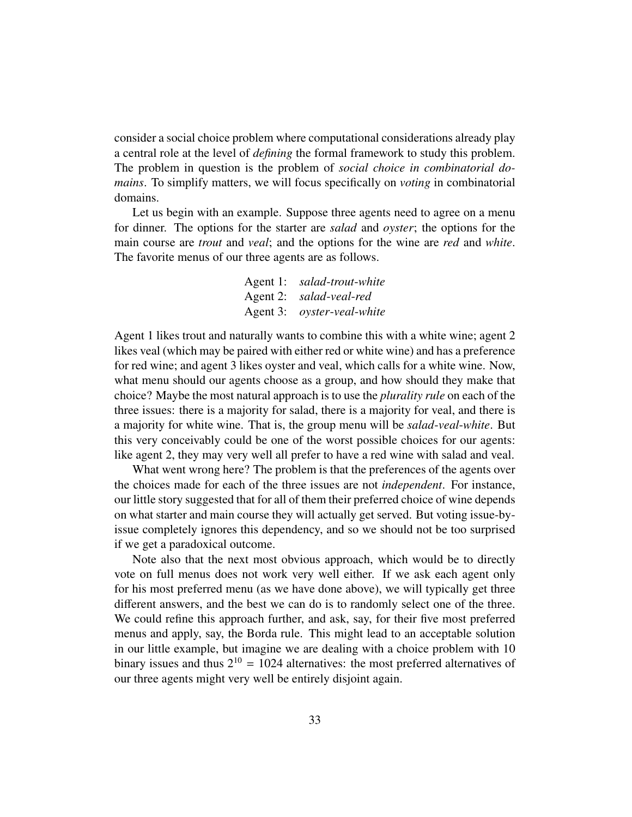consider a social choice problem where computational considerations already play a central role at the level of *defining* the formal framework to study this problem. The problem in question is the problem of *social choice in combinatorial domains*. To simplify matters, we will focus specifically on *voting* in combinatorial domains.

Let us begin with an example. Suppose three agents need to agree on a menu for dinner. The options for the starter are *salad* and *oyster*; the options for the main course are *trout* and *veal*; and the options for the wine are *red* and *white*. The favorite menus of our three agents are as follows.

> Agent 1: *salad*-*trout*-*white* Agent 2: *salad*-*veal*-*red* Agent 3: *oyster*-*veal*-*white*

Agent 1 likes trout and naturally wants to combine this with a white wine; agent 2 likes veal (which may be paired with either red or white wine) and has a preference for red wine; and agent 3 likes oyster and veal, which calls for a white wine. Now, what menu should our agents choose as a group, and how should they make that choice? Maybe the most natural approach is to use the *plurality rule* on each of the three issues: there is a majority for salad, there is a majority for veal, and there is a majority for white wine. That is, the group menu will be *salad*-*veal*-*white*. But this very conceivably could be one of the worst possible choices for our agents: like agent 2, they may very well all prefer to have a red wine with salad and veal.

What went wrong here? The problem is that the preferences of the agents over the choices made for each of the three issues are not *independent*. For instance, our little story suggested that for all of them their preferred choice of wine depends on what starter and main course they will actually get served. But voting issue-byissue completely ignores this dependency, and so we should not be too surprised if we get a paradoxical outcome.

Note also that the next most obvious approach, which would be to directly vote on full menus does not work very well either. If we ask each agent only for his most preferred menu (as we have done above), we will typically get three different answers, and the best we can do is to randomly select one of the three. We could refine this approach further, and ask, say, for their five most preferred menus and apply, say, the Borda rule. This might lead to an acceptable solution in our little example, but imagine we are dealing with a choice problem with 10 binary issues and thus  $2^{10} = 1024$  alternatives: the most preferred alternatives of our three agents might very well be entirely disjoint again.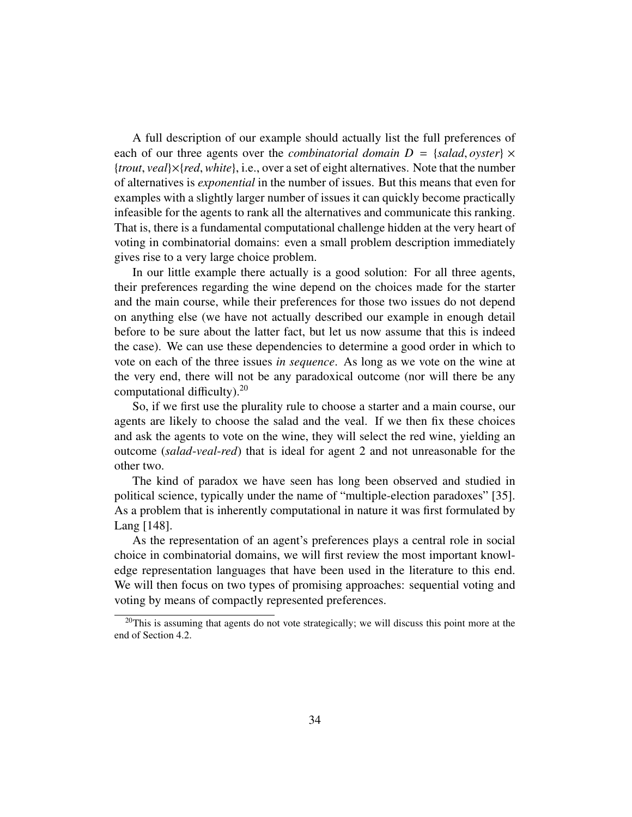A full description of our example should actually list the full preferences of each of our three agents over the *combinatorial domain*  $D = \{salad, oyster\} \times$ {*trout*, *veal*}×{*red*,*white*}, i.e., over a set of eight alternatives. Note that the number of alternatives is *exponential* in the number of issues. But this means that even for examples with a slightly larger number of issues it can quickly become practically infeasible for the agents to rank all the alternatives and communicate this ranking. That is, there is a fundamental computational challenge hidden at the very heart of voting in combinatorial domains: even a small problem description immediately gives rise to a very large choice problem.

In our little example there actually is a good solution: For all three agents, their preferences regarding the wine depend on the choices made for the starter and the main course, while their preferences for those two issues do not depend on anything else (we have not actually described our example in enough detail before to be sure about the latter fact, but let us now assume that this is indeed the case). We can use these dependencies to determine a good order in which to vote on each of the three issues *in sequence*. As long as we vote on the wine at the very end, there will not be any paradoxical outcome (nor will there be any computational difficulty).<sup>20</sup>

So, if we first use the plurality rule to choose a starter and a main course, our agents are likely to choose the salad and the veal. If we then fix these choices and ask the agents to vote on the wine, they will select the red wine, yielding an outcome (*salad*-*veal*-*red*) that is ideal for agent 2 and not unreasonable for the other two.

The kind of paradox we have seen has long been observed and studied in political science, typically under the name of "multiple-election paradoxes" [35]. As a problem that is inherently computational in nature it was first formulated by Lang [148].

As the representation of an agent's preferences plays a central role in social choice in combinatorial domains, we will first review the most important knowledge representation languages that have been used in the literature to this end. We will then focus on two types of promising approaches: sequential voting and voting by means of compactly represented preferences.

<sup>&</sup>lt;sup>20</sup>This is assuming that agents do not vote strategically; we will discuss this point more at the end of Section 4.2.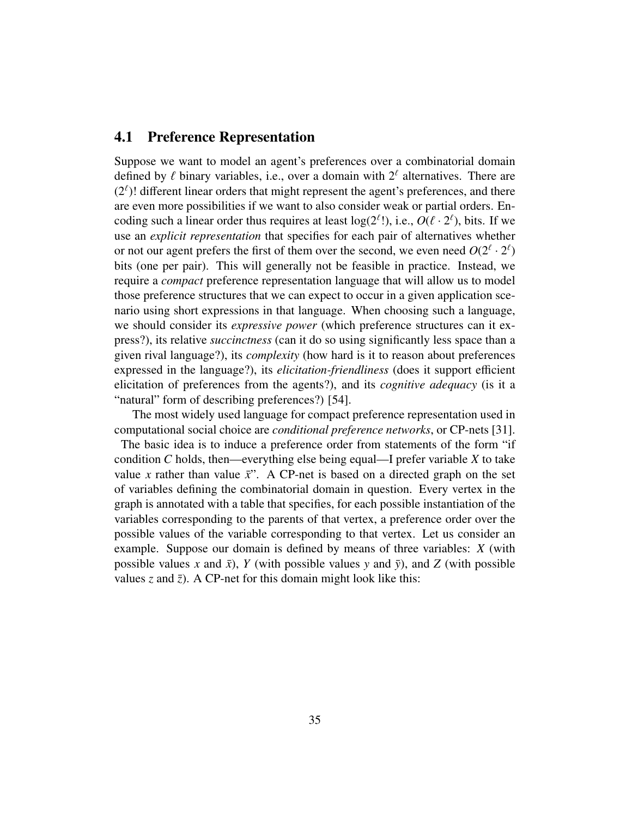#### 4.1 Preference Representation

Suppose we want to model an agent's preferences over a combinatorial domain defined by  $\ell$  binary variables, i.e., over a domain with  $2^{\ell}$  alternatives. There are  $(2^{\ell})$  different linear orders that might represent the agent's preferences, and there  $(2^{\ell})!$  different linear orders that might represent the agent's preferences, and there are even more possibilities if we want to also consider weak or partial orders. Encoding such a linear order thus requires at least  $log(2^{\ell})$ , i.e.,  $O(\ell \cdot 2^{\ell})$ , bits. If we<br>use an *explicit representation* that specifies for each pair of alternatives whether use an *explicit representation* that specifies for each pair of alternatives whether or not our agent prefers the first of them over the second, we even need  $O(2^{\ell} \cdot 2^{\ell})$ bits (one per pair). This will generally not be feasible in practice. Instead, we require a *compact* preference representation language that will allow us to model those preference structures that we can expect to occur in a given application scenario using short expressions in that language. When choosing such a language, we should consider its *expressive power* (which preference structures can it express?), its relative *succinctness* (can it do so using significantly less space than a given rival language?), its *complexity* (how hard is it to reason about preferences expressed in the language?), its *elicitation-friendliness* (does it support efficient elicitation of preferences from the agents?), and its *cognitive adequacy* (is it a "natural" form of describing preferences?) [54].

The most widely used language for compact preference representation used in computational social choice are *conditional preference networks*, or CP-nets [31].

The basic idea is to induce a preference order from statements of the form "if condition *C* holds, then—everything else being equal—I prefer variable *X* to take value x rather than value  $\bar{x}$ ". A CP-net is based on a directed graph on the set of variables defining the combinatorial domain in question. Every vertex in the graph is annotated with a table that specifies, for each possible instantiation of the variables corresponding to the parents of that vertex, a preference order over the possible values of the variable corresponding to that vertex. Let us consider an example. Suppose our domain is defined by means of three variables: *X* (with possible values x and  $\bar{x}$ ), Y (with possible values y and  $\bar{y}$ ), and Z (with possible values  $\zeta$  and  $\bar{\zeta}$ ). A CP-net for this domain might look like this: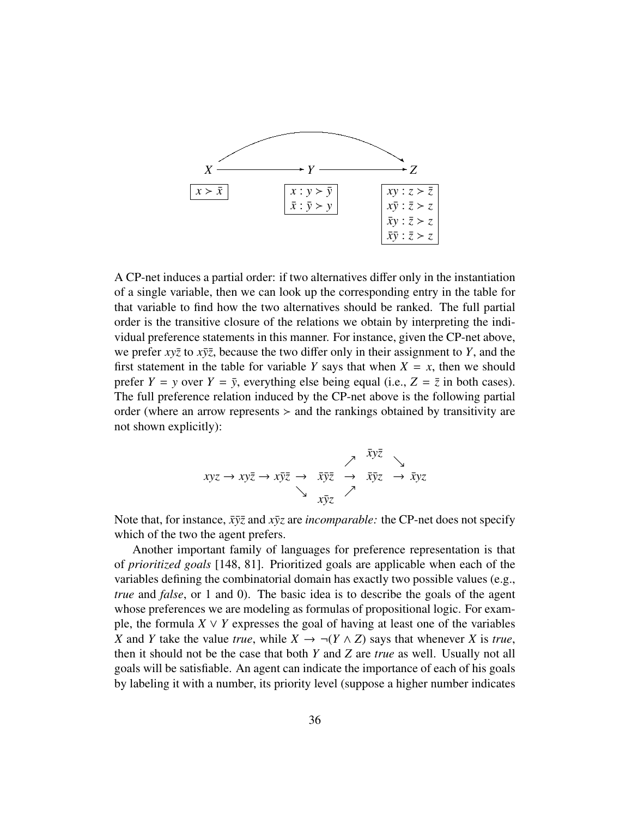

A CP-net induces a partial order: if two alternatives differ only in the instantiation of a single variable, then we can look up the corresponding entry in the table for that variable to find how the two alternatives should be ranked. The full partial order is the transitive closure of the relations we obtain by interpreting the individual preference statements in this manner. For instance, given the CP-net above, we prefer  $xyz$  to  $x\overline{yz}$ , because the two differ only in their assignment to *Y*, and the first statement in the table for variable *Y* says that when  $X = x$ , then we should prefer  $Y = y$  over  $Y = \bar{y}$ , everything else being equal (i.e.,  $Z = \bar{z}$  in both cases). The full preference relation induced by the CP-net above is the following partial order (where an arrow represents  $>$  and the rankings obtained by transitivity are not shown explicitly):

$$
xyz \to xyz \to x\bar{y}\bar{z} \to \bar{x}\bar{y}\bar{z} \to \bar{x}\bar{y}z \to \bar{x}yz \to \bar{x}yz
$$

Note that, for instance,  $\bar{x}\bar{y}\bar{z}$  and  $x\bar{y}z$  are *incomparable:* the CP-net does not specify which of the two the agent prefers.

Another important family of languages for preference representation is that of *prioritized goals* [148, 81]. Prioritized goals are applicable when each of the variables defining the combinatorial domain has exactly two possible values (e.g., *true* and *false*, or 1 and 0). The basic idea is to describe the goals of the agent whose preferences we are modeling as formulas of propositional logic. For example, the formula  $X \vee Y$  expresses the goal of having at least one of the variables *X* and *Y* take the value *true*, while  $X \to \neg(Y \land Z)$  says that whenever *X* is *true*, then it should not be the case that both *Y* and *Z* are *true* as well. Usually not all goals will be satisfiable. An agent can indicate the importance of each of his goals by labeling it with a number, its priority level (suppose a higher number indicates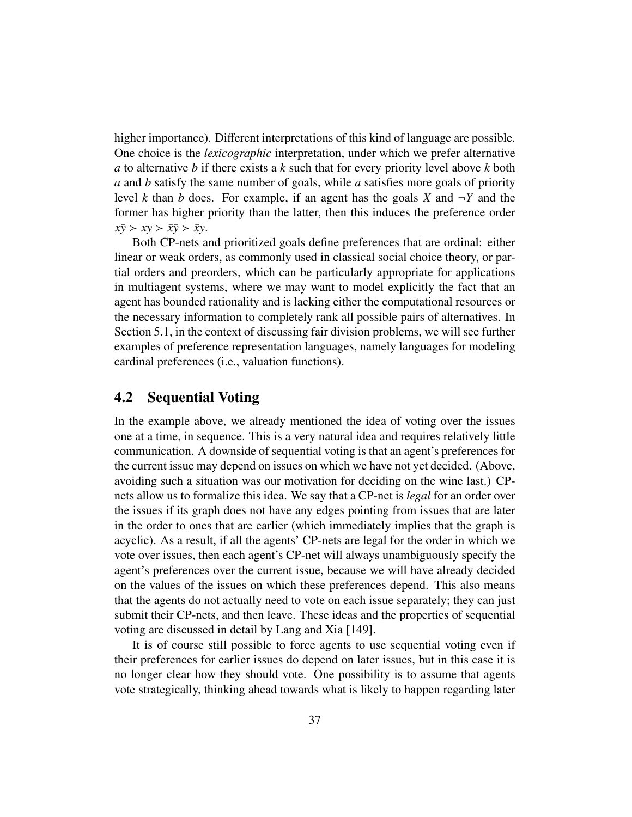higher importance). Different interpretations of this kind of language are possible. One choice is the *lexicographic* interpretation, under which we prefer alternative *a* to alternative *b* if there exists a *k* such that for every priority level above *k* both *a* and *b* satisfy the same number of goals, while *a* satisfies more goals of priority level *k* than *b* does. For example, if an agent has the goals *X* and  $\neg Y$  and the former has higher priority than the latter, then this induces the preference order  $x\overline{y} > xy > \overline{x}\overline{y} > \overline{x}y$ .

Both CP-nets and prioritized goals define preferences that are ordinal: either linear or weak orders, as commonly used in classical social choice theory, or partial orders and preorders, which can be particularly appropriate for applications in multiagent systems, where we may want to model explicitly the fact that an agent has bounded rationality and is lacking either the computational resources or the necessary information to completely rank all possible pairs of alternatives. In Section 5.1, in the context of discussing fair division problems, we will see further examples of preference representation languages, namely languages for modeling cardinal preferences (i.e., valuation functions).

### 4.2 Sequential Voting

In the example above, we already mentioned the idea of voting over the issues one at a time, in sequence. This is a very natural idea and requires relatively little communication. A downside of sequential voting is that an agent's preferences for the current issue may depend on issues on which we have not yet decided. (Above, avoiding such a situation was our motivation for deciding on the wine last.) CPnets allow us to formalize this idea. We say that a CP-net is *legal* for an order over the issues if its graph does not have any edges pointing from issues that are later in the order to ones that are earlier (which immediately implies that the graph is acyclic). As a result, if all the agents' CP-nets are legal for the order in which we vote over issues, then each agent's CP-net will always unambiguously specify the agent's preferences over the current issue, because we will have already decided on the values of the issues on which these preferences depend. This also means that the agents do not actually need to vote on each issue separately; they can just submit their CP-nets, and then leave. These ideas and the properties of sequential voting are discussed in detail by Lang and Xia [149].

It is of course still possible to force agents to use sequential voting even if their preferences for earlier issues do depend on later issues, but in this case it is no longer clear how they should vote. One possibility is to assume that agents vote strategically, thinking ahead towards what is likely to happen regarding later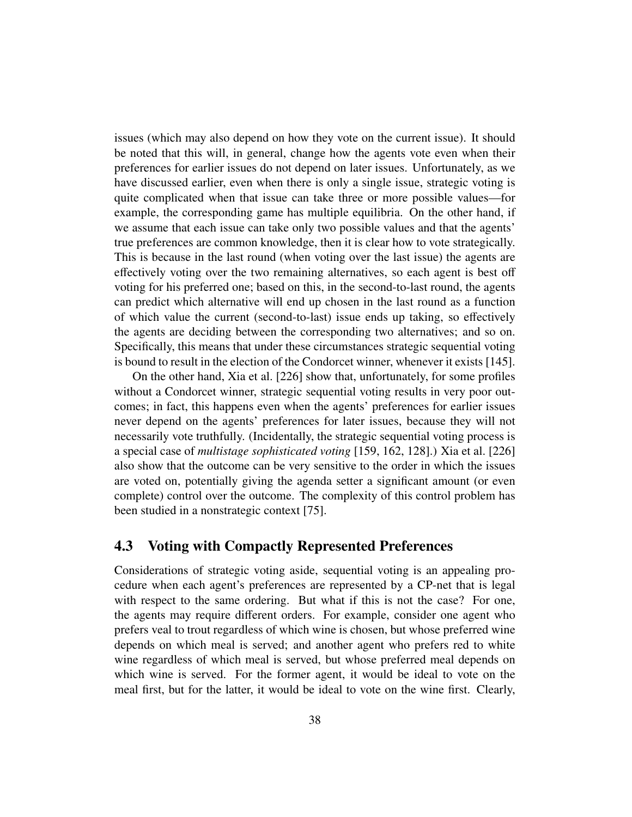issues (which may also depend on how they vote on the current issue). It should be noted that this will, in general, change how the agents vote even when their preferences for earlier issues do not depend on later issues. Unfortunately, as we have discussed earlier, even when there is only a single issue, strategic voting is quite complicated when that issue can take three or more possible values—for example, the corresponding game has multiple equilibria. On the other hand, if we assume that each issue can take only two possible values and that the agents' true preferences are common knowledge, then it is clear how to vote strategically. This is because in the last round (when voting over the last issue) the agents are effectively voting over the two remaining alternatives, so each agent is best off voting for his preferred one; based on this, in the second-to-last round, the agents can predict which alternative will end up chosen in the last round as a function of which value the current (second-to-last) issue ends up taking, so effectively the agents are deciding between the corresponding two alternatives; and so on. Specifically, this means that under these circumstances strategic sequential voting is bound to result in the election of the Condorcet winner, whenever it exists [145].

On the other hand, Xia et al. [226] show that, unfortunately, for some profiles without a Condorcet winner, strategic sequential voting results in very poor outcomes; in fact, this happens even when the agents' preferences for earlier issues never depend on the agents' preferences for later issues, because they will not necessarily vote truthfully. (Incidentally, the strategic sequential voting process is a special case of *multistage sophisticated voting* [159, 162, 128].) Xia et al. [226] also show that the outcome can be very sensitive to the order in which the issues are voted on, potentially giving the agenda setter a significant amount (or even complete) control over the outcome. The complexity of this control problem has been studied in a nonstrategic context [75].

### 4.3 Voting with Compactly Represented Preferences

Considerations of strategic voting aside, sequential voting is an appealing procedure when each agent's preferences are represented by a CP-net that is legal with respect to the same ordering. But what if this is not the case? For one, the agents may require different orders. For example, consider one agent who prefers veal to trout regardless of which wine is chosen, but whose preferred wine depends on which meal is served; and another agent who prefers red to white wine regardless of which meal is served, but whose preferred meal depends on which wine is served. For the former agent, it would be ideal to vote on the meal first, but for the latter, it would be ideal to vote on the wine first. Clearly,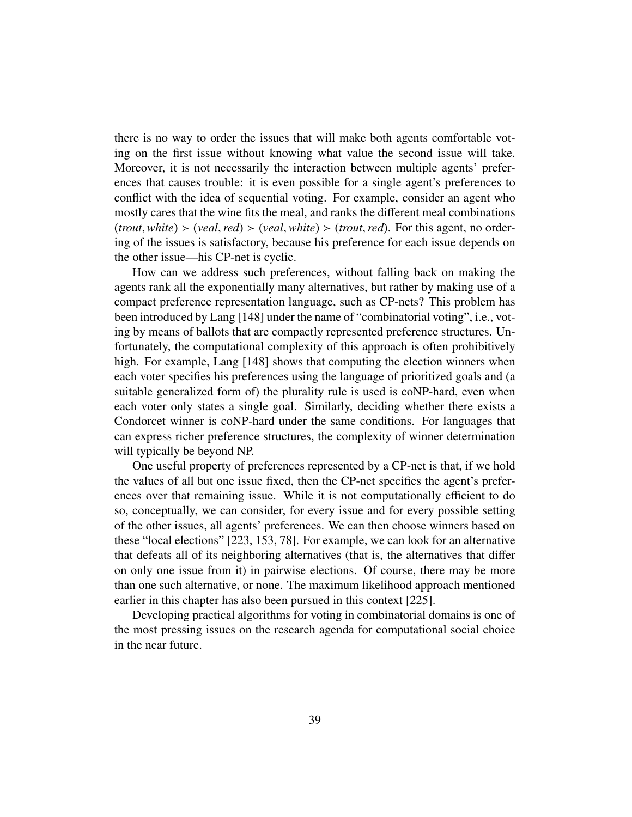there is no way to order the issues that will make both agents comfortable voting on the first issue without knowing what value the second issue will take. Moreover, it is not necessarily the interaction between multiple agents' preferences that causes trouble: it is even possible for a single agent's preferences to conflict with the idea of sequential voting. For example, consider an agent who mostly cares that the wine fits the meal, and ranks the different meal combinations  $(t_{\text{r}v} \cdot \text{w} \cdot \text{w}) \geq (vea, \text{r} \cdot \text{w} \cdot \text{w}) \geq (t_{\text{r}v} \cdot \text{w} \cdot \text{w} \cdot \text{w} \cdot \text{w} \cdot \text{w})$ . For this agent, no ordering of the issues is satisfactory, because his preference for each issue depends on the other issue—his CP-net is cyclic.

How can we address such preferences, without falling back on making the agents rank all the exponentially many alternatives, but rather by making use of a compact preference representation language, such as CP-nets? This problem has been introduced by Lang [148] under the name of "combinatorial voting", i.e., voting by means of ballots that are compactly represented preference structures. Unfortunately, the computational complexity of this approach is often prohibitively high. For example, Lang [148] shows that computing the election winners when each voter specifies his preferences using the language of prioritized goals and (a suitable generalized form of) the plurality rule is used is coNP-hard, even when each voter only states a single goal. Similarly, deciding whether there exists a Condorcet winner is coNP-hard under the same conditions. For languages that can express richer preference structures, the complexity of winner determination will typically be beyond NP.

One useful property of preferences represented by a CP-net is that, if we hold the values of all but one issue fixed, then the CP-net specifies the agent's preferences over that remaining issue. While it is not computationally efficient to do so, conceptually, we can consider, for every issue and for every possible setting of the other issues, all agents' preferences. We can then choose winners based on these "local elections" [223, 153, 78]. For example, we can look for an alternative that defeats all of its neighboring alternatives (that is, the alternatives that differ on only one issue from it) in pairwise elections. Of course, there may be more than one such alternative, or none. The maximum likelihood approach mentioned earlier in this chapter has also been pursued in this context [225].

Developing practical algorithms for voting in combinatorial domains is one of the most pressing issues on the research agenda for computational social choice in the near future.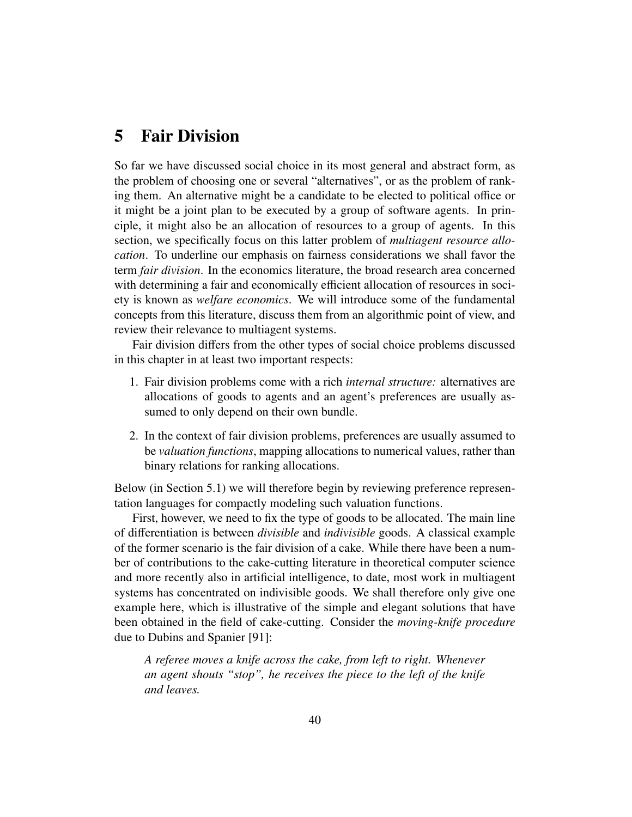# 5 Fair Division

So far we have discussed social choice in its most general and abstract form, as the problem of choosing one or several "alternatives", or as the problem of ranking them. An alternative might be a candidate to be elected to political office or it might be a joint plan to be executed by a group of software agents. In principle, it might also be an allocation of resources to a group of agents. In this section, we specifically focus on this latter problem of *multiagent resource allocation*. To underline our emphasis on fairness considerations we shall favor the term *fair division*. In the economics literature, the broad research area concerned with determining a fair and economically efficient allocation of resources in society is known as *welfare economics*. We will introduce some of the fundamental concepts from this literature, discuss them from an algorithmic point of view, and review their relevance to multiagent systems.

Fair division differs from the other types of social choice problems discussed in this chapter in at least two important respects:

- 1. Fair division problems come with a rich *internal structure:* alternatives are allocations of goods to agents and an agent's preferences are usually assumed to only depend on their own bundle.
- 2. In the context of fair division problems, preferences are usually assumed to be *valuation functions*, mapping allocations to numerical values, rather than binary relations for ranking allocations.

Below (in Section 5.1) we will therefore begin by reviewing preference representation languages for compactly modeling such valuation functions.

First, however, we need to fix the type of goods to be allocated. The main line of differentiation is between *divisible* and *indivisible* goods. A classical example of the former scenario is the fair division of a cake. While there have been a number of contributions to the cake-cutting literature in theoretical computer science and more recently also in artificial intelligence, to date, most work in multiagent systems has concentrated on indivisible goods. We shall therefore only give one example here, which is illustrative of the simple and elegant solutions that have been obtained in the field of cake-cutting. Consider the *moving-knife procedure* due to Dubins and Spanier [91]:

*A referee moves a knife across the cake, from left to right. Whenever an agent shouts "stop", he receives the piece to the left of the knife and leaves.*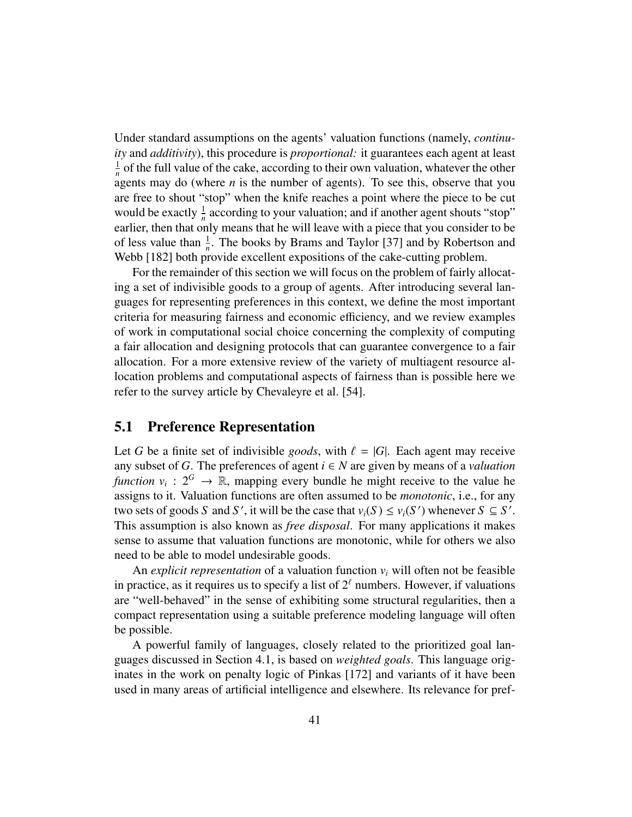Under standard assumptions on the agents' valuation functions (namely, *continuity* and *additivity*), this procedure is *proportional:* it guarantees each agent at least 1  $\frac{1}{n}$  of the full value of the cake, according to their own valuation, whatever the other agents may do (where *n* is the number of agents). To see this, observe that you are free to shout "stop" when the knife reaches a point where the piece to be cut would be exactly  $\frac{1}{n}$  according to your valuation; and if another agent shouts "stop" earlier, then that only means that he will leave with a piece that you consider to be of less value than  $\frac{1}{n}$ . The books by Brams and Taylor [37] and by Robertson and Webb [182] both provide excellent expositions of the cake-cutting problem.

For the remainder of this section we will focus on the problem of fairly allocating a set of indivisible goods to a group of agents. After introducing several languages for representing preferences in this context, we define the most important criteria for measuring fairness and economic efficiency, and we review examples of work in computational social choice concerning the complexity of computing a fair allocation and designing protocols that can guarantee convergence to a fair allocation. For a more extensive review of the variety of multiagent resource allocation problems and computational aspects of fairness than is possible here we refer to the survey article by Chevaleyre et al. [54].

#### 5.1 Preference Representation

Let *G* be a finite set of indivisible *goods*, with  $\ell = |G|$ . Each agent may receive any subset of *G*. The preferences of agent  $i \in N$  are given by means of a *valuation function*  $v_i$ :  $2^G \rightarrow \mathbb{R}$ , mapping every bundle he might receive to the value he assigns to it. Valuation functions are often assumed to be *monotonic*, i.e., for any two sets of goods *S* and *S*<sup> $\prime$ </sup>, it will be the case that  $v_i(S) \le v_i(S')$  whenever  $S \subseteq S'$ . This assumption is also known as *free disposal*. For many applications it makes sense to assume that valuation functions are monotonic, while for others we also need to be able to model undesirable goods.

An *explicit representation* of a valuation function  $v_i$  will often not be feasible in practice, as it requires us to specify a list of  $2<sup>\ell</sup>$  numbers. However, if valuations are "well-behaved" in the sense of exhibiting some structural regularities, then a compact representation using a suitable preference modeling language will often be possible.

A powerful family of languages, closely related to the prioritized goal languages discussed in Section 4.1, is based on *weighted goals*. This language originates in the work on penalty logic of Pinkas [172] and variants of it have been used in many areas of artificial intelligence and elsewhere. Its relevance for pref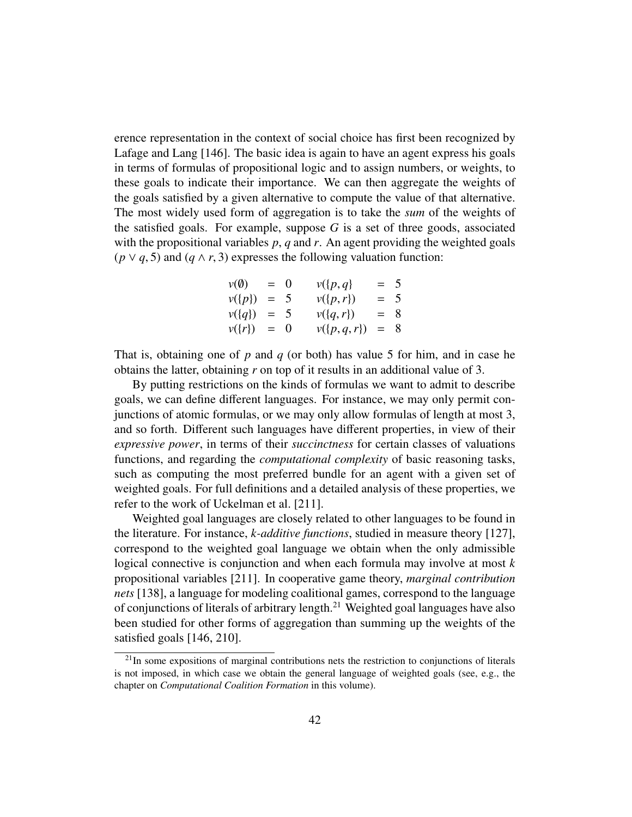erence representation in the context of social choice has first been recognized by Lafage and Lang [146]. The basic idea is again to have an agent express his goals in terms of formulas of propositional logic and to assign numbers, or weights, to these goals to indicate their importance. We can then aggregate the weights of the goals satisfied by a given alternative to compute the value of that alternative. The most widely used form of aggregation is to take the *sum* of the weights of the satisfied goals. For example, suppose *G* is a set of three goods, associated with the propositional variables *p*, *q* and *r*. An agent providing the weighted goals  $(p \vee q, 5)$  and  $(q \wedge r, 3)$  expresses the following valuation function:

$$
v(0) = 0 \t v({p,q} = 5\n v({p}) = 5 \t v({p,r}) = 5\n v({q}) = 5 \t v({q,r}) = 8\n v({r}) = 0 \t v({p,q,r}) = 8
$$

That is, obtaining one of *p* and *q* (or both) has value 5 for him, and in case he obtains the latter, obtaining *r* on top of it results in an additional value of 3.

By putting restrictions on the kinds of formulas we want to admit to describe goals, we can define different languages. For instance, we may only permit conjunctions of atomic formulas, or we may only allow formulas of length at most 3, and so forth. Different such languages have different properties, in view of their *expressive power*, in terms of their *succinctness* for certain classes of valuations functions, and regarding the *computational complexity* of basic reasoning tasks, such as computing the most preferred bundle for an agent with a given set of weighted goals. For full definitions and a detailed analysis of these properties, we refer to the work of Uckelman et al. [211].

Weighted goal languages are closely related to other languages to be found in the literature. For instance, *k-additive functions*, studied in measure theory [127], correspond to the weighted goal language we obtain when the only admissible logical connective is conjunction and when each formula may involve at most *k* propositional variables [211]. In cooperative game theory, *marginal contribution nets* [138], a language for modeling coalitional games, correspond to the language of conjunctions of literals of arbitrary length.<sup>21</sup> Weighted goal languages have also been studied for other forms of aggregation than summing up the weights of the satisfied goals [146, 210].

 $2^{1}$ In some expositions of marginal contributions nets the restriction to conjunctions of literals is not imposed, in which case we obtain the general language of weighted goals (see, e.g., the chapter on *Computational Coalition Formation* in this volume).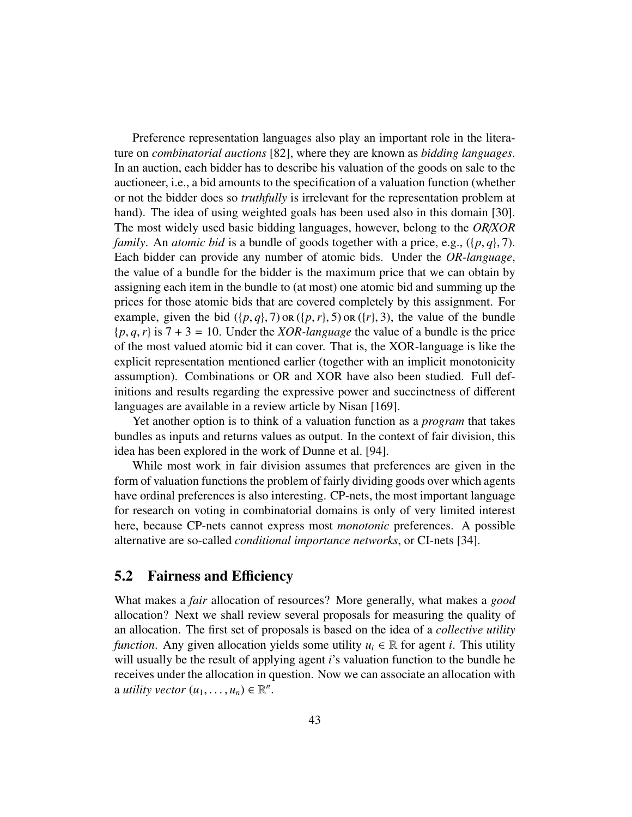Preference representation languages also play an important role in the literature on *combinatorial auctions* [82], where they are known as *bidding languages*. In an auction, each bidder has to describe his valuation of the goods on sale to the auctioneer, i.e., a bid amounts to the specification of a valuation function (whether or not the bidder does so *truthfully* is irrelevant for the representation problem at hand). The idea of using weighted goals has been used also in this domain [30]. The most widely used basic bidding languages, however, belong to the *OR*/*XOR family*. An *atomic bid* is a bundle of goods together with a price, e.g., ({*p*, *<sup>q</sup>*}, 7). Each bidder can provide any number of atomic bids. Under the *OR-language*, the value of a bundle for the bidder is the maximum price that we can obtain by assigning each item in the bundle to (at most) one atomic bid and summing up the prices for those atomic bids that are covered completely by this assignment. For example, given the bid  $({p, q}, 7)$  or  $({p, r}, 5)$  or  $({r}, 3)$ , the value of the bundle  ${p, q, r}$  is  $7 + 3 = 10$ . Under the *XOR-language* the value of a bundle is the price of the most valued atomic bid it can cover. That is, the XOR-language is like the explicit representation mentioned earlier (together with an implicit monotonicity assumption). Combinations or OR and XOR have also been studied. Full definitions and results regarding the expressive power and succinctness of different languages are available in a review article by Nisan [169].

Yet another option is to think of a valuation function as a *program* that takes bundles as inputs and returns values as output. In the context of fair division, this idea has been explored in the work of Dunne et al. [94].

While most work in fair division assumes that preferences are given in the form of valuation functions the problem of fairly dividing goods over which agents have ordinal preferences is also interesting. CP-nets, the most important language for research on voting in combinatorial domains is only of very limited interest here, because CP-nets cannot express most *monotonic* preferences. A possible alternative are so-called *conditional importance networks*, or CI-nets [34].

#### 5.2 Fairness and Efficiency

What makes a *fair* allocation of resources? More generally, what makes a *good* allocation? Next we shall review several proposals for measuring the quality of an allocation. The first set of proposals is based on the idea of a *collective utility function*. Any given allocation yields some utility  $u_i \in \mathbb{R}$  for agent *i*. This utility will usually be the result of applying agent *i*'s valuation function to the bundle he receives under the allocation in question. Now we can associate an allocation with a *utility vector*  $(u_1, \ldots, u_n) \in \mathbb{R}^n$ .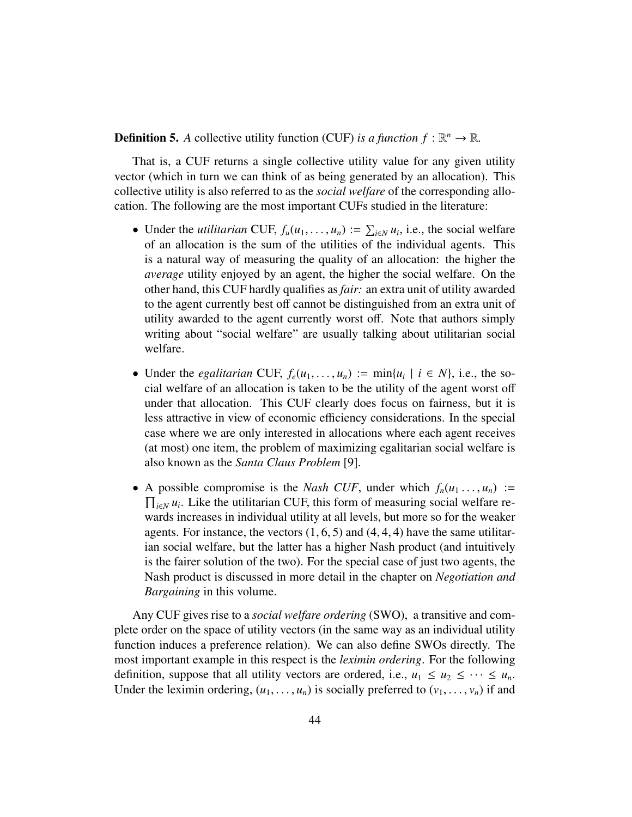**Definition 5.** A collective utility function (CUF) is a function  $f : \mathbb{R}^n \to \mathbb{R}$ .

That is, a CUF returns a single collective utility value for any given utility vector (which in turn we can think of as being generated by an allocation). This collective utility is also referred to as the *social welfare* of the corresponding allocation. The following are the most important CUFs studied in the literature:

- Under the *utilitarian* CUF,  $f_u(u_1, \ldots, u_n) := \sum_{i \in N} u_i$ , i.e., the social welfare of an allocation is the sum of the utilities of the individual agents. This of an allocation is the sum of the utilities of the individual agents. This is a natural way of measuring the quality of an allocation: the higher the *average* utility enjoyed by an agent, the higher the social welfare. On the other hand, this CUF hardly qualifies as *fair:* an extra unit of utility awarded to the agent currently best off cannot be distinguished from an extra unit of utility awarded to the agent currently worst off. Note that authors simply writing about "social welfare" are usually talking about utilitarian social welfare.
- Under the *egalitarian* CUF,  $f_e(u_1, \ldots, u_n) := \min\{u_i \mid i \in N\}$ , i.e., the so-<br>cial welfare of an allocation is taken to be the utility of the agent worst off cial welfare of an allocation is taken to be the utility of the agent worst off under that allocation. This CUF clearly does focus on fairness, but it is less attractive in view of economic efficiency considerations. In the special case where we are only interested in allocations where each agent receives (at most) one item, the problem of maximizing egalitarian social welfare is also known as the *Santa Claus Problem* [9].
- A possible compromise is the *Nash CUF*, under which  $f_n(u_1 \ldots, u_n)$  :=  $\sum_{i \in N} u_i$ . Like the utilitarian CUF, this form of measuring social welfare rewards increases in individual utility at all levels, but more so for the weaker agents. For instance, the vectors  $(1, 6, 5)$  and  $(4, 4, 4)$  have the same utilitarian social welfare, but the latter has a higher Nash product (and intuitively is the fairer solution of the two). For the special case of just two agents, the Nash product is discussed in more detail in the chapter on *Negotiation and Bargaining* in this volume.

Any CUF gives rise to a *social welfare ordering* (SWO), a transitive and complete order on the space of utility vectors (in the same way as an individual utility function induces a preference relation). We can also define SWOs directly. The most important example in this respect is the *leximin ordering*. For the following definition, suppose that all utility vectors are ordered, i.e.,  $u_1 \le u_2 \le \cdots \le u_n$ . Under the leximin ordering,  $(u_1, \ldots, u_n)$  is socially preferred to  $(v_1, \ldots, v_n)$  if and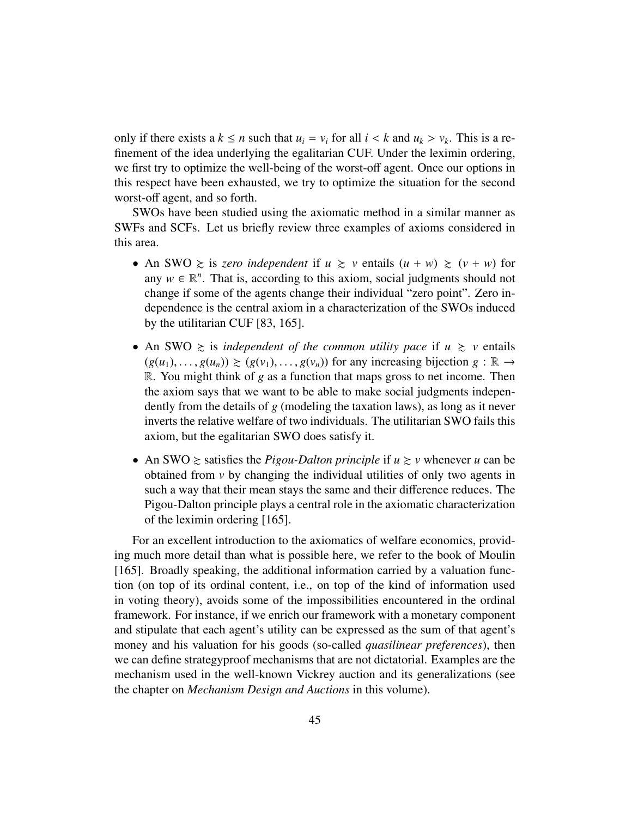only if there exists a *k* ≤ *n* such that  $u_i = v_i$  for all  $i < k$  and  $u_k > v_k$ . This is a re-<br>finement of the idea underlying the equitarian CUE Under the leximin ordering finement of the idea underlying the egalitarian CUF. Under the leximin ordering, we first try to optimize the well-being of the worst-off agent. Once our options in this respect have been exhausted, we try to optimize the situation for the second worst-off agent, and so forth.

SWOs have been studied using the axiomatic method in a similar manner as SWFs and SCFs. Let us briefly review three examples of axioms considered in this area.

- An SWO  $\geq$  is *zero independent* if  $u \geq v$  entails  $(u + w) \geq (v + w)$  for any  $w \in \mathbb{R}^n$ . That is, according to this axiom, social judgments should not change if some of the agents change their individual "zero point". Zero independence is the central axiom in a characterization of the SWOs induced by the utilitarian CUF [83, 165].
- An SWO  $\geq$  is *independent of the common utility pace* if  $u \geq v$  entails  $(g(u_1), \ldots, g(u_n)) \geq (g(v_1), \ldots, g(v_n))$  for any increasing bijection  $g : \mathbb{R} \to$ R. You might think of *g* as a function that maps gross to net income. Then the axiom says that we want to be able to make social judgments independently from the details of *g* (modeling the taxation laws), as long as it never inverts the relative welfare of two individuals. The utilitarian SWO fails this axiom, but the egalitarian SWO does satisfy it.
- An SWO  $\geq$  satisfies the *Pigou-Dalton principle* if  $u \geq v$  whenever *u* can be obtained from *v* by changing the individual utilities of only two agents in such a way that their mean stays the same and their difference reduces. The Pigou-Dalton principle plays a central role in the axiomatic characterization of the leximin ordering [165].

For an excellent introduction to the axiomatics of welfare economics, providing much more detail than what is possible here, we refer to the book of Moulin [165]. Broadly speaking, the additional information carried by a valuation function (on top of its ordinal content, i.e., on top of the kind of information used in voting theory), avoids some of the impossibilities encountered in the ordinal framework. For instance, if we enrich our framework with a monetary component and stipulate that each agent's utility can be expressed as the sum of that agent's money and his valuation for his goods (so-called *quasilinear preferences*), then we can define strategyproof mechanisms that are not dictatorial. Examples are the mechanism used in the well-known Vickrey auction and its generalizations (see the chapter on *Mechanism Design and Auctions* in this volume).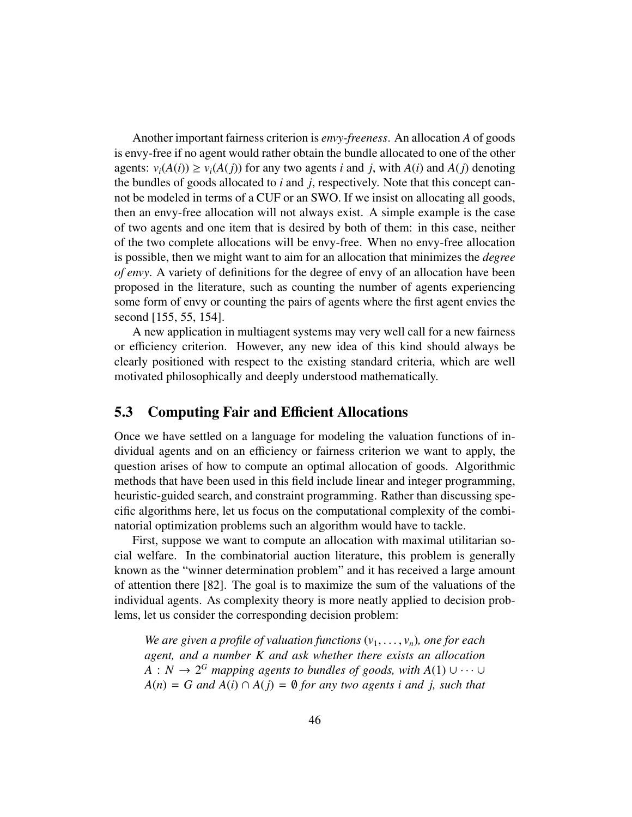Another important fairness criterion is *envy-freeness*. An allocation *A* of goods is envy-free if no agent would rather obtain the bundle allocated to one of the other agents:  $v_i(A(i)) \ge v_i(A(j))$  for any two agents *i* and *j*, with  $A(i)$  and  $A(j)$  denoting the bundles of goods allocated to *i* and *j*, respectively. Note that this concept cannot be modeled in terms of a CUF or an SWO. If we insist on allocating all goods, then an envy-free allocation will not always exist. A simple example is the case of two agents and one item that is desired by both of them: in this case, neither of the two complete allocations will be envy-free. When no envy-free allocation is possible, then we might want to aim for an allocation that minimizes the *degree of envy*. A variety of definitions for the degree of envy of an allocation have been proposed in the literature, such as counting the number of agents experiencing some form of envy or counting the pairs of agents where the first agent envies the second [155, 55, 154].

A new application in multiagent systems may very well call for a new fairness or efficiency criterion. However, any new idea of this kind should always be clearly positioned with respect to the existing standard criteria, which are well motivated philosophically and deeply understood mathematically.

#### 5.3 Computing Fair and Efficient Allocations

Once we have settled on a language for modeling the valuation functions of individual agents and on an efficiency or fairness criterion we want to apply, the question arises of how to compute an optimal allocation of goods. Algorithmic methods that have been used in this field include linear and integer programming, heuristic-guided search, and constraint programming. Rather than discussing specific algorithms here, let us focus on the computational complexity of the combinatorial optimization problems such an algorithm would have to tackle.

First, suppose we want to compute an allocation with maximal utilitarian social welfare. In the combinatorial auction literature, this problem is generally known as the "winner determination problem" and it has received a large amount of attention there [82]. The goal is to maximize the sum of the valuations of the individual agents. As complexity theory is more neatly applied to decision problems, let us consider the corresponding decision problem:

We are given a profile of valuation functions  $(v_1, \ldots, v_n)$ , one for each *agent, and a number K and ask whether there exists an allocation A* : *N* →  $2^G$  *mapping agents to bundles of goods, with A*(1) ∪ · · · ∪  $A(n) = G$  and  $A(i) \cap A(j) = \emptyset$  for any two agents *i* and *j*, such that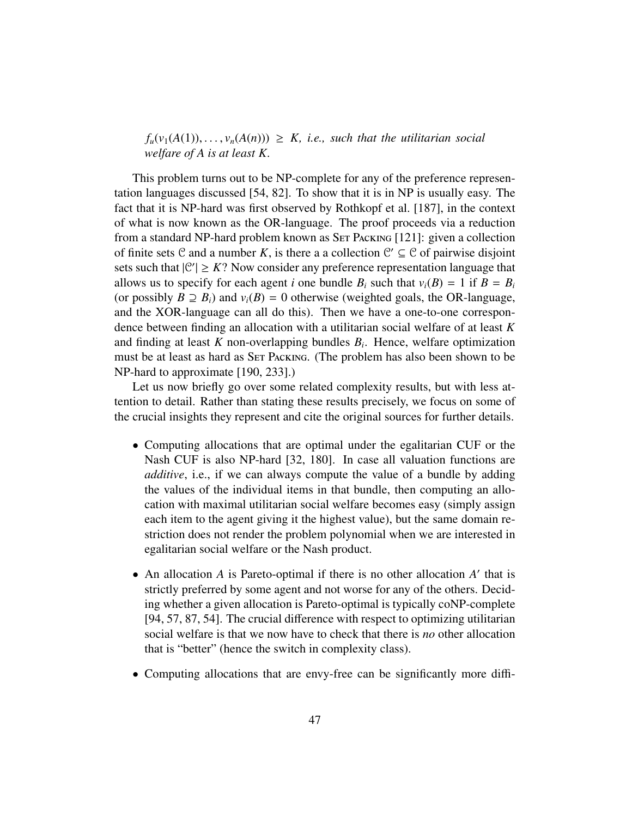$f_u(v_1(A(1)), \ldots, v_n(A(n))) \geq K$ , *i.e.*, such that the utilitarian social *welfare of A is at least K.*

This problem turns out to be NP-complete for any of the preference representation languages discussed [54, 82]. To show that it is in NP is usually easy. The fact that it is NP-hard was first observed by Rothkopf et al. [187], in the context of what is now known as the OR-language. The proof proceeds via a reduction from a standard NP-hard problem known as SET PACKING [121]: given a collection of finite sets  $C$  and a number K, is there a a collection  $C' \subseteq C$  of pairwise disjoint sets such that  $|C'| \geq K$ ? Now consider any preference representation language that allows us to specify for each agent *i* one bundle  $B_i$  such that  $v_i(B) = 1$  if  $B = B_i$ (or possibly  $B \supseteq B_i$ ) and  $v_i(B) = 0$  otherwise (weighted goals, the OR-language, and the XOR-language can all do this). Then we have a one-to-one correspondence between finding an allocation with a utilitarian social welfare of at least *K* and finding at least *K* non-overlapping bundles *B<sup>i</sup>* . Hence, welfare optimization must be at least as hard as SET PACKING. (The problem has also been shown to be NP-hard to approximate [190, 233].)

Let us now briefly go over some related complexity results, but with less attention to detail. Rather than stating these results precisely, we focus on some of the crucial insights they represent and cite the original sources for further details.

- Computing allocations that are optimal under the egalitarian CUF or the Nash CUF is also NP-hard [32, 180]. In case all valuation functions are *additive*, i.e., if we can always compute the value of a bundle by adding the values of the individual items in that bundle, then computing an allocation with maximal utilitarian social welfare becomes easy (simply assign each item to the agent giving it the highest value), but the same domain restriction does not render the problem polynomial when we are interested in egalitarian social welfare or the Nash product.
- An allocation *A* is Pareto-optimal if there is no other allocation *A'* that is strictly preferred by some agent and not worse for any of the others. Deciding whether a given allocation is Pareto-optimal is typically coNP-complete [94, 57, 87, 54]. The crucial difference with respect to optimizing utilitarian social welfare is that we now have to check that there is *no* other allocation that is "better" (hence the switch in complexity class).
- Computing allocations that are envy-free can be significantly more diffi-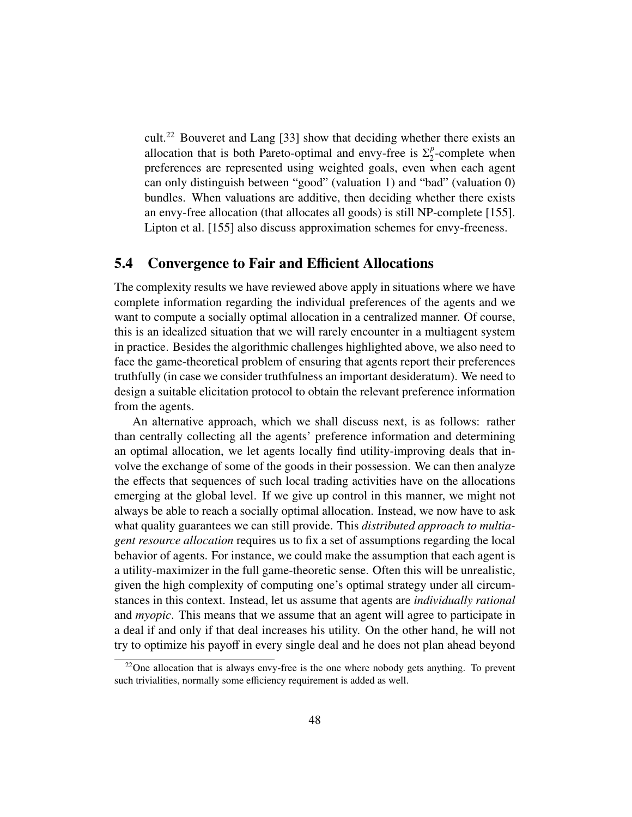cult.<sup>22</sup> Bouveret and Lang [33] show that deciding whether there exists an allocation that is both Pareto-optimal and envy-free is  $\Sigma_2^p$  $2^p$ -complete when preferences are represented using weighted goals, even when each agent can only distinguish between "good" (valuation 1) and "bad" (valuation 0) bundles. When valuations are additive, then deciding whether there exists an envy-free allocation (that allocates all goods) is still NP-complete [155]. Lipton et al. [155] also discuss approximation schemes for envy-freeness.

## 5.4 Convergence to Fair and Efficient Allocations

The complexity results we have reviewed above apply in situations where we have complete information regarding the individual preferences of the agents and we want to compute a socially optimal allocation in a centralized manner. Of course, this is an idealized situation that we will rarely encounter in a multiagent system in practice. Besides the algorithmic challenges highlighted above, we also need to face the game-theoretical problem of ensuring that agents report their preferences truthfully (in case we consider truthfulness an important desideratum). We need to design a suitable elicitation protocol to obtain the relevant preference information from the agents.

An alternative approach, which we shall discuss next, is as follows: rather than centrally collecting all the agents' preference information and determining an optimal allocation, we let agents locally find utility-improving deals that involve the exchange of some of the goods in their possession. We can then analyze the effects that sequences of such local trading activities have on the allocations emerging at the global level. If we give up control in this manner, we might not always be able to reach a socially optimal allocation. Instead, we now have to ask what quality guarantees we can still provide. This *distributed approach to multiagent resource allocation* requires us to fix a set of assumptions regarding the local behavior of agents. For instance, we could make the assumption that each agent is a utility-maximizer in the full game-theoretic sense. Often this will be unrealistic, given the high complexity of computing one's optimal strategy under all circumstances in this context. Instead, let us assume that agents are *individually rational* and *myopic*. This means that we assume that an agent will agree to participate in a deal if and only if that deal increases his utility. On the other hand, he will not try to optimize his payoff in every single deal and he does not plan ahead beyond

<sup>&</sup>lt;sup>22</sup>One allocation that is always envy-free is the one where nobody gets anything. To prevent such trivialities, normally some efficiency requirement is added as well.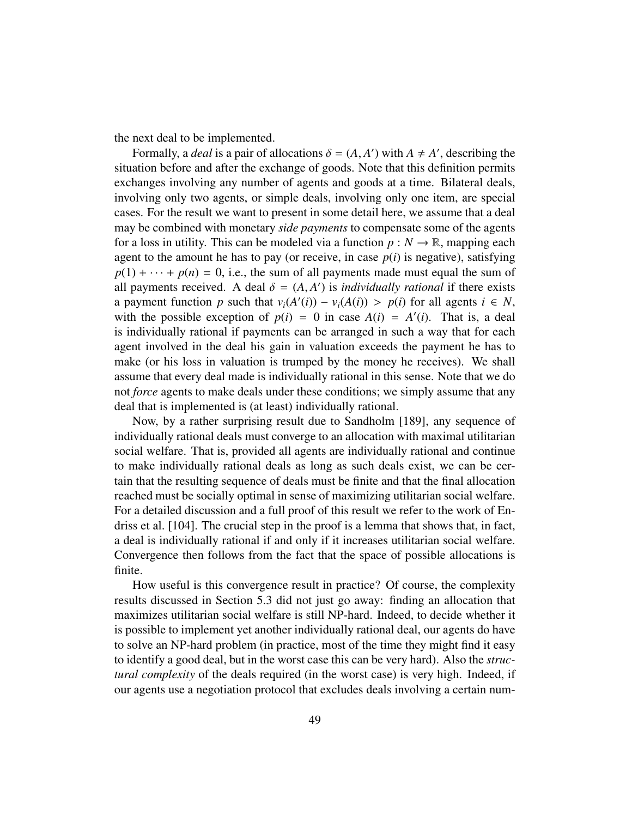the next deal to be implemented.

Formally, a *deal* is a pair of allocations  $\delta = (A, A')$  with  $A \neq A'$ , describing the ation before and after the exchange of goods. Note that this definition permits situation before and after the exchange of goods. Note that this definition permits exchanges involving any number of agents and goods at a time. Bilateral deals, involving only two agents, or simple deals, involving only one item, are special cases. For the result we want to present in some detail here, we assume that a deal may be combined with monetary *side payments* to compensate some of the agents for a loss in utility. This can be modeled via a function  $p : N \to \mathbb{R}$ , mapping each agent to the amount he has to pay (or receive, in case  $p(i)$  is negative), satisfying  $p(1) + \cdots + p(n) = 0$ , i.e., the sum of all payments made must equal the sum of all payments received. A deal  $\delta = (A, A')$  is *individually rational* if there exists a payment function *p* such that  $y(A'(i)) = y(A(i)) \ge p(i)$  for all agents  $i \in N$ a payment function *p* such that  $v_i(A'(i)) - v_i(A(i)) > p(i)$  for all agents  $i \in N$ ,<br>with the possible exception of  $p(i) = 0$  in case  $A(i) = A'(i)$ . That is a deal with the possible exception of  $p(i) = 0$  in case  $A(i) = A'(i)$ . That is, a deal is individually rational if payments can be arranged in such a way that for each agent involved in the deal his gain in valuation exceeds the payment he has to make (or his loss in valuation is trumped by the money he receives). We shall assume that every deal made is individually rational in this sense. Note that we do not *force* agents to make deals under these conditions; we simply assume that any deal that is implemented is (at least) individually rational.

Now, by a rather surprising result due to Sandholm [189], any sequence of individually rational deals must converge to an allocation with maximal utilitarian social welfare. That is, provided all agents are individually rational and continue to make individually rational deals as long as such deals exist, we can be certain that the resulting sequence of deals must be finite and that the final allocation reached must be socially optimal in sense of maximizing utilitarian social welfare. For a detailed discussion and a full proof of this result we refer to the work of Endriss et al. [104]. The crucial step in the proof is a lemma that shows that, in fact, a deal is individually rational if and only if it increases utilitarian social welfare. Convergence then follows from the fact that the space of possible allocations is finite.

How useful is this convergence result in practice? Of course, the complexity results discussed in Section 5.3 did not just go away: finding an allocation that maximizes utilitarian social welfare is still NP-hard. Indeed, to decide whether it is possible to implement yet another individually rational deal, our agents do have to solve an NP-hard problem (in practice, most of the time they might find it easy to identify a good deal, but in the worst case this can be very hard). Also the *structural complexity* of the deals required (in the worst case) is very high. Indeed, if our agents use a negotiation protocol that excludes deals involving a certain num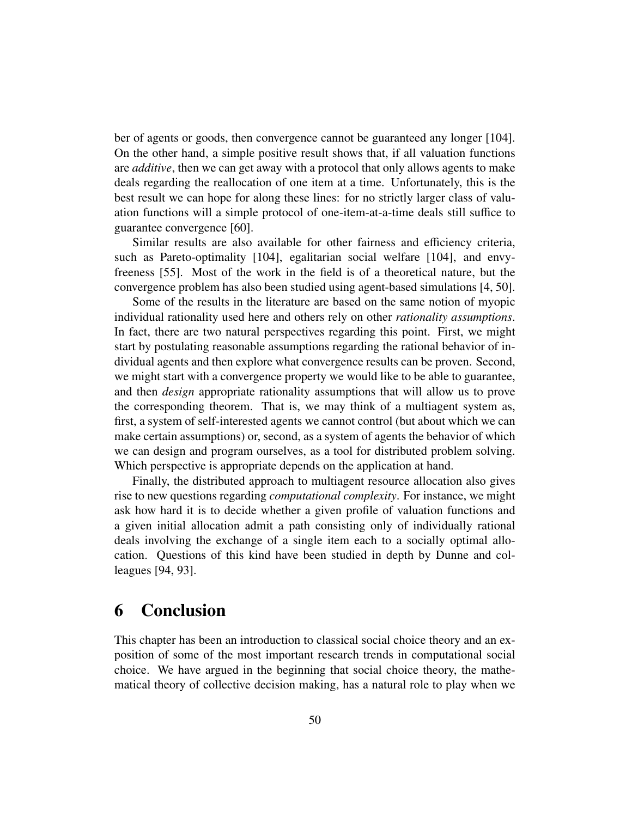ber of agents or goods, then convergence cannot be guaranteed any longer [104]. On the other hand, a simple positive result shows that, if all valuation functions are *additive*, then we can get away with a protocol that only allows agents to make deals regarding the reallocation of one item at a time. Unfortunately, this is the best result we can hope for along these lines: for no strictly larger class of valuation functions will a simple protocol of one-item-at-a-time deals still suffice to guarantee convergence [60].

Similar results are also available for other fairness and efficiency criteria, such as Pareto-optimality [104], egalitarian social welfare [104], and envyfreeness [55]. Most of the work in the field is of a theoretical nature, but the convergence problem has also been studied using agent-based simulations [4, 50].

Some of the results in the literature are based on the same notion of myopic individual rationality used here and others rely on other *rationality assumptions*. In fact, there are two natural perspectives regarding this point. First, we might start by postulating reasonable assumptions regarding the rational behavior of individual agents and then explore what convergence results can be proven. Second, we might start with a convergence property we would like to be able to guarantee, and then *design* appropriate rationality assumptions that will allow us to prove the corresponding theorem. That is, we may think of a multiagent system as, first, a system of self-interested agents we cannot control (but about which we can make certain assumptions) or, second, as a system of agents the behavior of which we can design and program ourselves, as a tool for distributed problem solving. Which perspective is appropriate depends on the application at hand.

Finally, the distributed approach to multiagent resource allocation also gives rise to new questions regarding *computational complexity*. For instance, we might ask how hard it is to decide whether a given profile of valuation functions and a given initial allocation admit a path consisting only of individually rational deals involving the exchange of a single item each to a socially optimal allocation. Questions of this kind have been studied in depth by Dunne and colleagues [94, 93].

# 6 Conclusion

This chapter has been an introduction to classical social choice theory and an exposition of some of the most important research trends in computational social choice. We have argued in the beginning that social choice theory, the mathematical theory of collective decision making, has a natural role to play when we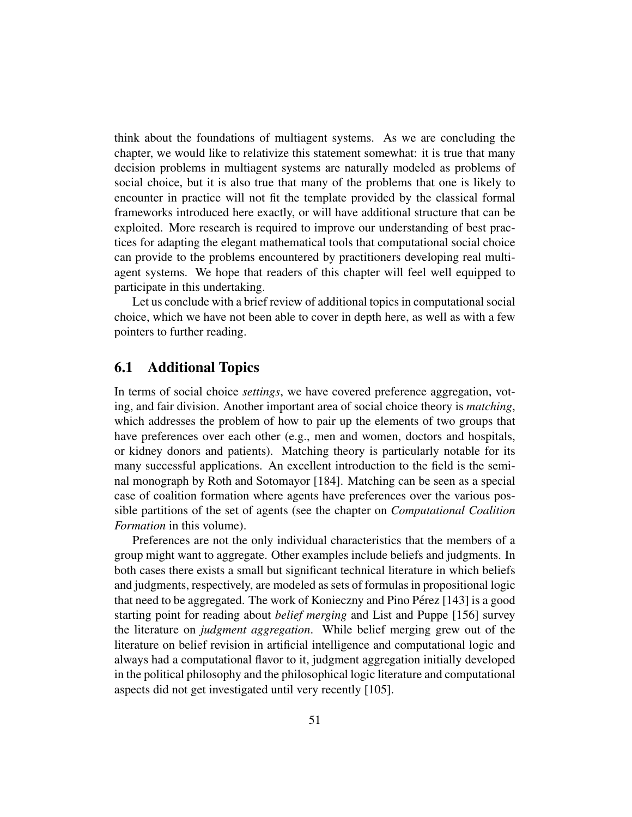think about the foundations of multiagent systems. As we are concluding the chapter, we would like to relativize this statement somewhat: it is true that many decision problems in multiagent systems are naturally modeled as problems of social choice, but it is also true that many of the problems that one is likely to encounter in practice will not fit the template provided by the classical formal frameworks introduced here exactly, or will have additional structure that can be exploited. More research is required to improve our understanding of best practices for adapting the elegant mathematical tools that computational social choice can provide to the problems encountered by practitioners developing real multiagent systems. We hope that readers of this chapter will feel well equipped to participate in this undertaking.

Let us conclude with a brief review of additional topics in computational social choice, which we have not been able to cover in depth here, as well as with a few pointers to further reading.

### 6.1 Additional Topics

In terms of social choice *settings*, we have covered preference aggregation, voting, and fair division. Another important area of social choice theory is *matching*, which addresses the problem of how to pair up the elements of two groups that have preferences over each other (e.g., men and women, doctors and hospitals, or kidney donors and patients). Matching theory is particularly notable for its many successful applications. An excellent introduction to the field is the seminal monograph by Roth and Sotomayor [184]. Matching can be seen as a special case of coalition formation where agents have preferences over the various possible partitions of the set of agents (see the chapter on *Computational Coalition Formation* in this volume).

Preferences are not the only individual characteristics that the members of a group might want to aggregate. Other examples include beliefs and judgments. In both cases there exists a small but significant technical literature in which beliefs and judgments, respectively, are modeled as sets of formulas in propositional logic that need to be aggregated. The work of Konieczny and Pino Pérez [143] is a good starting point for reading about *belief merging* and List and Puppe [156] survey the literature on *judgment aggregation*. While belief merging grew out of the literature on belief revision in artificial intelligence and computational logic and always had a computational flavor to it, judgment aggregation initially developed in the political philosophy and the philosophical logic literature and computational aspects did not get investigated until very recently [105].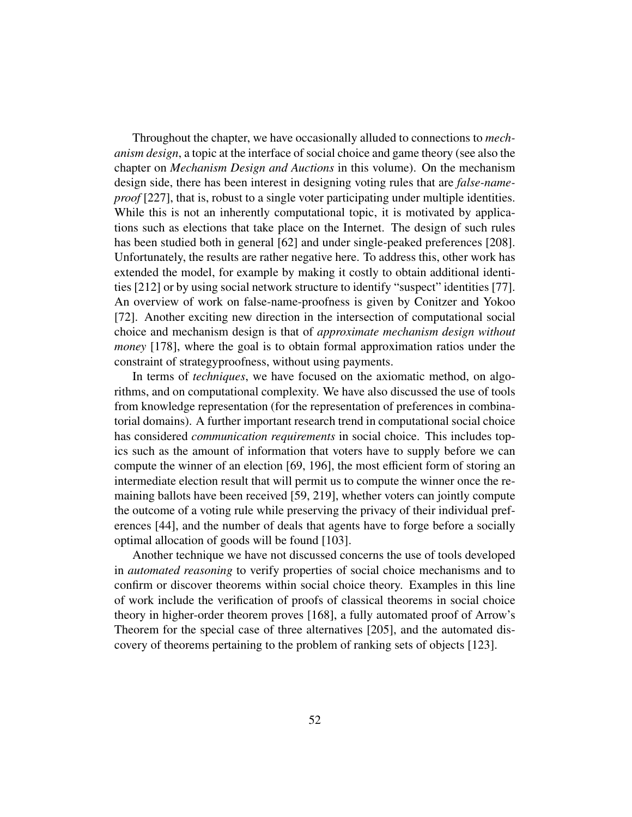Throughout the chapter, we have occasionally alluded to connections to *mechanism design*, a topic at the interface of social choice and game theory (see also the chapter on *Mechanism Design and Auctions* in this volume). On the mechanism design side, there has been interest in designing voting rules that are *false-nameproof* [227], that is, robust to a single voter participating under multiple identities. While this is not an inherently computational topic, it is motivated by applications such as elections that take place on the Internet. The design of such rules has been studied both in general [62] and under single-peaked preferences [208]. Unfortunately, the results are rather negative here. To address this, other work has extended the model, for example by making it costly to obtain additional identities [212] or by using social network structure to identify "suspect" identities [77]. An overview of work on false-name-proofness is given by Conitzer and Yokoo [72]. Another exciting new direction in the intersection of computational social choice and mechanism design is that of *approximate mechanism design without money* [178], where the goal is to obtain formal approximation ratios under the constraint of strategyproofness, without using payments.

In terms of *techniques*, we have focused on the axiomatic method, on algorithms, and on computational complexity. We have also discussed the use of tools from knowledge representation (for the representation of preferences in combinatorial domains). A further important research trend in computational social choice has considered *communication requirements* in social choice. This includes topics such as the amount of information that voters have to supply before we can compute the winner of an election [69, 196], the most efficient form of storing an intermediate election result that will permit us to compute the winner once the remaining ballots have been received [59, 219], whether voters can jointly compute the outcome of a voting rule while preserving the privacy of their individual preferences [44], and the number of deals that agents have to forge before a socially optimal allocation of goods will be found [103].

Another technique we have not discussed concerns the use of tools developed in *automated reasoning* to verify properties of social choice mechanisms and to confirm or discover theorems within social choice theory. Examples in this line of work include the verification of proofs of classical theorems in social choice theory in higher-order theorem proves [168], a fully automated proof of Arrow's Theorem for the special case of three alternatives [205], and the automated discovery of theorems pertaining to the problem of ranking sets of objects [123].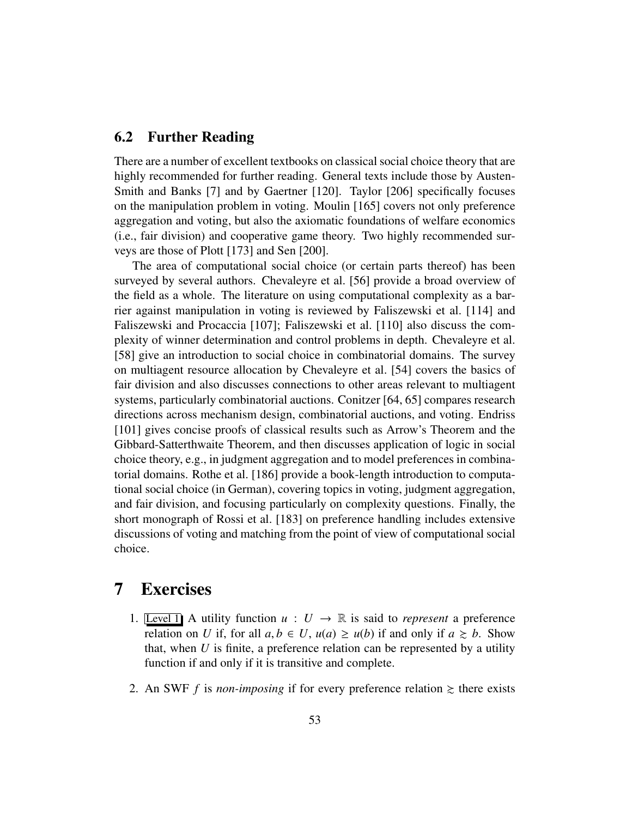### 6.2 Further Reading

There are a number of excellent textbooks on classical social choice theory that are highly recommended for further reading. General texts include those by Austen-Smith and Banks [7] and by Gaertner [120]. Taylor [206] specifically focuses on the manipulation problem in voting. Moulin [165] covers not only preference aggregation and voting, but also the axiomatic foundations of welfare economics (i.e., fair division) and cooperative game theory. Two highly recommended surveys are those of Plott [173] and Sen [200].

The area of computational social choice (or certain parts thereof) has been surveyed by several authors. Chevaleyre et al. [56] provide a broad overview of the field as a whole. The literature on using computational complexity as a barrier against manipulation in voting is reviewed by Faliszewski et al. [114] and Faliszewski and Procaccia [107]; Faliszewski et al. [110] also discuss the complexity of winner determination and control problems in depth. Chevaleyre et al. [58] give an introduction to social choice in combinatorial domains. The survey on multiagent resource allocation by Chevaleyre et al. [54] covers the basics of fair division and also discusses connections to other areas relevant to multiagent systems, particularly combinatorial auctions. Conitzer [64, 65] compares research directions across mechanism design, combinatorial auctions, and voting. Endriss [101] gives concise proofs of classical results such as Arrow's Theorem and the Gibbard-Satterthwaite Theorem, and then discusses application of logic in social choice theory, e.g., in judgment aggregation and to model preferences in combinatorial domains. Rothe et al. [186] provide a book-length introduction to computational social choice (in German), covering topics in voting, judgment aggregation, and fair division, and focusing particularly on complexity questions. Finally, the short monograph of Rossi et al. [183] on preference handling includes extensive discussions of voting and matching from the point of view of computational social choice.

## 7 Exercises

- 1. Level 1 A utility function  $u: U \to \mathbb{R}$  is said to *represent* a preference relation on *U* if, for all  $a, b \in U$ ,  $u(a) \ge u(b)$  if and only if  $a \ge b$ . Show that, when *U* is finite, a preference relation can be represented by a utility function if and only if it is transitive and complete.
- 2. An SWF f is *non-imposing* if for every preference relation  $\geq$  there exists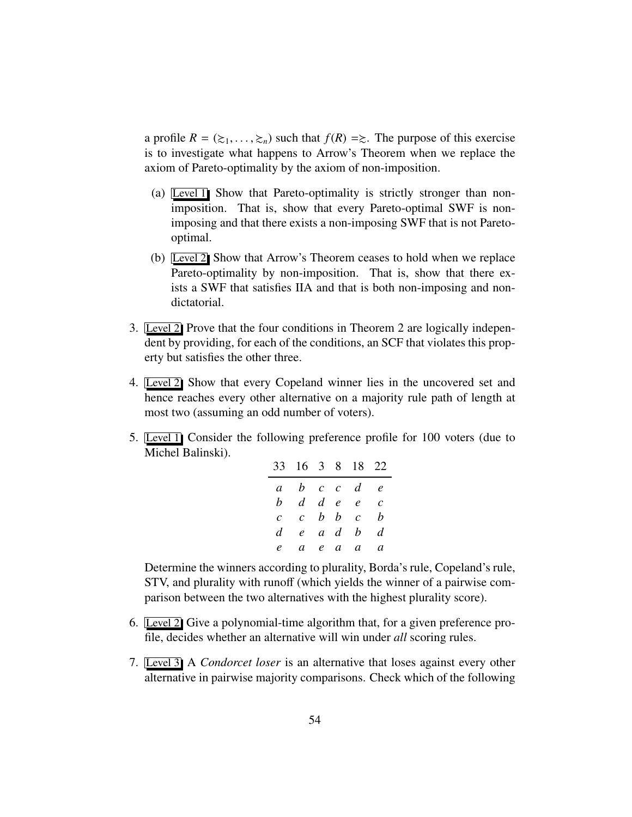a profile  $R = (\geq_1, \ldots, \geq_n)$  such that  $f(R) = \geq$ . The purpose of this exercise is to investigate what happens to Arrow's Theorem when we replace the axiom of Pareto-optimality by the axiom of non-imposition.

- (a)  $\overline{Level 1}$  Show that Pareto-optimality is strictly stronger than nonimposition. That is, show that every Pareto-optimal SWF is nonimposing and that there exists a non-imposing SWF that is not Paretooptimal.
- (b)  $\text{Level 2}$  Show that Arrow's Theorem ceases to hold when we replace Pareto-optimality by non-imposition. That is, show that there exists a SWF that satisfies IIA and that is both non-imposing and nondictatorial.
- 3. Level 2 Prove that the four conditions in Theorem 2 are logically independent by providing, for each of the conditions, an SCF that violates this property but satisfies the other three.
- 4. Level 2 Show that every Copeland winner lies in the uncovered set and hence reaches every other alternative on a majority rule path of length at most two (assuming an odd number of voters).
- 5. Level 1 Consider the following preference profile for 100 voters (due to Michel Balinski).

|                       | 33 16 3 8 18 22 |         |           |                       |
|-----------------------|-----------------|---------|-----------|-----------------------|
|                       | a b c c d e     |         |           |                       |
| h                     |                 |         | dde e     | $\mathcal{C}_{0}^{0}$ |
| $\mathcal{C}_{0}^{0}$ |                 |         | $c$ b b c | b                     |
| d                     |                 | e a d b |           | d                     |
| e                     |                 |         | a e a a   | а                     |

Determine the winners according to plurality, Borda's rule, Copeland's rule, STV, and plurality with runoff (which yields the winner of a pairwise comparison between the two alternatives with the highest plurality score).

- 6. Level 2 Give a polynomial-time algorithm that, for a given preference profile, decides whether an alternative will win under *all* scoring rules.
- 7. Level 3 A *Condorcet loser* is an alternative that loses against every other alternative in pairwise majority comparisons. Check which of the following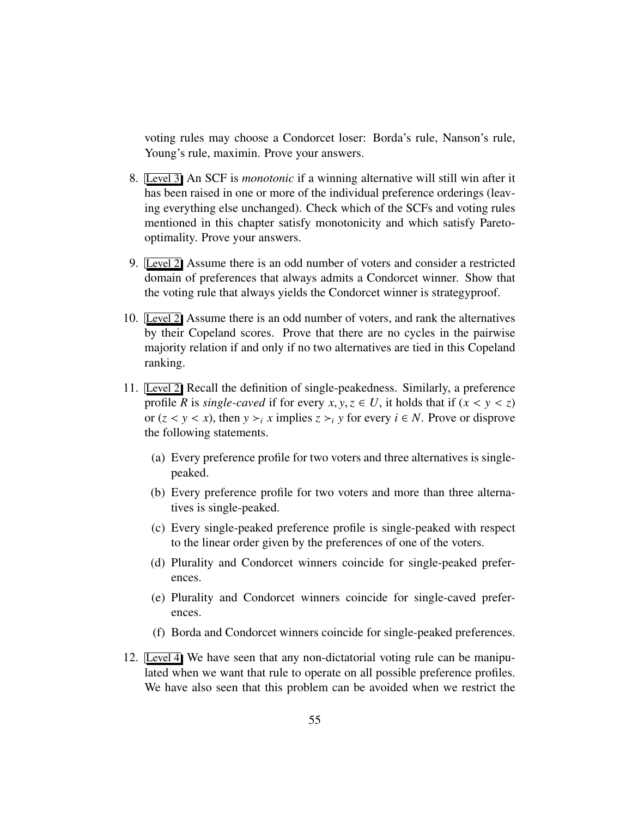voting rules may choose a Condorcet loser: Borda's rule, Nanson's rule, Young's rule, maximin. Prove your answers.

- 8. Level 3 An SCF is *monotonic* if a winning alternative will still win after it has been raised in one or more of the individual preference orderings (leaving everything else unchanged). Check which of the SCFs and voting rules mentioned in this chapter satisfy monotonicity and which satisfy Paretooptimality. Prove your answers.
- 9. Level 2 Assume there is an odd number of voters and consider a restricted domain of preferences that always admits a Condorcet winner. Show that the voting rule that always yields the Condorcet winner is strategyproof.
- 10. Level 2 Assume there is an odd number of voters, and rank the alternatives by their Copeland scores. Prove that there are no cycles in the pairwise majority relation if and only if no two alternatives are tied in this Copeland ranking.
- 11. Level 2 Recall the definition of single-peakedness. Similarly, a preference profile *R* is *single-caved* if for every  $x, y, z \in U$ , it holds that if  $(x < y < z)$ or  $(z < y < x)$ , then  $y > i$  *x* implies  $z > i$  *y* for every  $i \in N$ . Prove or disprove the following statements.
	- (a) Every preference profile for two voters and three alternatives is singlepeaked.
	- (b) Every preference profile for two voters and more than three alternatives is single-peaked.
	- (c) Every single-peaked preference profile is single-peaked with respect to the linear order given by the preferences of one of the voters.
	- (d) Plurality and Condorcet winners coincide for single-peaked preferences.
	- (e) Plurality and Condorcet winners coincide for single-caved preferences.
	- (f) Borda and Condorcet winners coincide for single-peaked preferences.
- 12. Level 4 We have seen that any non-dictatorial voting rule can be manipulated when we want that rule to operate on all possible preference profiles. We have also seen that this problem can be avoided when we restrict the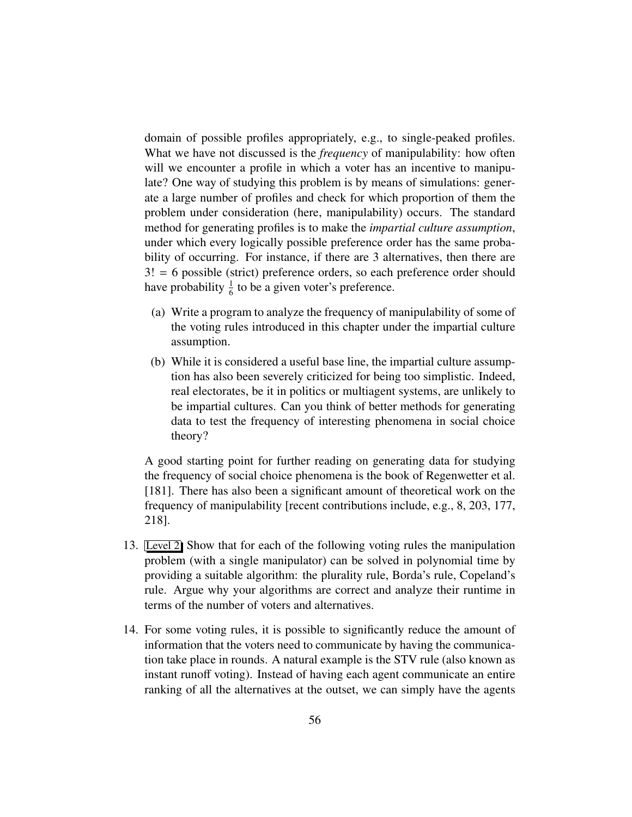domain of possible profiles appropriately, e.g., to single-peaked profiles. What we have not discussed is the *frequency* of manipulability: how often will we encounter a profile in which a voter has an incentive to manipulate? One way of studying this problem is by means of simulations: generate a large number of profiles and check for which proportion of them the problem under consideration (here, manipulability) occurs. The standard method for generating profiles is to make the *impartial culture assumption*, under which every logically possible preference order has the same probability of occurring. For instance, if there are 3 alternatives, then there are 3! = 6 possible (strict) preference orders, so each preference order should have probability  $\frac{1}{6}$  to be a given voter's preference.

- (a) Write a program to analyze the frequency of manipulability of some of the voting rules introduced in this chapter under the impartial culture assumption.
- (b) While it is considered a useful base line, the impartial culture assumption has also been severely criticized for being too simplistic. Indeed, real electorates, be it in politics or multiagent systems, are unlikely to be impartial cultures. Can you think of better methods for generating data to test the frequency of interesting phenomena in social choice theory?

A good starting point for further reading on generating data for studying the frequency of social choice phenomena is the book of Regenwetter et al. [181]. There has also been a significant amount of theoretical work on the frequency of manipulability [recent contributions include, e.g., 8, 203, 177, 218].

- 13. Level 2 Show that for each of the following voting rules the manipulation problem (with a single manipulator) can be solved in polynomial time by providing a suitable algorithm: the plurality rule, Borda's rule, Copeland's rule. Argue why your algorithms are correct and analyze their runtime in terms of the number of voters and alternatives.
- 14. For some voting rules, it is possible to significantly reduce the amount of information that the voters need to communicate by having the communication take place in rounds. A natural example is the STV rule (also known as instant runoff voting). Instead of having each agent communicate an entire ranking of all the alternatives at the outset, we can simply have the agents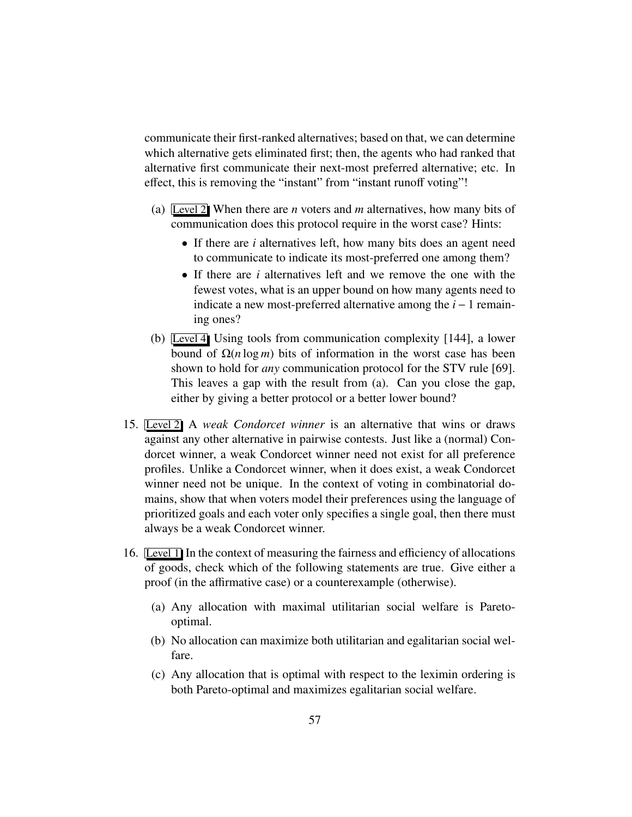communicate their first-ranked alternatives; based on that, we can determine which alternative gets eliminated first; then, the agents who had ranked that alternative first communicate their next-most preferred alternative; etc. In effect, this is removing the "instant" from "instant runoff voting"!

- (a)  $\boxed{\text{Level 2}}$  When there are *n* voters and *m* alternatives, how many bits of communication does this protocol require in the worst case? Hints:
	- If there are *i* alternatives left, how many bits does an agent need to communicate to indicate its most-preferred one among them?
	- If there are *i* alternatives left and we remove the one with the fewest votes, what is an upper bound on how many agents need to indicate a new most-preferred alternative among the *i* − 1 remaining ones?
- (b) Level 4 Using tools from communication complexity  $[144]$ , a lower bound of  $Ω(n \log m)$  bits of information in the worst case has been shown to hold for *any* communication protocol for the STV rule [69]. This leaves a gap with the result from (a). Can you close the gap, either by giving a better protocol or a better lower bound?
- 15. **Level 2** A *weak Condorcet winner* is an alternative that wins or draws against any other alternative in pairwise contests. Just like a (normal) Condorcet winner, a weak Condorcet winner need not exist for all preference profiles. Unlike a Condorcet winner, when it does exist, a weak Condorcet winner need not be unique. In the context of voting in combinatorial domains, show that when voters model their preferences using the language of prioritized goals and each voter only specifies a single goal, then there must always be a weak Condorcet winner.
- 16. Level 1 In the context of measuring the fairness and efficiency of allocations of goods, check which of the following statements are true. Give either a proof (in the affirmative case) or a counterexample (otherwise).
	- (a) Any allocation with maximal utilitarian social welfare is Paretooptimal.
	- (b) No allocation can maximize both utilitarian and egalitarian social welfare.
	- (c) Any allocation that is optimal with respect to the leximin ordering is both Pareto-optimal and maximizes egalitarian social welfare.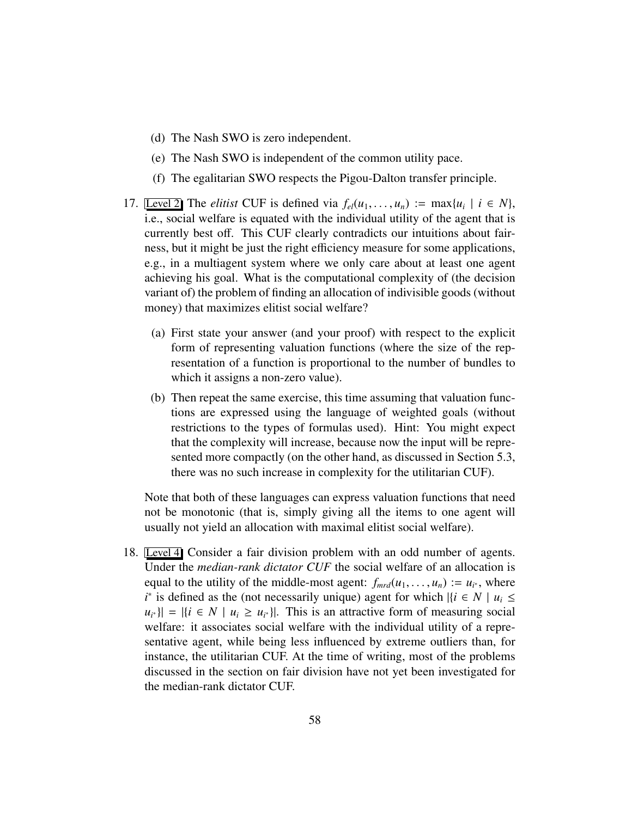- (d) The Nash SWO is zero independent.
- (e) The Nash SWO is independent of the common utility pace.
- (f) The egalitarian SWO respects the Pigou-Dalton transfer principle.
- 17. Level 2 The *elitist* CUF is defined via  $f_{el}(u_1, \ldots, u_n) := \max\{u_i \mid i \in N\}$ , i.e. social welfare is equated with the individual utility of the agent that is i.e., social welfare is equated with the individual utility of the agent that is currently best off. This CUF clearly contradicts our intuitions about fairness, but it might be just the right efficiency measure for some applications, e.g., in a multiagent system where we only care about at least one agent achieving his goal. What is the computational complexity of (the decision variant of) the problem of finding an allocation of indivisible goods (without money) that maximizes elitist social welfare?
	- (a) First state your answer (and your proof) with respect to the explicit form of representing valuation functions (where the size of the representation of a function is proportional to the number of bundles to which it assigns a non-zero value).
	- (b) Then repeat the same exercise, this time assuming that valuation functions are expressed using the language of weighted goals (without restrictions to the types of formulas used). Hint: You might expect that the complexity will increase, because now the input will be represented more compactly (on the other hand, as discussed in Section 5.3, there was no such increase in complexity for the utilitarian CUF).

Note that both of these languages can express valuation functions that need not be monotonic (that is, simply giving all the items to one agent will usually not yield an allocation with maximal elitist social welfare).

18. Level 4 Consider a fair division problem with an odd number of agents. Under the *median-rank dictator CUF* the social welfare of an allocation is equal to the utility of the middle-most agent:  $f_{mrd}(u_1, \ldots, u_n) := u_{i^*}$ , where  $i^*$  is defined as the (not necessarily unique) agent for which  $|j_i \in N | u_i \le$  $i^*$  is defined as the (not necessarily unique) agent for which  $|\{i \in N \mid u_i \leq \}$  $|u_{i^*}| = |\{i \in N \mid u_i \ge u_{i^*}\}|$ . This is an attractive form of measuring social welfare: it associates social welfare with the individual utility of a representative agent, while being less influenced by extreme outliers than, for instance, the utilitarian CUF. At the time of writing, most of the problems discussed in the section on fair division have not yet been investigated for the median-rank dictator CUF.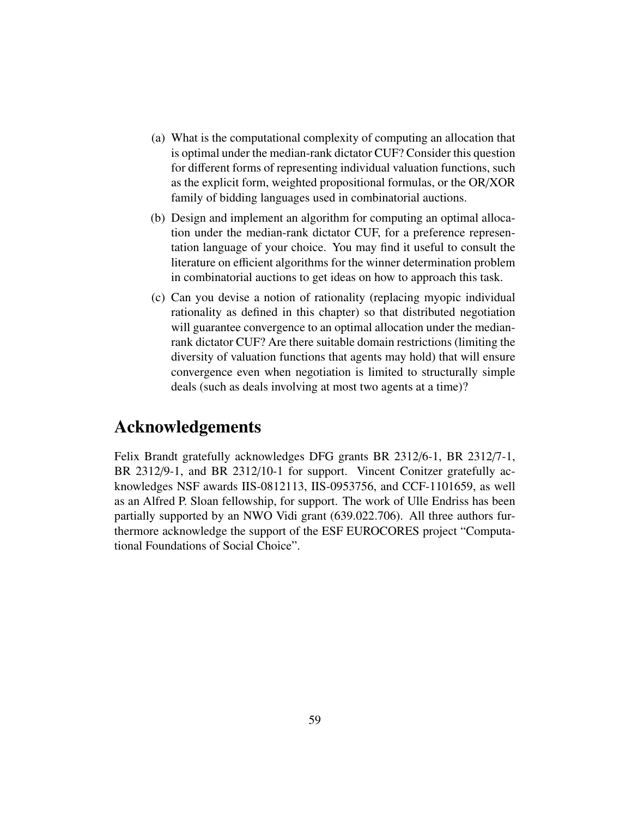- (a) What is the computational complexity of computing an allocation that is optimal under the median-rank dictator CUF? Consider this question for different forms of representing individual valuation functions, such as the explicit form, weighted propositional formulas, or the OR/XOR family of bidding languages used in combinatorial auctions.
- (b) Design and implement an algorithm for computing an optimal allocation under the median-rank dictator CUF, for a preference representation language of your choice. You may find it useful to consult the literature on efficient algorithms for the winner determination problem in combinatorial auctions to get ideas on how to approach this task.
- (c) Can you devise a notion of rationality (replacing myopic individual rationality as defined in this chapter) so that distributed negotiation will guarantee convergence to an optimal allocation under the medianrank dictator CUF? Are there suitable domain restrictions (limiting the diversity of valuation functions that agents may hold) that will ensure convergence even when negotiation is limited to structurally simple deals (such as deals involving at most two agents at a time)?

# Acknowledgements

Felix Brandt gratefully acknowledges DFG grants BR 2312/6-1, BR 2312/7-1, BR 2312/9-1, and BR 2312/10-1 for support. Vincent Conitzer gratefully acknowledges NSF awards IIS-0812113, IIS-0953756, and CCF-1101659, as well as an Alfred P. Sloan fellowship, for support. The work of Ulle Endriss has been partially supported by an NWO Vidi grant (639.022.706). All three authors furthermore acknowledge the support of the ESF EUROCORES project "Computational Foundations of Social Choice".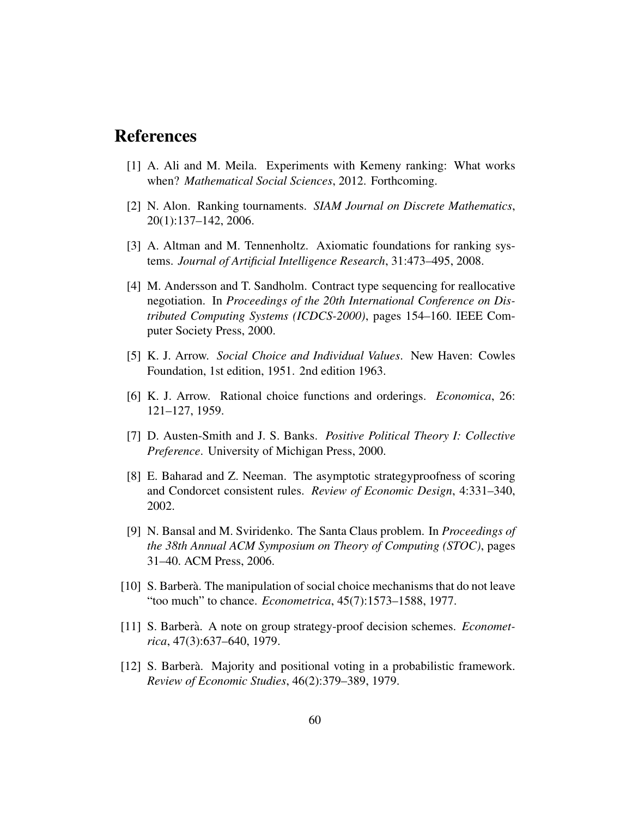# References

- [1] A. Ali and M. Meila. Experiments with Kemeny ranking: What works when? *Mathematical Social Sciences*, 2012. Forthcoming.
- [2] N. Alon. Ranking tournaments. *SIAM Journal on Discrete Mathematics*, 20(1):137–142, 2006.
- [3] A. Altman and M. Tennenholtz. Axiomatic foundations for ranking systems. *Journal of Artificial Intelligence Research*, 31:473–495, 2008.
- [4] M. Andersson and T. Sandholm. Contract type sequencing for reallocative negotiation. In *Proceedings of the 20th International Conference on Distributed Computing Systems (ICDCS-2000)*, pages 154–160. IEEE Computer Society Press, 2000.
- [5] K. J. Arrow. *Social Choice and Individual Values*. New Haven: Cowles Foundation, 1st edition, 1951. 2nd edition 1963.
- [6] K. J. Arrow. Rational choice functions and orderings. *Economica*, 26: 121–127, 1959.
- [7] D. Austen-Smith and J. S. Banks. *Positive Political Theory I: Collective Preference*. University of Michigan Press, 2000.
- [8] E. Baharad and Z. Neeman. The asymptotic strategyproofness of scoring and Condorcet consistent rules. *Review of Economic Design*, 4:331–340, 2002.
- [9] N. Bansal and M. Sviridenko. The Santa Claus problem. In *Proceedings of the 38th Annual ACM Symposium on Theory of Computing (STOC)*, pages 31–40. ACM Press, 2006.
- [10] S. Barbera. The manipulation of social choice mechanisms that do not leave ` "too much" to chance. *Econometrica*, 45(7):1573–1588, 1977.
- [11] S. Barbera. A note on group strategy-proof decision schemes. ` *Econometrica*, 47(3):637–640, 1979.
- [12] S. Barbera. Majority and positional voting in a probabilistic framework. ` *Review of Economic Studies*, 46(2):379–389, 1979.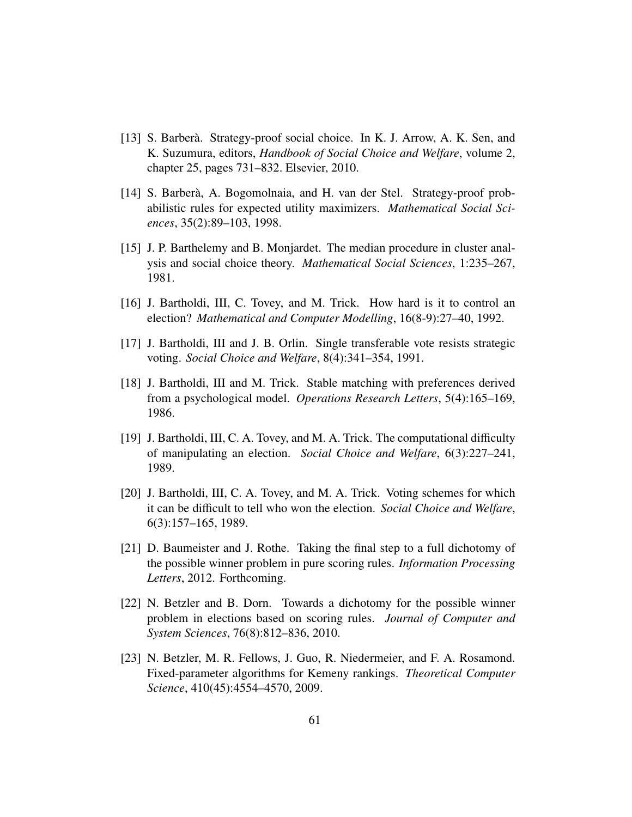- [13] S. Barbera. Strategy-proof social choice. In K. J. Arrow, A. K. Sen, and ` K. Suzumura, editors, *Handbook of Social Choice and Welfare*, volume 2, chapter 25, pages 731–832. Elsevier, 2010.
- [14] S. Barbera, A. Bogomolnaia, and H. van der Stel. Strategy-proof prob- ` abilistic rules for expected utility maximizers. *Mathematical Social Sciences*, 35(2):89–103, 1998.
- [15] J. P. Barthelemy and B. Monjardet. The median procedure in cluster analysis and social choice theory. *Mathematical Social Sciences*, 1:235–267, 1981.
- [16] J. Bartholdi, III, C. Tovey, and M. Trick. How hard is it to control an election? *Mathematical and Computer Modelling*, 16(8-9):27–40, 1992.
- [17] J. Bartholdi, III and J. B. Orlin. Single transferable vote resists strategic voting. *Social Choice and Welfare*, 8(4):341–354, 1991.
- [18] J. Bartholdi, III and M. Trick. Stable matching with preferences derived from a psychological model. *Operations Research Letters*, 5(4):165–169, 1986.
- [19] J. Bartholdi, III, C. A. Tovey, and M. A. Trick. The computational difficulty of manipulating an election. *Social Choice and Welfare*, 6(3):227–241, 1989.
- [20] J. Bartholdi, III, C. A. Tovey, and M. A. Trick. Voting schemes for which it can be difficult to tell who won the election. *Social Choice and Welfare*, 6(3):157–165, 1989.
- [21] D. Baumeister and J. Rothe. Taking the final step to a full dichotomy of the possible winner problem in pure scoring rules. *Information Processing Letters*, 2012. Forthcoming.
- [22] N. Betzler and B. Dorn. Towards a dichotomy for the possible winner problem in elections based on scoring rules. *Journal of Computer and System Sciences*, 76(8):812–836, 2010.
- [23] N. Betzler, M. R. Fellows, J. Guo, R. Niedermeier, and F. A. Rosamond. Fixed-parameter algorithms for Kemeny rankings. *Theoretical Computer Science*, 410(45):4554–4570, 2009.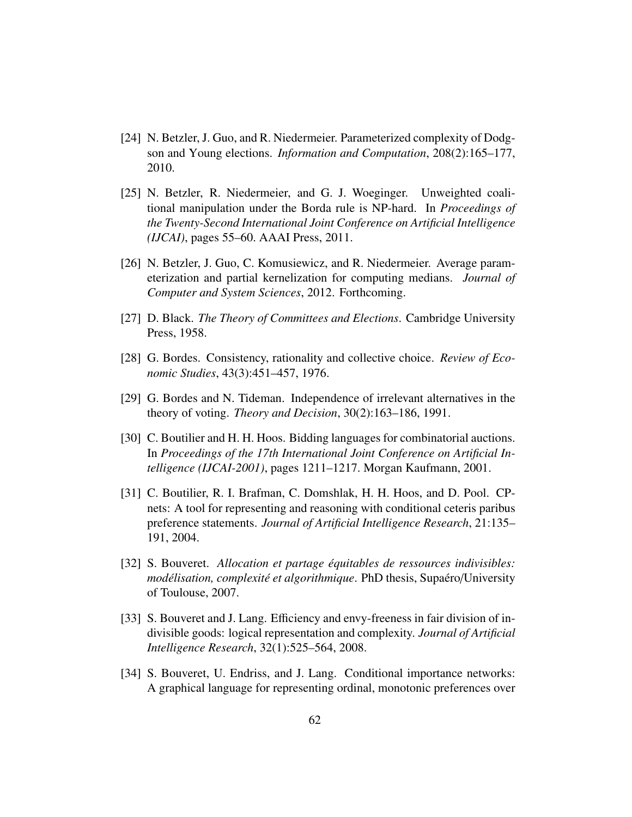- [24] N. Betzler, J. Guo, and R. Niedermeier. Parameterized complexity of Dodgson and Young elections. *Information and Computation*, 208(2):165–177, 2010.
- [25] N. Betzler, R. Niedermeier, and G. J. Woeginger. Unweighted coalitional manipulation under the Borda rule is NP-hard. In *Proceedings of the Twenty-Second International Joint Conference on Artificial Intelligence (IJCAI)*, pages 55–60. AAAI Press, 2011.
- [26] N. Betzler, J. Guo, C. Komusiewicz, and R. Niedermeier. Average parameterization and partial kernelization for computing medians. *Journal of Computer and System Sciences*, 2012. Forthcoming.
- [27] D. Black. *The Theory of Committees and Elections*. Cambridge University Press, 1958.
- [28] G. Bordes. Consistency, rationality and collective choice. *Review of Economic Studies*, 43(3):451–457, 1976.
- [29] G. Bordes and N. Tideman. Independence of irrelevant alternatives in the theory of voting. *Theory and Decision*, 30(2):163–186, 1991.
- [30] C. Boutilier and H. H. Hoos. Bidding languages for combinatorial auctions. In *Proceedings of the 17th International Joint Conference on Artificial Intelligence (IJCAI-2001)*, pages 1211–1217. Morgan Kaufmann, 2001.
- [31] C. Boutilier, R. I. Brafman, C. Domshlak, H. H. Hoos, and D. Pool. CPnets: A tool for representing and reasoning with conditional ceteris paribus preference statements. *Journal of Artificial Intelligence Research*, 21:135– 191, 2004.
- [32] S. Bouveret. *Allocation et partage ´equitables de ressources indivisibles: modélisation, complexité et algorithmique*. PhD thesis, Supaéro/University of Toulouse, 2007.
- [33] S. Bouveret and J. Lang. Efficiency and envy-freeness in fair division of indivisible goods: logical representation and complexity. *Journal of Artificial Intelligence Research*, 32(1):525–564, 2008.
- [34] S. Bouveret, U. Endriss, and J. Lang. Conditional importance networks: A graphical language for representing ordinal, monotonic preferences over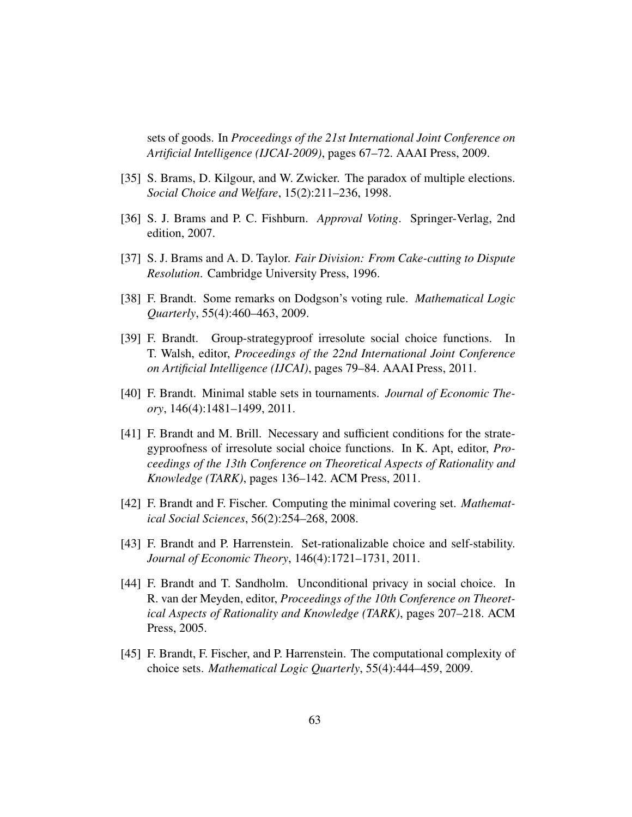sets of goods. In *Proceedings of the 21st International Joint Conference on Artificial Intelligence (IJCAI-2009)*, pages 67–72. AAAI Press, 2009.

- [35] S. Brams, D. Kilgour, and W. Zwicker. The paradox of multiple elections. *Social Choice and Welfare*, 15(2):211–236, 1998.
- [36] S. J. Brams and P. C. Fishburn. *Approval Voting*. Springer-Verlag, 2nd edition, 2007.
- [37] S. J. Brams and A. D. Taylor. *Fair Division: From Cake-cutting to Dispute Resolution*. Cambridge University Press, 1996.
- [38] F. Brandt. Some remarks on Dodgson's voting rule. *Mathematical Logic Quarterly*, 55(4):460–463, 2009.
- [39] F. Brandt. Group-strategyproof irresolute social choice functions. In T. Walsh, editor, *Proceedings of the 22nd International Joint Conference on Artificial Intelligence (IJCAI)*, pages 79–84. AAAI Press, 2011.
- [40] F. Brandt. Minimal stable sets in tournaments. *Journal of Economic Theory*, 146(4):1481–1499, 2011.
- [41] F. Brandt and M. Brill. Necessary and sufficient conditions for the strategyproofness of irresolute social choice functions. In K. Apt, editor, *Proceedings of the 13th Conference on Theoretical Aspects of Rationality and Knowledge (TARK)*, pages 136–142. ACM Press, 2011.
- [42] F. Brandt and F. Fischer. Computing the minimal covering set. *Mathematical Social Sciences*, 56(2):254–268, 2008.
- [43] F. Brandt and P. Harrenstein. Set-rationalizable choice and self-stability. *Journal of Economic Theory*, 146(4):1721–1731, 2011.
- [44] F. Brandt and T. Sandholm. Unconditional privacy in social choice. In R. van der Meyden, editor, *Proceedings of the 10th Conference on Theoretical Aspects of Rationality and Knowledge (TARK)*, pages 207–218. ACM Press, 2005.
- [45] F. Brandt, F. Fischer, and P. Harrenstein. The computational complexity of choice sets. *Mathematical Logic Quarterly*, 55(4):444–459, 2009.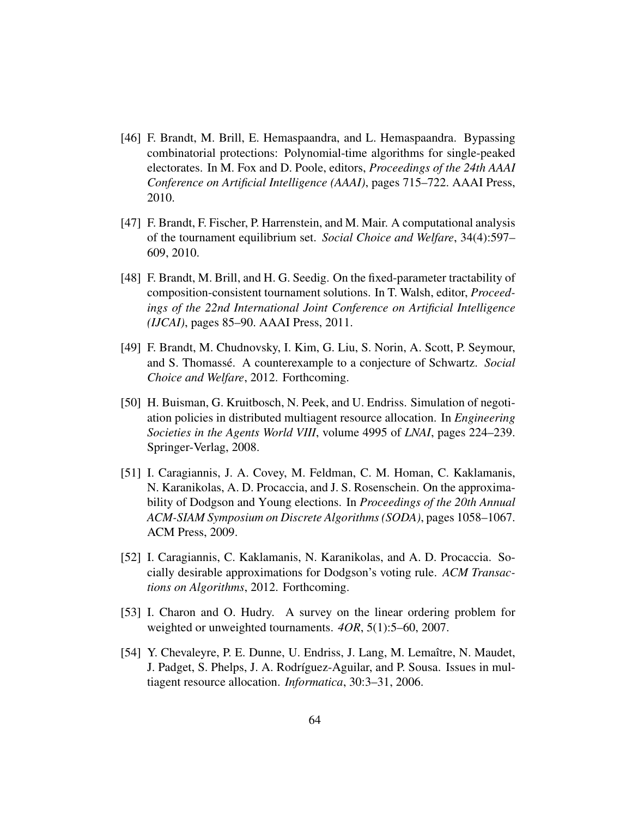- [46] F. Brandt, M. Brill, E. Hemaspaandra, and L. Hemaspaandra. Bypassing combinatorial protections: Polynomial-time algorithms for single-peaked electorates. In M. Fox and D. Poole, editors, *Proceedings of the 24th AAAI Conference on Artificial Intelligence (AAAI)*, pages 715–722. AAAI Press, 2010.
- [47] F. Brandt, F. Fischer, P. Harrenstein, and M. Mair. A computational analysis of the tournament equilibrium set. *Social Choice and Welfare*, 34(4):597– 609, 2010.
- [48] F. Brandt, M. Brill, and H. G. Seedig. On the fixed-parameter tractability of composition-consistent tournament solutions. In T. Walsh, editor, *Proceedings of the 22nd International Joint Conference on Artificial Intelligence (IJCAI)*, pages 85–90. AAAI Press, 2011.
- [49] F. Brandt, M. Chudnovsky, I. Kim, G. Liu, S. Norin, A. Scott, P. Seymour, and S. Thomassé. A counterexample to a conjecture of Schwartz. Social *Choice and Welfare*, 2012. Forthcoming.
- [50] H. Buisman, G. Kruitbosch, N. Peek, and U. Endriss. Simulation of negotiation policies in distributed multiagent resource allocation. In *Engineering Societies in the Agents World VIII*, volume 4995 of *LNAI*, pages 224–239. Springer-Verlag, 2008.
- [51] I. Caragiannis, J. A. Covey, M. Feldman, C. M. Homan, C. Kaklamanis, N. Karanikolas, A. D. Procaccia, and J. S. Rosenschein. On the approximability of Dodgson and Young elections. In *Proceedings of the 20th Annual ACM-SIAM Symposium on Discrete Algorithms (SODA)*, pages 1058–1067. ACM Press, 2009.
- [52] I. Caragiannis, C. Kaklamanis, N. Karanikolas, and A. D. Procaccia. Socially desirable approximations for Dodgson's voting rule. *ACM Transactions on Algorithms*, 2012. Forthcoming.
- [53] I. Charon and O. Hudry. A survey on the linear ordering problem for weighted or unweighted tournaments. *4OR*, 5(1):5–60, 2007.
- [54] Y. Chevaleyre, P. E. Dunne, U. Endriss, J. Lang, M. Lemaître, N. Maudet, J. Padget, S. Phelps, J. A. Rodríguez-Aguilar, and P. Sousa. Issues in multiagent resource allocation. *Informatica*, 30:3–31, 2006.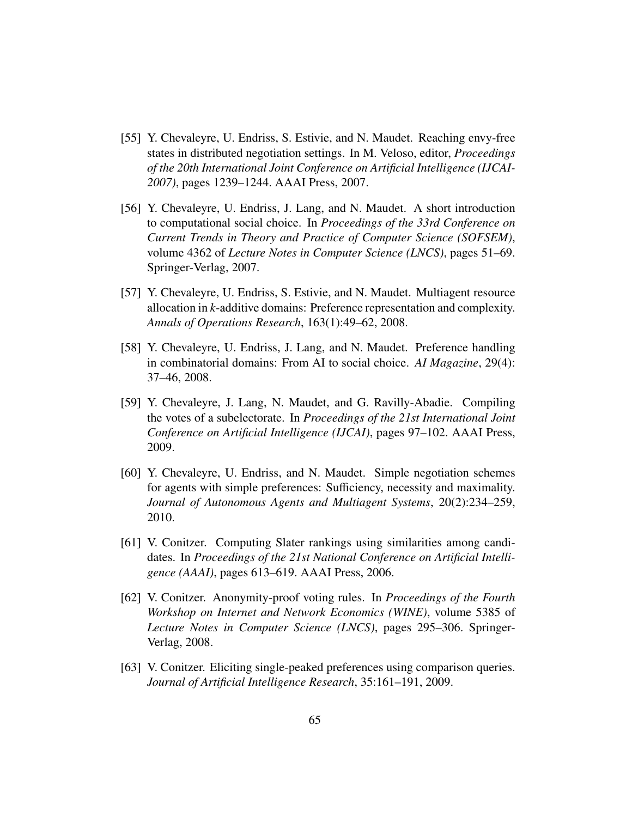- [55] Y. Chevaleyre, U. Endriss, S. Estivie, and N. Maudet. Reaching envy-free states in distributed negotiation settings. In M. Veloso, editor, *Proceedings of the 20th International Joint Conference on Artificial Intelligence (IJCAI-2007)*, pages 1239–1244. AAAI Press, 2007.
- [56] Y. Chevaleyre, U. Endriss, J. Lang, and N. Maudet. A short introduction to computational social choice. In *Proceedings of the 33rd Conference on Current Trends in Theory and Practice of Computer Science (SOFSEM)*, volume 4362 of *Lecture Notes in Computer Science (LNCS)*, pages 51–69. Springer-Verlag, 2007.
- [57] Y. Chevaleyre, U. Endriss, S. Estivie, and N. Maudet. Multiagent resource allocation in *k*-additive domains: Preference representation and complexity. *Annals of Operations Research*, 163(1):49–62, 2008.
- [58] Y. Chevaleyre, U. Endriss, J. Lang, and N. Maudet. Preference handling in combinatorial domains: From AI to social choice. *AI Magazine*, 29(4): 37–46, 2008.
- [59] Y. Chevaleyre, J. Lang, N. Maudet, and G. Ravilly-Abadie. Compiling the votes of a subelectorate. In *Proceedings of the 21st International Joint Conference on Artificial Intelligence (IJCAI)*, pages 97–102. AAAI Press, 2009.
- [60] Y. Chevaleyre, U. Endriss, and N. Maudet. Simple negotiation schemes for agents with simple preferences: Sufficiency, necessity and maximality. *Journal of Autonomous Agents and Multiagent Systems*, 20(2):234–259, 2010.
- [61] V. Conitzer. Computing Slater rankings using similarities among candidates. In *Proceedings of the 21st National Conference on Artificial Intelligence (AAAI)*, pages 613–619. AAAI Press, 2006.
- [62] V. Conitzer. Anonymity-proof voting rules. In *Proceedings of the Fourth Workshop on Internet and Network Economics (WINE)*, volume 5385 of *Lecture Notes in Computer Science (LNCS)*, pages 295–306. Springer-Verlag, 2008.
- [63] V. Conitzer. Eliciting single-peaked preferences using comparison queries. *Journal of Artificial Intelligence Research*, 35:161–191, 2009.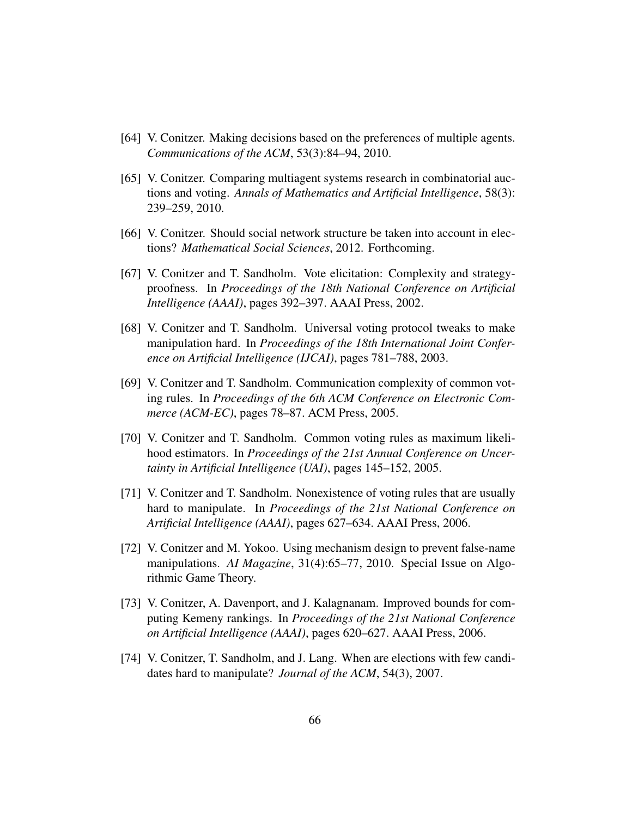- [64] V. Conitzer. Making decisions based on the preferences of multiple agents. *Communications of the ACM*, 53(3):84–94, 2010.
- [65] V. Conitzer. Comparing multiagent systems research in combinatorial auctions and voting. *Annals of Mathematics and Artificial Intelligence*, 58(3): 239–259, 2010.
- [66] V. Conitzer. Should social network structure be taken into account in elections? *Mathematical Social Sciences*, 2012. Forthcoming.
- [67] V. Conitzer and T. Sandholm. Vote elicitation: Complexity and strategyproofness. In *Proceedings of the 18th National Conference on Artificial Intelligence (AAAI)*, pages 392–397. AAAI Press, 2002.
- [68] V. Conitzer and T. Sandholm. Universal voting protocol tweaks to make manipulation hard. In *Proceedings of the 18th International Joint Conference on Artificial Intelligence (IJCAI)*, pages 781–788, 2003.
- [69] V. Conitzer and T. Sandholm. Communication complexity of common voting rules. In *Proceedings of the 6th ACM Conference on Electronic Commerce (ACM-EC)*, pages 78–87. ACM Press, 2005.
- [70] V. Conitzer and T. Sandholm. Common voting rules as maximum likelihood estimators. In *Proceedings of the 21st Annual Conference on Uncertainty in Artificial Intelligence (UAI)*, pages 145–152, 2005.
- [71] V. Conitzer and T. Sandholm. Nonexistence of voting rules that are usually hard to manipulate. In *Proceedings of the 21st National Conference on Artificial Intelligence (AAAI)*, pages 627–634. AAAI Press, 2006.
- [72] V. Conitzer and M. Yokoo. Using mechanism design to prevent false-name manipulations. *AI Magazine*, 31(4):65–77, 2010. Special Issue on Algorithmic Game Theory.
- [73] V. Conitzer, A. Davenport, and J. Kalagnanam. Improved bounds for computing Kemeny rankings. In *Proceedings of the 21st National Conference on Artificial Intelligence (AAAI)*, pages 620–627. AAAI Press, 2006.
- [74] V. Conitzer, T. Sandholm, and J. Lang. When are elections with few candidates hard to manipulate? *Journal of the ACM*, 54(3), 2007.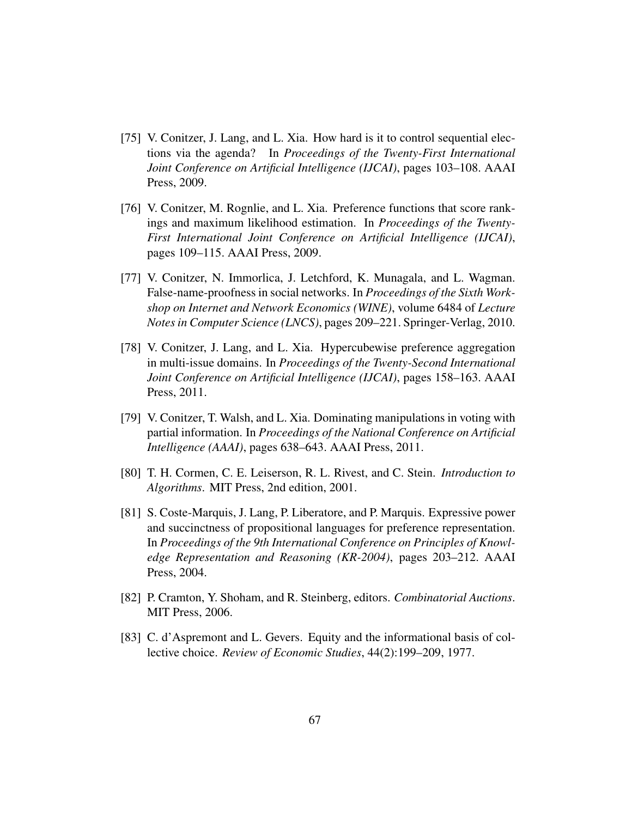- [75] V. Conitzer, J. Lang, and L. Xia. How hard is it to control sequential elections via the agenda? In *Proceedings of the Twenty-First International Joint Conference on Artificial Intelligence (IJCAI)*, pages 103–108. AAAI Press, 2009.
- [76] V. Conitzer, M. Rognlie, and L. Xia. Preference functions that score rankings and maximum likelihood estimation. In *Proceedings of the Twenty-First International Joint Conference on Artificial Intelligence (IJCAI)*, pages 109–115. AAAI Press, 2009.
- [77] V. Conitzer, N. Immorlica, J. Letchford, K. Munagala, and L. Wagman. False-name-proofness in social networks. In *Proceedings of the Sixth Workshop on Internet and Network Economics (WINE)*, volume 6484 of *Lecture Notes in Computer Science (LNCS)*, pages 209–221. Springer-Verlag, 2010.
- [78] V. Conitzer, J. Lang, and L. Xia. Hypercubewise preference aggregation in multi-issue domains. In *Proceedings of the Twenty-Second International Joint Conference on Artificial Intelligence (IJCAI)*, pages 158–163. AAAI Press, 2011.
- [79] V. Conitzer, T. Walsh, and L. Xia. Dominating manipulations in voting with partial information. In *Proceedings of the National Conference on Artificial Intelligence (AAAI)*, pages 638–643. AAAI Press, 2011.
- [80] T. H. Cormen, C. E. Leiserson, R. L. Rivest, and C. Stein. *Introduction to Algorithms*. MIT Press, 2nd edition, 2001.
- [81] S. Coste-Marquis, J. Lang, P. Liberatore, and P. Marquis. Expressive power and succinctness of propositional languages for preference representation. In *Proceedings of the 9th International Conference on Principles of Knowledge Representation and Reasoning (KR-2004)*, pages 203–212. AAAI Press, 2004.
- [82] P. Cramton, Y. Shoham, and R. Steinberg, editors. *Combinatorial Auctions*. MIT Press, 2006.
- [83] C. d'Aspremont and L. Gevers. Equity and the informational basis of collective choice. *Review of Economic Studies*, 44(2):199–209, 1977.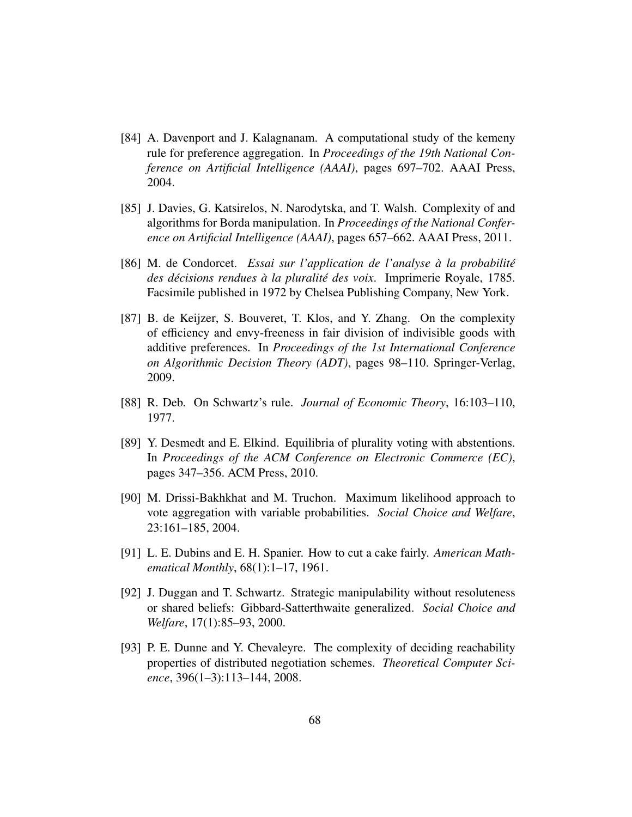- [84] A. Davenport and J. Kalagnanam. A computational study of the kemeny rule for preference aggregation. In *Proceedings of the 19th National Conference on Artificial Intelligence (AAAI)*, pages 697–702. AAAI Press, 2004.
- [85] J. Davies, G. Katsirelos, N. Narodytska, and T. Walsh. Complexity of and algorithms for Borda manipulation. In *Proceedings of the National Conference on Artificial Intelligence (AAAI)*, pages 657–662. AAAI Press, 2011.
- [86] M. de Condorcet. *Essai sur l'application de l'analyse `a la probabilit´e des d´ecisions rendues `a la pluralit´e des voix*. Imprimerie Royale, 1785. Facsimile published in 1972 by Chelsea Publishing Company, New York.
- [87] B. de Keijzer, S. Bouveret, T. Klos, and Y. Zhang. On the complexity of efficiency and envy-freeness in fair division of indivisible goods with additive preferences. In *Proceedings of the 1st International Conference on Algorithmic Decision Theory (ADT)*, pages 98–110. Springer-Verlag, 2009.
- [88] R. Deb. On Schwartz's rule. *Journal of Economic Theory*, 16:103–110, 1977.
- [89] Y. Desmedt and E. Elkind. Equilibria of plurality voting with abstentions. In *Proceedings of the ACM Conference on Electronic Commerce (EC)*, pages 347–356. ACM Press, 2010.
- [90] M. Drissi-Bakhkhat and M. Truchon. Maximum likelihood approach to vote aggregation with variable probabilities. *Social Choice and Welfare*, 23:161–185, 2004.
- [91] L. E. Dubins and E. H. Spanier. How to cut a cake fairly. *American Mathematical Monthly*, 68(1):1–17, 1961.
- [92] J. Duggan and T. Schwartz. Strategic manipulability without resoluteness or shared beliefs: Gibbard-Satterthwaite generalized. *Social Choice and Welfare*, 17(1):85–93, 2000.
- [93] P. E. Dunne and Y. Chevaleyre. The complexity of deciding reachability properties of distributed negotiation schemes. *Theoretical Computer Science*, 396(1–3):113–144, 2008.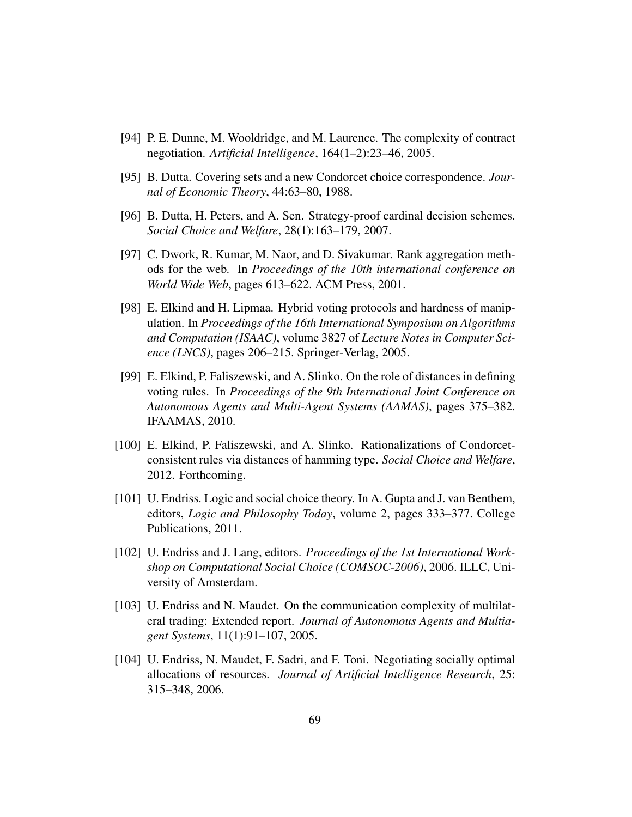- [94] P. E. Dunne, M. Wooldridge, and M. Laurence. The complexity of contract negotiation. *Artificial Intelligence*, 164(1–2):23–46, 2005.
- [95] B. Dutta. Covering sets and a new Condorcet choice correspondence. *Journal of Economic Theory*, 44:63–80, 1988.
- [96] B. Dutta, H. Peters, and A. Sen. Strategy-proof cardinal decision schemes. *Social Choice and Welfare*, 28(1):163–179, 2007.
- [97] C. Dwork, R. Kumar, M. Naor, and D. Sivakumar. Rank aggregation methods for the web. In *Proceedings of the 10th international conference on World Wide Web*, pages 613–622. ACM Press, 2001.
- [98] E. Elkind and H. Lipmaa. Hybrid voting protocols and hardness of manipulation. In *Proceedings of the 16th International Symposium on Algorithms and Computation (ISAAC)*, volume 3827 of *Lecture Notes in Computer Science (LNCS)*, pages 206–215. Springer-Verlag, 2005.
- [99] E. Elkind, P. Faliszewski, and A. Slinko. On the role of distances in defining voting rules. In *Proceedings of the 9th International Joint Conference on Autonomous Agents and Multi-Agent Systems (AAMAS)*, pages 375–382. IFAAMAS, 2010.
- [100] E. Elkind, P. Faliszewski, and A. Slinko. Rationalizations of Condorcetconsistent rules via distances of hamming type. *Social Choice and Welfare*, 2012. Forthcoming.
- [101] U. Endriss. Logic and social choice theory. In A. Gupta and J. van Benthem, editors, *Logic and Philosophy Today*, volume 2, pages 333–377. College Publications, 2011.
- [102] U. Endriss and J. Lang, editors. *Proceedings of the 1st International Workshop on Computational Social Choice (COMSOC-2006)*, 2006. ILLC, University of Amsterdam.
- [103] U. Endriss and N. Maudet. On the communication complexity of multilateral trading: Extended report. *Journal of Autonomous Agents and Multiagent Systems*, 11(1):91–107, 2005.
- [104] U. Endriss, N. Maudet, F. Sadri, and F. Toni. Negotiating socially optimal allocations of resources. *Journal of Artificial Intelligence Research*, 25: 315–348, 2006.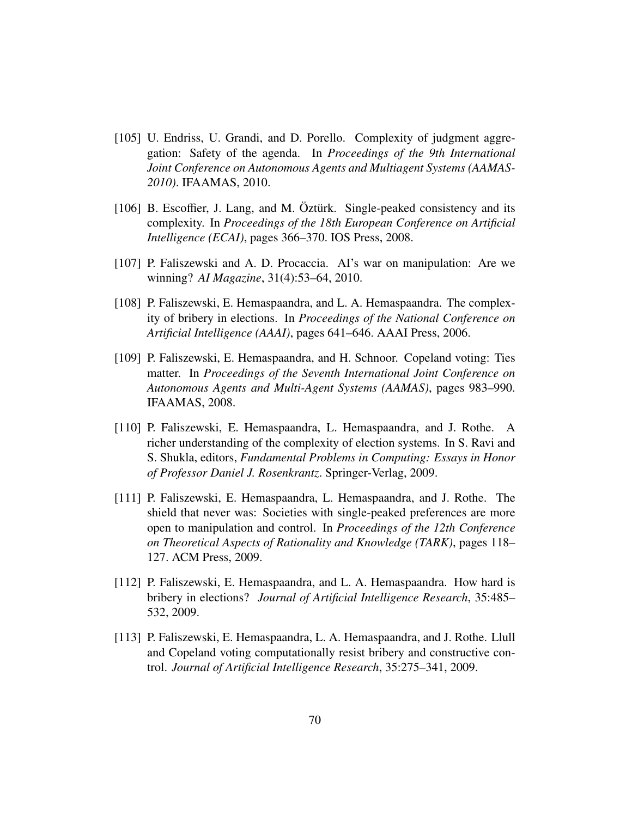- [105] U. Endriss, U. Grandi, and D. Porello. Complexity of judgment aggregation: Safety of the agenda. In *Proceedings of the 9th International Joint Conference on Autonomous Agents and Multiagent Systems (AAMAS-2010)*. IFAAMAS, 2010.
- $[106]$  B. Escoffier, J. Lang, and M. Öztürk. Single-peaked consistency and its complexity. In *Proceedings of the 18th European Conference on Artificial Intelligence (ECAI)*, pages 366–370. IOS Press, 2008.
- [107] P. Faliszewski and A. D. Procaccia. AI's war on manipulation: Are we winning? *AI Magazine*, 31(4):53–64, 2010.
- [108] P. Faliszewski, E. Hemaspaandra, and L. A. Hemaspaandra. The complexity of bribery in elections. In *Proceedings of the National Conference on Artificial Intelligence (AAAI)*, pages 641–646. AAAI Press, 2006.
- [109] P. Faliszewski, E. Hemaspaandra, and H. Schnoor. Copeland voting: Ties matter. In *Proceedings of the Seventh International Joint Conference on Autonomous Agents and Multi-Agent Systems (AAMAS)*, pages 983–990. IFAAMAS, 2008.
- [110] P. Faliszewski, E. Hemaspaandra, L. Hemaspaandra, and J. Rothe. A richer understanding of the complexity of election systems. In S. Ravi and S. Shukla, editors, *Fundamental Problems in Computing: Essays in Honor of Professor Daniel J. Rosenkrantz*. Springer-Verlag, 2009.
- [111] P. Faliszewski, E. Hemaspaandra, L. Hemaspaandra, and J. Rothe. The shield that never was: Societies with single-peaked preferences are more open to manipulation and control. In *Proceedings of the 12th Conference on Theoretical Aspects of Rationality and Knowledge (TARK)*, pages 118– 127. ACM Press, 2009.
- [112] P. Faliszewski, E. Hemaspaandra, and L. A. Hemaspaandra. How hard is bribery in elections? *Journal of Artificial Intelligence Research*, 35:485– 532, 2009.
- [113] P. Faliszewski, E. Hemaspaandra, L. A. Hemaspaandra, and J. Rothe. Llull and Copeland voting computationally resist bribery and constructive control. *Journal of Artificial Intelligence Research*, 35:275–341, 2009.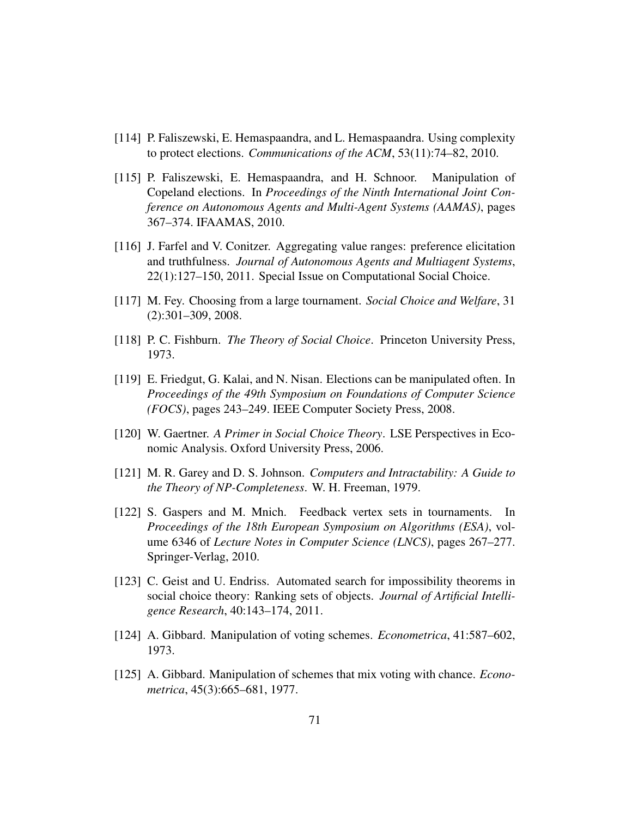- [114] P. Faliszewski, E. Hemaspaandra, and L. Hemaspaandra. Using complexity to protect elections. *Communications of the ACM*, 53(11):74–82, 2010.
- [115] P. Faliszewski, E. Hemaspaandra, and H. Schnoor. Manipulation of Copeland elections. In *Proceedings of the Ninth International Joint Conference on Autonomous Agents and Multi-Agent Systems (AAMAS)*, pages 367–374. IFAAMAS, 2010.
- [116] J. Farfel and V. Conitzer. Aggregating value ranges: preference elicitation and truthfulness. *Journal of Autonomous Agents and Multiagent Systems*, 22(1):127–150, 2011. Special Issue on Computational Social Choice.
- [117] M. Fey. Choosing from a large tournament. *Social Choice and Welfare*, 31 (2):301–309, 2008.
- [118] P. C. Fishburn. *The Theory of Social Choice*. Princeton University Press, 1973.
- [119] E. Friedgut, G. Kalai, and N. Nisan. Elections can be manipulated often. In *Proceedings of the 49th Symposium on Foundations of Computer Science (FOCS)*, pages 243–249. IEEE Computer Society Press, 2008.
- [120] W. Gaertner. *A Primer in Social Choice Theory*. LSE Perspectives in Economic Analysis. Oxford University Press, 2006.
- [121] M. R. Garey and D. S. Johnson. *Computers and Intractability: A Guide to the Theory of NP-Completeness*. W. H. Freeman, 1979.
- [122] S. Gaspers and M. Mnich. Feedback vertex sets in tournaments. In *Proceedings of the 18th European Symposium on Algorithms (ESA)*, volume 6346 of *Lecture Notes in Computer Science (LNCS)*, pages 267–277. Springer-Verlag, 2010.
- [123] C. Geist and U. Endriss. Automated search for impossibility theorems in social choice theory: Ranking sets of objects. *Journal of Artificial Intelligence Research*, 40:143–174, 2011.
- [124] A. Gibbard. Manipulation of voting schemes. *Econometrica*, 41:587–602, 1973.
- [125] A. Gibbard. Manipulation of schemes that mix voting with chance. *Econometrica*, 45(3):665–681, 1977.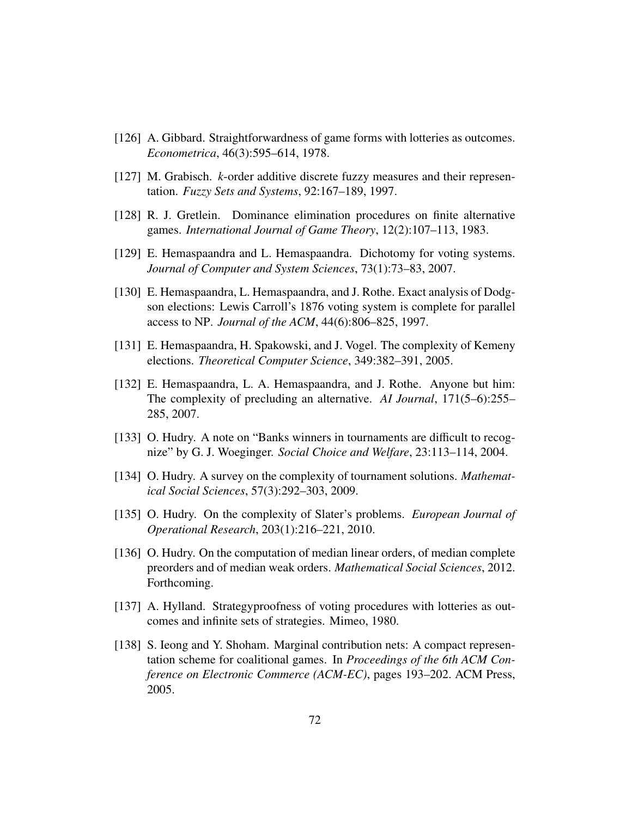- [126] A. Gibbard. Straightforwardness of game forms with lotteries as outcomes. *Econometrica*, 46(3):595–614, 1978.
- [127] M. Grabisch. *k*-order additive discrete fuzzy measures and their representation. *Fuzzy Sets and Systems*, 92:167–189, 1997.
- [128] R. J. Gretlein. Dominance elimination procedures on finite alternative games. *International Journal of Game Theory*, 12(2):107–113, 1983.
- [129] E. Hemaspaandra and L. Hemaspaandra. Dichotomy for voting systems. *Journal of Computer and System Sciences*, 73(1):73–83, 2007.
- [130] E. Hemaspaandra, L. Hemaspaandra, and J. Rothe. Exact analysis of Dodgson elections: Lewis Carroll's 1876 voting system is complete for parallel access to NP. *Journal of the ACM*, 44(6):806–825, 1997.
- [131] E. Hemaspaandra, H. Spakowski, and J. Vogel. The complexity of Kemeny elections. *Theoretical Computer Science*, 349:382–391, 2005.
- [132] E. Hemaspaandra, L. A. Hemaspaandra, and J. Rothe. Anyone but him: The complexity of precluding an alternative. *AI Journal*, 171(5–6):255– 285, 2007.
- [133] O. Hudry. A note on "Banks winners in tournaments are difficult to recognize" by G. J. Woeginger. *Social Choice and Welfare*, 23:113–114, 2004.
- [134] O. Hudry. A survey on the complexity of tournament solutions. *Mathematical Social Sciences*, 57(3):292–303, 2009.
- [135] O. Hudry. On the complexity of Slater's problems. *European Journal of Operational Research*, 203(1):216–221, 2010.
- [136] O. Hudry. On the computation of median linear orders, of median complete preorders and of median weak orders. *Mathematical Social Sciences*, 2012. Forthcoming.
- [137] A. Hylland. Strategyproofness of voting procedures with lotteries as outcomes and infinite sets of strategies. Mimeo, 1980.
- [138] S. Ieong and Y. Shoham. Marginal contribution nets: A compact representation scheme for coalitional games. In *Proceedings of the 6th ACM Conference on Electronic Commerce (ACM-EC)*, pages 193–202. ACM Press, 2005.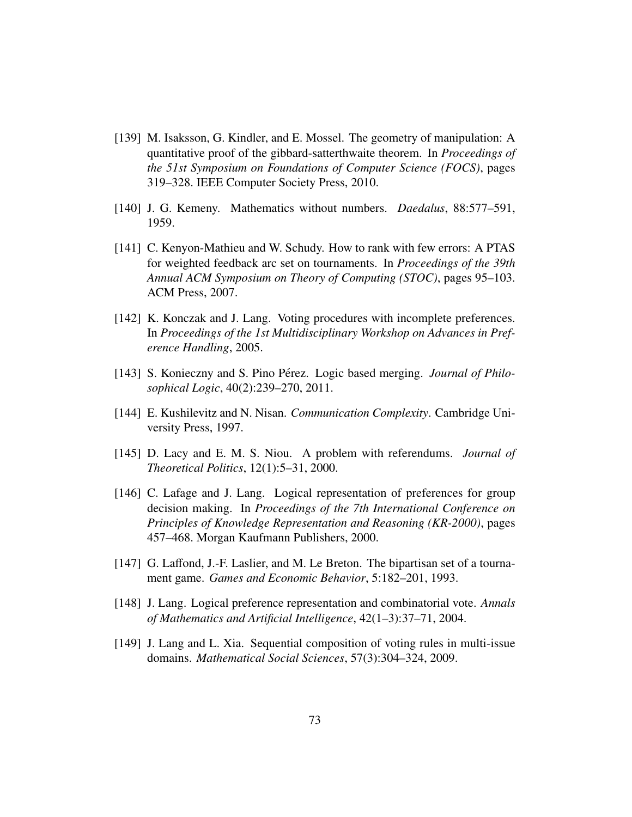- [139] M. Isaksson, G. Kindler, and E. Mossel. The geometry of manipulation: A quantitative proof of the gibbard-satterthwaite theorem. In *Proceedings of the 51st Symposium on Foundations of Computer Science (FOCS)*, pages 319–328. IEEE Computer Society Press, 2010.
- [140] J. G. Kemeny. Mathematics without numbers. *Daedalus*, 88:577–591, 1959.
- [141] C. Kenyon-Mathieu and W. Schudy. How to rank with few errors: A PTAS for weighted feedback arc set on tournaments. In *Proceedings of the 39th Annual ACM Symposium on Theory of Computing (STOC)*, pages 95–103. ACM Press, 2007.
- [142] K. Konczak and J. Lang. Voting procedures with incomplete preferences. In *Proceedings of the 1st Multidisciplinary Workshop on Advances in Preference Handling*, 2005.
- [143] S. Konieczny and S. Pino Pérez. Logic based merging. *Journal of Philosophical Logic*, 40(2):239–270, 2011.
- [144] E. Kushilevitz and N. Nisan. *Communication Complexity*. Cambridge University Press, 1997.
- [145] D. Lacy and E. M. S. Niou. A problem with referendums. *Journal of Theoretical Politics*, 12(1):5–31, 2000.
- [146] C. Lafage and J. Lang. Logical representation of preferences for group decision making. In *Proceedings of the 7th International Conference on Principles of Knowledge Representation and Reasoning (KR-2000)*, pages 457–468. Morgan Kaufmann Publishers, 2000.
- [147] G. Laffond, J.-F. Laslier, and M. Le Breton. The bipartisan set of a tournament game. *Games and Economic Behavior*, 5:182–201, 1993.
- [148] J. Lang. Logical preference representation and combinatorial vote. *Annals of Mathematics and Artificial Intelligence*, 42(1–3):37–71, 2004.
- [149] J. Lang and L. Xia. Sequential composition of voting rules in multi-issue domains. *Mathematical Social Sciences*, 57(3):304–324, 2009.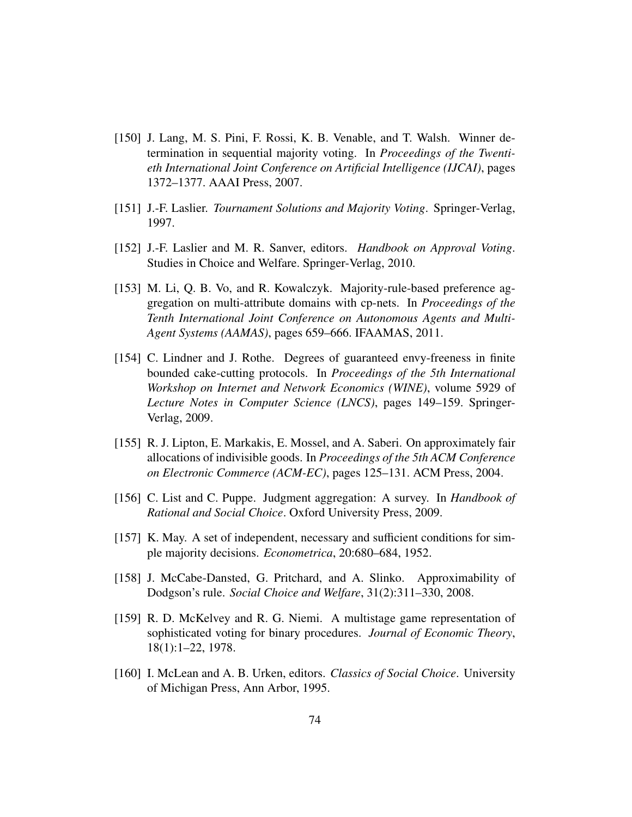- [150] J. Lang, M. S. Pini, F. Rossi, K. B. Venable, and T. Walsh. Winner determination in sequential majority voting. In *Proceedings of the Twentieth International Joint Conference on Artificial Intelligence (IJCAI)*, pages 1372–1377. AAAI Press, 2007.
- [151] J.-F. Laslier. *Tournament Solutions and Majority Voting*. Springer-Verlag, 1997.
- [152] J.-F. Laslier and M. R. Sanver, editors. *Handbook on Approval Voting*. Studies in Choice and Welfare. Springer-Verlag, 2010.
- [153] M. Li, Q. B. Vo, and R. Kowalczyk. Majority-rule-based preference aggregation on multi-attribute domains with cp-nets. In *Proceedings of the Tenth International Joint Conference on Autonomous Agents and Multi-Agent Systems (AAMAS)*, pages 659–666. IFAAMAS, 2011.
- [154] C. Lindner and J. Rothe. Degrees of guaranteed envy-freeness in finite bounded cake-cutting protocols. In *Proceedings of the 5th International Workshop on Internet and Network Economics (WINE)*, volume 5929 of *Lecture Notes in Computer Science (LNCS)*, pages 149–159. Springer-Verlag, 2009.
- [155] R. J. Lipton, E. Markakis, E. Mossel, and A. Saberi. On approximately fair allocations of indivisible goods. In *Proceedings of the 5th ACM Conference on Electronic Commerce (ACM-EC)*, pages 125–131. ACM Press, 2004.
- [156] C. List and C. Puppe. Judgment aggregation: A survey. In *Handbook of Rational and Social Choice*. Oxford University Press, 2009.
- [157] K. May. A set of independent, necessary and sufficient conditions for simple majority decisions. *Econometrica*, 20:680–684, 1952.
- [158] J. McCabe-Dansted, G. Pritchard, and A. Slinko. Approximability of Dodgson's rule. *Social Choice and Welfare*, 31(2):311–330, 2008.
- [159] R. D. McKelvey and R. G. Niemi. A multistage game representation of sophisticated voting for binary procedures. *Journal of Economic Theory*, 18(1):1–22, 1978.
- [160] I. McLean and A. B. Urken, editors. *Classics of Social Choice*. University of Michigan Press, Ann Arbor, 1995.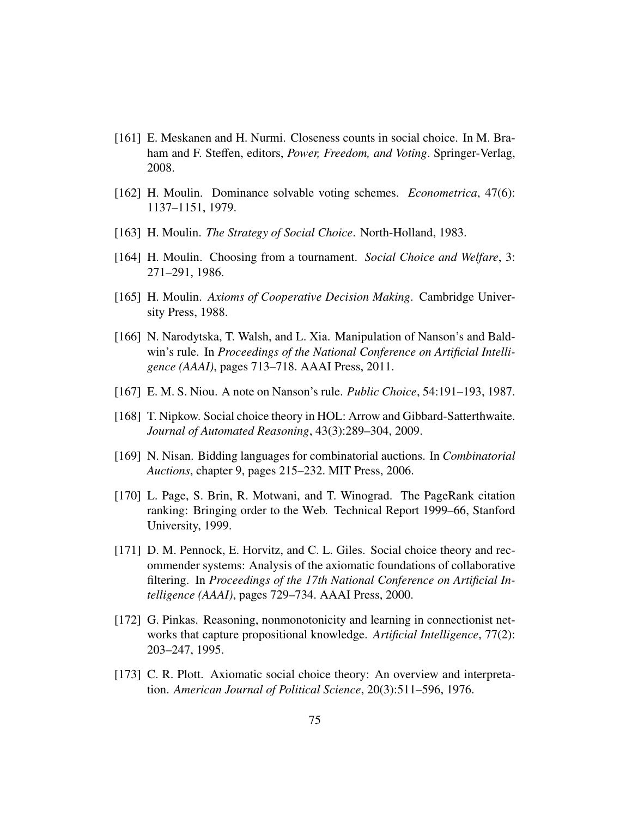- [161] E. Meskanen and H. Nurmi. Closeness counts in social choice. In M. Braham and F. Steffen, editors, *Power, Freedom, and Voting*. Springer-Verlag, 2008.
- [162] H. Moulin. Dominance solvable voting schemes. *Econometrica*, 47(6): 1137–1151, 1979.
- [163] H. Moulin. *The Strategy of Social Choice*. North-Holland, 1983.
- [164] H. Moulin. Choosing from a tournament. *Social Choice and Welfare*, 3: 271–291, 1986.
- [165] H. Moulin. *Axioms of Cooperative Decision Making*. Cambridge University Press, 1988.
- [166] N. Narodytska, T. Walsh, and L. Xia. Manipulation of Nanson's and Baldwin's rule. In *Proceedings of the National Conference on Artificial Intelligence (AAAI)*, pages 713–718. AAAI Press, 2011.
- [167] E. M. S. Niou. A note on Nanson's rule. *Public Choice*, 54:191–193, 1987.
- [168] T. Nipkow. Social choice theory in HOL: Arrow and Gibbard-Satterthwaite. *Journal of Automated Reasoning*, 43(3):289–304, 2009.
- [169] N. Nisan. Bidding languages for combinatorial auctions. In *Combinatorial Auctions*, chapter 9, pages 215–232. MIT Press, 2006.
- [170] L. Page, S. Brin, R. Motwani, and T. Winograd. The PageRank citation ranking: Bringing order to the Web. Technical Report 1999–66, Stanford University, 1999.
- [171] D. M. Pennock, E. Horvitz, and C. L. Giles. Social choice theory and recommender systems: Analysis of the axiomatic foundations of collaborative filtering. In *Proceedings of the 17th National Conference on Artificial Intelligence (AAAI)*, pages 729–734. AAAI Press, 2000.
- [172] G. Pinkas. Reasoning, nonmonotonicity and learning in connectionist networks that capture propositional knowledge. *Artificial Intelligence*, 77(2): 203–247, 1995.
- [173] C. R. Plott. Axiomatic social choice theory: An overview and interpretation. *American Journal of Political Science*, 20(3):511–596, 1976.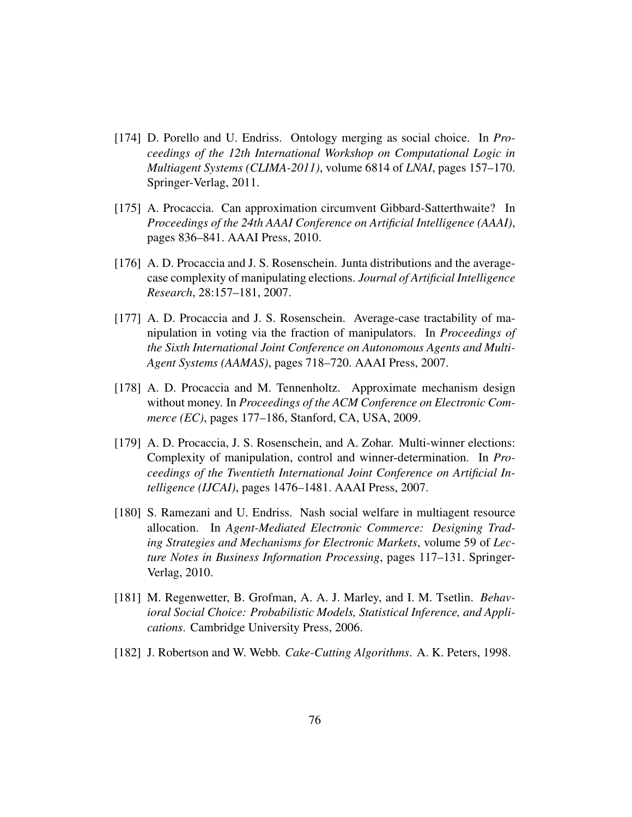- [174] D. Porello and U. Endriss. Ontology merging as social choice. In *Proceedings of the 12th International Workshop on Computational Logic in Multiagent Systems (CLIMA-2011)*, volume 6814 of *LNAI*, pages 157–170. Springer-Verlag, 2011.
- [175] A. Procaccia. Can approximation circumvent Gibbard-Satterthwaite? In *Proceedings of the 24th AAAI Conference on Artificial Intelligence (AAAI)*, pages 836–841. AAAI Press, 2010.
- [176] A. D. Procaccia and J. S. Rosenschein. Junta distributions and the averagecase complexity of manipulating elections. *Journal of Artificial Intelligence Research*, 28:157–181, 2007.
- [177] A. D. Procaccia and J. S. Rosenschein. Average-case tractability of manipulation in voting via the fraction of manipulators. In *Proceedings of the Sixth International Joint Conference on Autonomous Agents and Multi-Agent Systems (AAMAS)*, pages 718–720. AAAI Press, 2007.
- [178] A. D. Procaccia and M. Tennenholtz. Approximate mechanism design without money. In *Proceedings of the ACM Conference on Electronic Commerce (EC)*, pages 177–186, Stanford, CA, USA, 2009.
- [179] A. D. Procaccia, J. S. Rosenschein, and A. Zohar. Multi-winner elections: Complexity of manipulation, control and winner-determination. In *Proceedings of the Twentieth International Joint Conference on Artificial Intelligence (IJCAI)*, pages 1476–1481. AAAI Press, 2007.
- [180] S. Ramezani and U. Endriss. Nash social welfare in multiagent resource allocation. In *Agent-Mediated Electronic Commerce: Designing Trading Strategies and Mechanisms for Electronic Markets*, volume 59 of *Lecture Notes in Business Information Processing*, pages 117–131. Springer-Verlag, 2010.
- [181] M. Regenwetter, B. Grofman, A. A. J. Marley, and I. M. Tsetlin. *Behavioral Social Choice: Probabilistic Models, Statistical Inference, and Applications*. Cambridge University Press, 2006.
- [182] J. Robertson and W. Webb. *Cake-Cutting Algorithms*. A. K. Peters, 1998.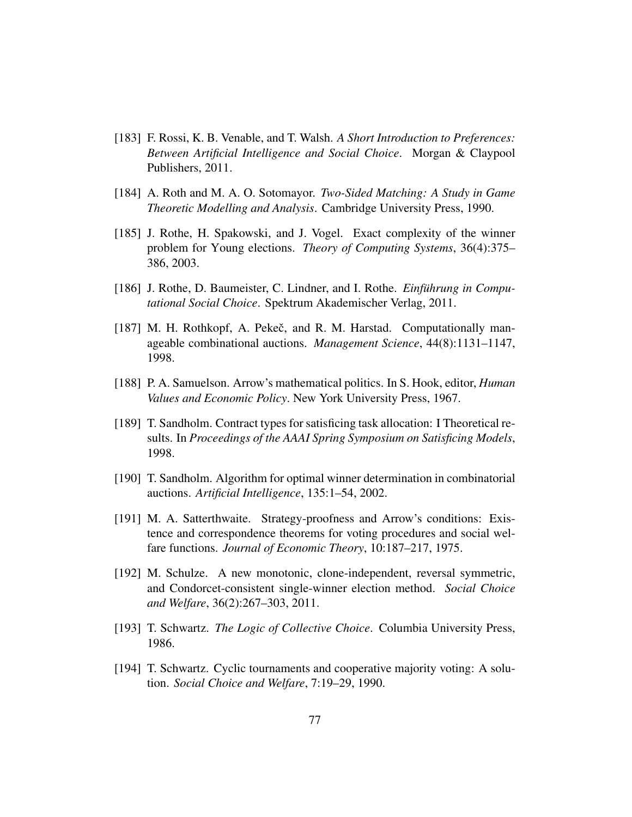- [183] F. Rossi, K. B. Venable, and T. Walsh. *A Short Introduction to Preferences: Between Artificial Intelligence and Social Choice*. Morgan & Claypool Publishers, 2011.
- [184] A. Roth and M. A. O. Sotomayor. *Two-Sided Matching: A Study in Game Theoretic Modelling and Analysis*. Cambridge University Press, 1990.
- [185] J. Rothe, H. Spakowski, and J. Vogel. Exact complexity of the winner problem for Young elections. *Theory of Computing Systems*, 36(4):375– 386, 2003.
- [186] J. Rothe, D. Baumeister, C. Lindner, and I. Rothe. *Einführung in Computational Social Choice*. Spektrum Akademischer Verlag, 2011.
- [187] M. H. Rothkopf, A. Pekeč, and R. M. Harstad. Computationally manageable combinational auctions. *Management Science*, 44(8):1131–1147, 1998.
- [188] P. A. Samuelson. Arrow's mathematical politics. In S. Hook, editor, *Human Values and Economic Policy*. New York University Press, 1967.
- [189] T. Sandholm. Contract types for satisficing task allocation: I Theoretical results. In *Proceedings of the AAAI Spring Symposium on Satisficing Models*, 1998.
- [190] T. Sandholm. Algorithm for optimal winner determination in combinatorial auctions. *Artificial Intelligence*, 135:1–54, 2002.
- [191] M. A. Satterthwaite. Strategy-proofness and Arrow's conditions: Existence and correspondence theorems for voting procedures and social welfare functions. *Journal of Economic Theory*, 10:187–217, 1975.
- [192] M. Schulze. A new monotonic, clone-independent, reversal symmetric, and Condorcet-consistent single-winner election method. *Social Choice and Welfare*, 36(2):267–303, 2011.
- [193] T. Schwartz. *The Logic of Collective Choice*. Columbia University Press, 1986.
- [194] T. Schwartz. Cyclic tournaments and cooperative majority voting: A solution. *Social Choice and Welfare*, 7:19–29, 1990.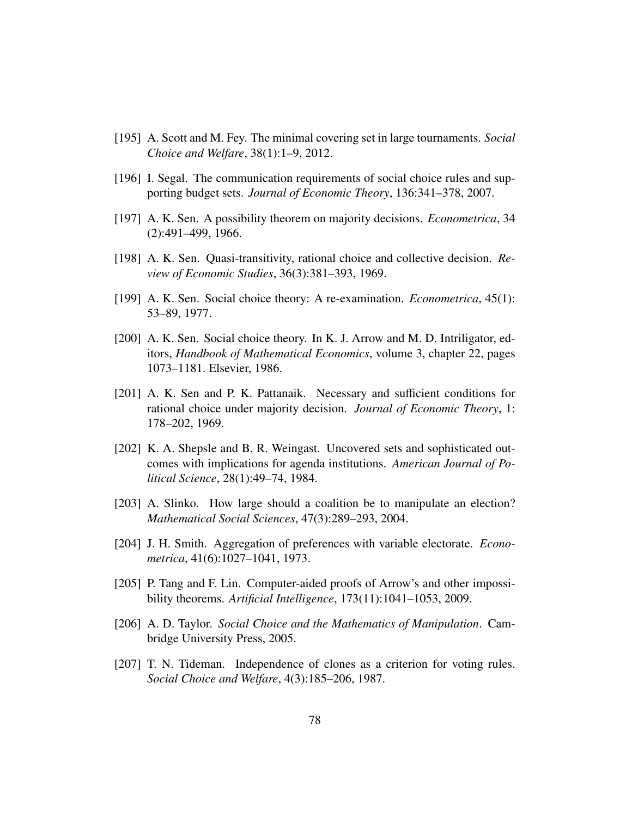- [195] A. Scott and M. Fey. The minimal covering set in large tournaments. *Social Choice and Welfare*, 38(1):1–9, 2012.
- [196] I. Segal. The communication requirements of social choice rules and supporting budget sets. *Journal of Economic Theory*, 136:341–378, 2007.
- [197] A. K. Sen. A possibility theorem on majority decisions. *Econometrica*, 34 (2):491–499, 1966.
- [198] A. K. Sen. Quasi-transitivity, rational choice and collective decision. *Review of Economic Studies*, 36(3):381–393, 1969.
- [199] A. K. Sen. Social choice theory: A re-examination. *Econometrica*, 45(1): 53–89, 1977.
- [200] A. K. Sen. Social choice theory. In K. J. Arrow and M. D. Intriligator, editors, *Handbook of Mathematical Economics*, volume 3, chapter 22, pages 1073–1181. Elsevier, 1986.
- [201] A. K. Sen and P. K. Pattanaik. Necessary and sufficient conditions for rational choice under majority decision. *Journal of Economic Theory*, 1: 178–202, 1969.
- [202] K. A. Shepsle and B. R. Weingast. Uncovered sets and sophisticated outcomes with implications for agenda institutions. *American Journal of Political Science*, 28(1):49–74, 1984.
- [203] A. Slinko. How large should a coalition be to manipulate an election? *Mathematical Social Sciences*, 47(3):289–293, 2004.
- [204] J. H. Smith. Aggregation of preferences with variable electorate. *Econometrica*, 41(6):1027–1041, 1973.
- [205] P. Tang and F. Lin. Computer-aided proofs of Arrow's and other impossibility theorems. *Artificial Intelligence*, 173(11):1041–1053, 2009.
- [206] A. D. Taylor. *Social Choice and the Mathematics of Manipulation*. Cambridge University Press, 2005.
- [207] T. N. Tideman. Independence of clones as a criterion for voting rules. *Social Choice and Welfare*, 4(3):185–206, 1987.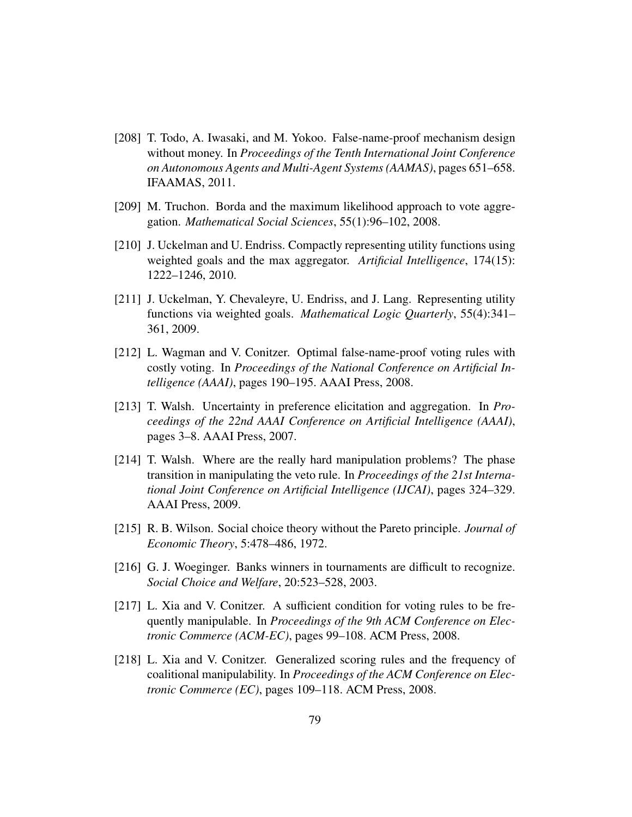- [208] T. Todo, A. Iwasaki, and M. Yokoo. False-name-proof mechanism design without money. In *Proceedings of the Tenth International Joint Conference on Autonomous Agents and Multi-Agent Systems (AAMAS)*, pages 651–658. IFAAMAS, 2011.
- [209] M. Truchon. Borda and the maximum likelihood approach to vote aggregation. *Mathematical Social Sciences*, 55(1):96–102, 2008.
- [210] J. Uckelman and U. Endriss. Compactly representing utility functions using weighted goals and the max aggregator. *Artificial Intelligence*, 174(15): 1222–1246, 2010.
- [211] J. Uckelman, Y. Chevaleyre, U. Endriss, and J. Lang. Representing utility functions via weighted goals. *Mathematical Logic Quarterly*, 55(4):341– 361, 2009.
- [212] L. Wagman and V. Conitzer. Optimal false-name-proof voting rules with costly voting. In *Proceedings of the National Conference on Artificial Intelligence (AAAI)*, pages 190–195. AAAI Press, 2008.
- [213] T. Walsh. Uncertainty in preference elicitation and aggregation. In *Proceedings of the 22nd AAAI Conference on Artificial Intelligence (AAAI)*, pages 3–8. AAAI Press, 2007.
- [214] T. Walsh. Where are the really hard manipulation problems? The phase transition in manipulating the veto rule. In *Proceedings of the 21st International Joint Conference on Artificial Intelligence (IJCAI)*, pages 324–329. AAAI Press, 2009.
- [215] R. B. Wilson. Social choice theory without the Pareto principle. *Journal of Economic Theory*, 5:478–486, 1972.
- [216] G. J. Woeginger. Banks winners in tournaments are difficult to recognize. *Social Choice and Welfare*, 20:523–528, 2003.
- [217] L. Xia and V. Conitzer. A sufficient condition for voting rules to be frequently manipulable. In *Proceedings of the 9th ACM Conference on Electronic Commerce (ACM-EC)*, pages 99–108. ACM Press, 2008.
- [218] L. Xia and V. Conitzer. Generalized scoring rules and the frequency of coalitional manipulability. In *Proceedings of the ACM Conference on Electronic Commerce (EC)*, pages 109–118. ACM Press, 2008.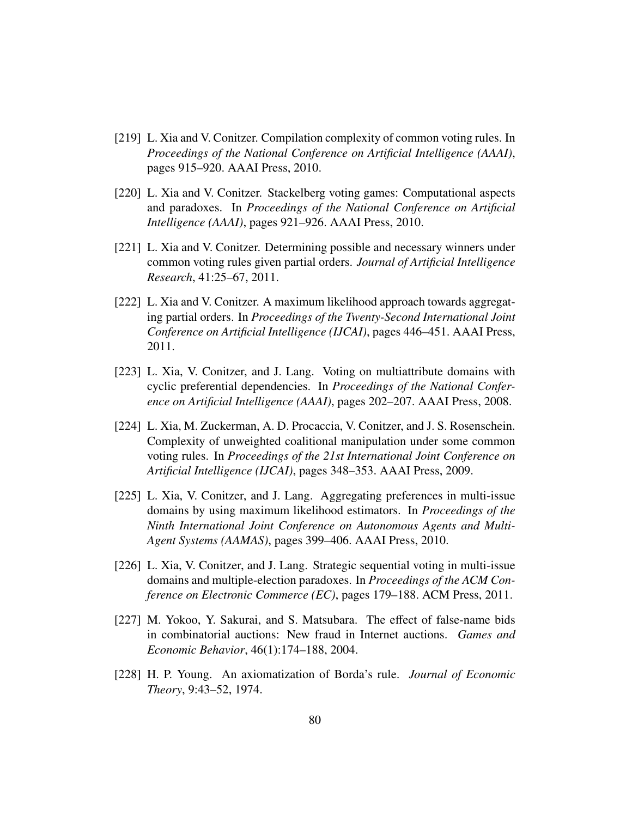- [219] L. Xia and V. Conitzer. Compilation complexity of common voting rules. In *Proceedings of the National Conference on Artificial Intelligence (AAAI)*, pages 915–920. AAAI Press, 2010.
- [220] L. Xia and V. Conitzer. Stackelberg voting games: Computational aspects and paradoxes. In *Proceedings of the National Conference on Artificial Intelligence (AAAI)*, pages 921–926. AAAI Press, 2010.
- [221] L. Xia and V. Conitzer. Determining possible and necessary winners under common voting rules given partial orders. *Journal of Artificial Intelligence Research*, 41:25–67, 2011.
- [222] L. Xia and V. Conitzer. A maximum likelihood approach towards aggregating partial orders. In *Proceedings of the Twenty-Second International Joint Conference on Artificial Intelligence (IJCAI)*, pages 446–451. AAAI Press, 2011.
- [223] L. Xia, V. Conitzer, and J. Lang. Voting on multiattribute domains with cyclic preferential dependencies. In *Proceedings of the National Conference on Artificial Intelligence (AAAI)*, pages 202–207. AAAI Press, 2008.
- [224] L. Xia, M. Zuckerman, A. D. Procaccia, V. Conitzer, and J. S. Rosenschein. Complexity of unweighted coalitional manipulation under some common voting rules. In *Proceedings of the 21st International Joint Conference on Artificial Intelligence (IJCAI)*, pages 348–353. AAAI Press, 2009.
- [225] L. Xia, V. Conitzer, and J. Lang. Aggregating preferences in multi-issue domains by using maximum likelihood estimators. In *Proceedings of the Ninth International Joint Conference on Autonomous Agents and Multi-Agent Systems (AAMAS)*, pages 399–406. AAAI Press, 2010.
- [226] L. Xia, V. Conitzer, and J. Lang. Strategic sequential voting in multi-issue domains and multiple-election paradoxes. In *Proceedings of the ACM Conference on Electronic Commerce (EC)*, pages 179–188. ACM Press, 2011.
- [227] M. Yokoo, Y. Sakurai, and S. Matsubara. The effect of false-name bids in combinatorial auctions: New fraud in Internet auctions. *Games and Economic Behavior*, 46(1):174–188, 2004.
- [228] H. P. Young. An axiomatization of Borda's rule. *Journal of Economic Theory*, 9:43–52, 1974.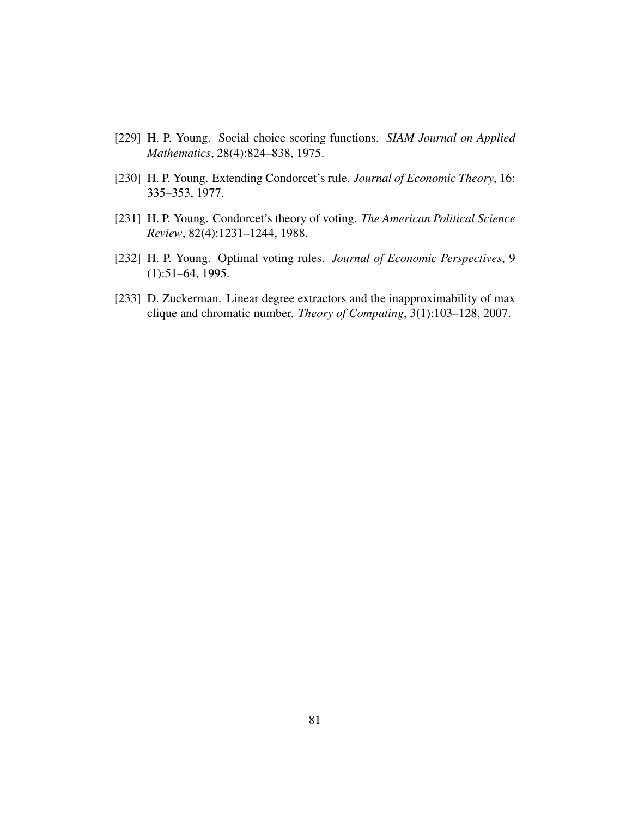- [229] H. P. Young. Social choice scoring functions. *SIAM Journal on Applied Mathematics*, 28(4):824–838, 1975.
- [230] H. P. Young. Extending Condorcet's rule. *Journal of Economic Theory*, 16: 335–353, 1977.
- [231] H. P. Young. Condorcet's theory of voting. *The American Political Science Review*, 82(4):1231–1244, 1988.
- [232] H. P. Young. Optimal voting rules. *Journal of Economic Perspectives*, 9 (1):51–64, 1995.
- [233] D. Zuckerman. Linear degree extractors and the inapproximability of max clique and chromatic number. *Theory of Computing*, 3(1):103–128, 2007.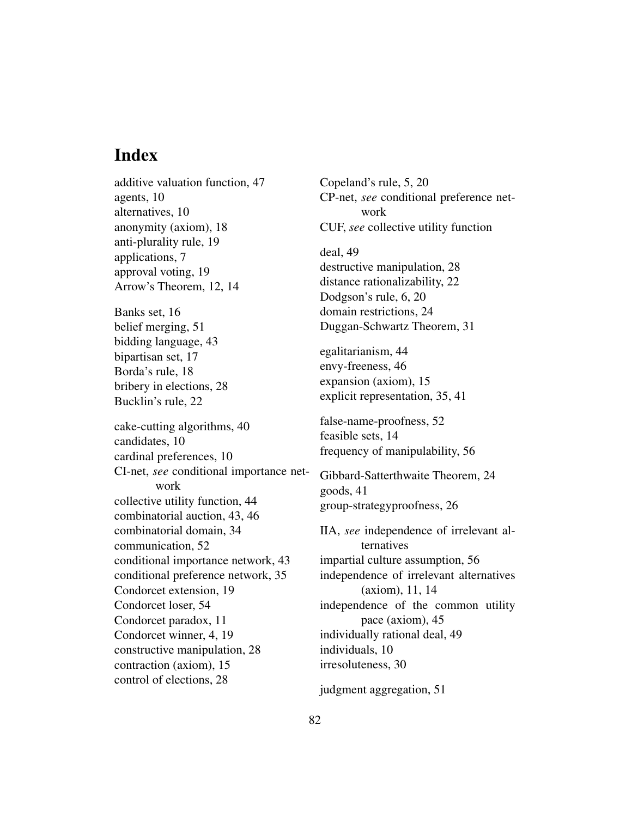## Index

additive valuation function, 47 agents, 10 alternatives, 10 anonymity (axiom), 18 anti-plurality rule, 19 applications, 7 approval voting, 19 Arrow's Theorem, 12, 14 Banks set, 16 belief merging, 51 bidding language, 43 bipartisan set, 17 Borda's rule, 18 bribery in elections, 28 Bucklin's rule, 22 cake-cutting algorithms, 40 candidates, 10 cardinal preferences, 10 CI-net, *see* conditional importance network collective utility function, 44 combinatorial auction, 43, 46 combinatorial domain, 34 communication, 52 conditional importance network, 43 conditional preference network, 35 Condorcet extension, 19 Condorcet loser, 54 Condorcet paradox, 11 Condorcet winner, 4, 19 constructive manipulation, 28 contraction (axiom), 15 control of elections, 28

Copeland's rule, 5, 20 CP-net, *see* conditional preference network CUF, *see* collective utility function deal, 49 destructive manipulation, 28 distance rationalizability, 22 Dodgson's rule, 6, 20 domain restrictions, 24 Duggan-Schwartz Theorem, 31 egalitarianism, 44 envy-freeness, 46 expansion (axiom), 15 explicit representation, 35, 41 false-name-proofness, 52 feasible sets, 14 frequency of manipulability, 56 Gibbard-Satterthwaite Theorem, 24 goods, 41 group-strategyproofness, 26 IIA, *see* independence of irrelevant alternatives impartial culture assumption, 56 independence of irrelevant alternatives (axiom), 11, 14 independence of the common utility pace (axiom), 45 individually rational deal, 49 individuals, 10 irresoluteness, 30 judgment aggregation, 51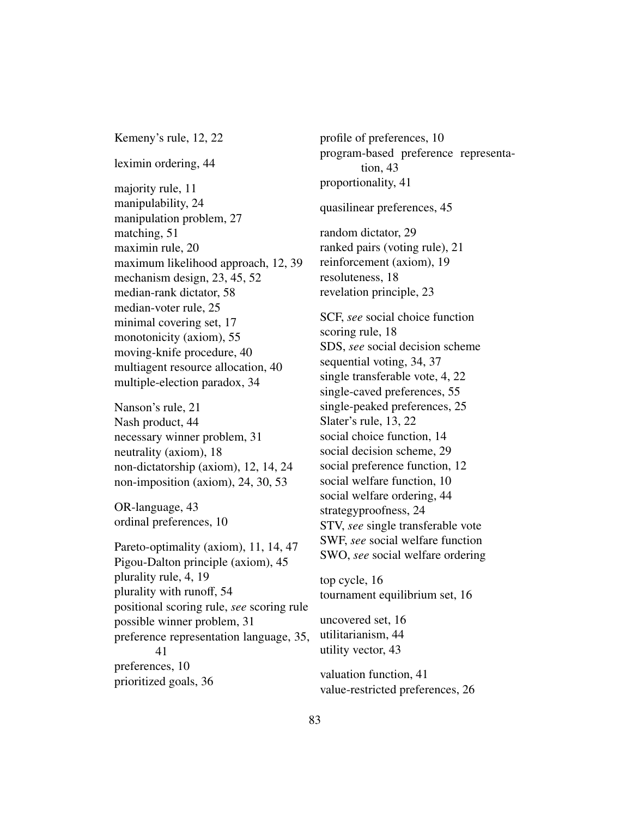Kemeny's rule, 12, 22 leximin ordering, 44 majority rule, 11 manipulability, 24 manipulation problem, 27 matching, 51 maximin rule, 20 maximum likelihood approach, 12, 39 mechanism design, 23, 45, 52 median-rank dictator, 58 median-voter rule, 25 minimal covering set, 17 monotonicity (axiom), 55 moving-knife procedure, 40 multiagent resource allocation, 40 multiple-election paradox, 34

Nanson's rule, 21 Nash product, 44 necessary winner problem, 31 neutrality (axiom), 18 non-dictatorship (axiom), 12, 14, 24 non-imposition (axiom), 24, 30, 53

OR-language, 43 ordinal preferences, 10

Pareto-optimality (axiom), 11, 14, 47 Pigou-Dalton principle (axiom), 45 plurality rule, 4, 19 plurality with runoff, 54 positional scoring rule, *see* scoring rule possible winner problem, 31 preference representation language, 35, 41 preferences, 10 prioritized goals, 36

profile of preferences, 10 program-based preference representation, 43 proportionality, 41 quasilinear preferences, 45 random dictator, 29 ranked pairs (voting rule), 21 reinforcement (axiom), 19 resoluteness, 18 revelation principle, 23 SCF, *see* social choice function scoring rule, 18 SDS, *see* social decision scheme sequential voting, 34, 37 single transferable vote, 4, 22 single-caved preferences, 55 single-peaked preferences, 25 Slater's rule, 13, 22 social choice function, 14 social decision scheme, 29 social preference function, 12 social welfare function, 10 social welfare ordering, 44 strategyproofness, 24 STV, *see* single transferable vote SWF, *see* social welfare function SWO, *see* social welfare ordering top cycle, 16

tournament equilibrium set, 16

uncovered set, 16 utilitarianism, 44 utility vector, 43

valuation function, 41 value-restricted preferences, 26